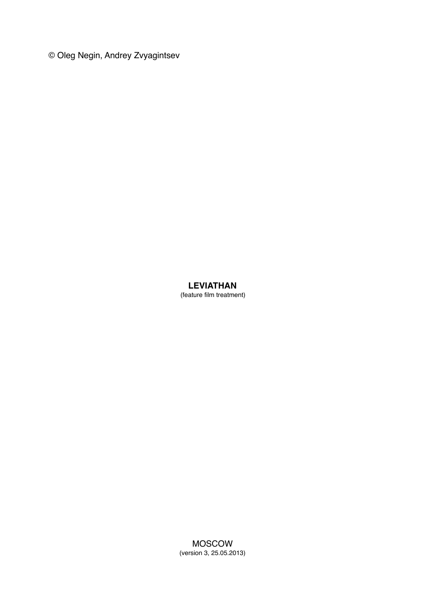© Oleg Negin, Andrey Zvyagintsev

# **LEVIATHAN**

(feature film treatment)

MOSCOW (version 3, 25.05.2013)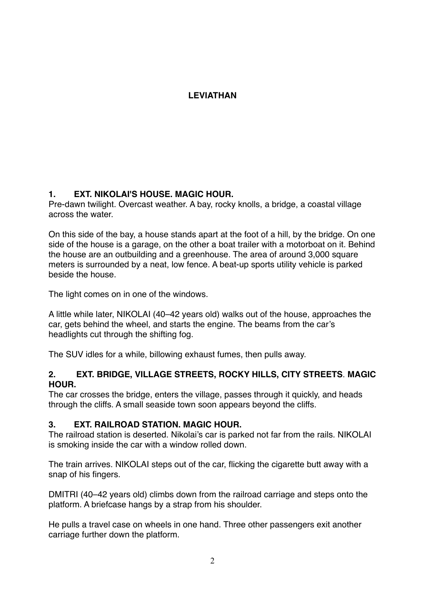# **LEVIATHAN**

# **1. EXT. NIKOLAI'S HOUSE. MAGIC HOUR.**

Pre-dawn twilight. Overcast weather. A bay, rocky knolls, a bridge, a coastal village across the water.

On this side of the bay, a house stands apart at the foot of a hill, by the bridge. On one side of the house is a garage, on the other a boat trailer with a motorboat on it. Behind the house are an outbuilding and a greenhouse. The area of around 3,000 square meters is surrounded by a neat, low fence. A beat-up sports utility vehicle is parked beside the house.

The light comes on in one of the windows.

A little while later, NIKOLAI (40–42 years old) walks out of the house, approaches the car, gets behind the wheel, and starts the engine. The beams from the car's headlights cut through the shifting fog.

The SUV idles for a while, billowing exhaust fumes, then pulls away.

# **2. EXT. BRIDGE, VILLAGE STREETS, ROCKY HILLS, CITY STREETS**. **MAGIC HOUR.**

The car crosses the bridge, enters the village, passes through it quickly, and heads through the cliffs. A small seaside town soon appears beyond the cliffs.

# **3. EXT. RAILROAD STATION. MAGIC HOUR.**

The railroad station is deserted. Nikolai's car is parked not far from the rails. NIKOLAI is smoking inside the car with a window rolled down.

The train arrives. NIKOLAI steps out of the car, flicking the cigarette butt away with a snap of his fingers.

DMITRI (40–42 years old) climbs down from the railroad carriage and steps onto the platform. A briefcase hangs by a strap from his shoulder.

He pulls a travel case on wheels in one hand. Three other passengers exit another carriage further down the platform.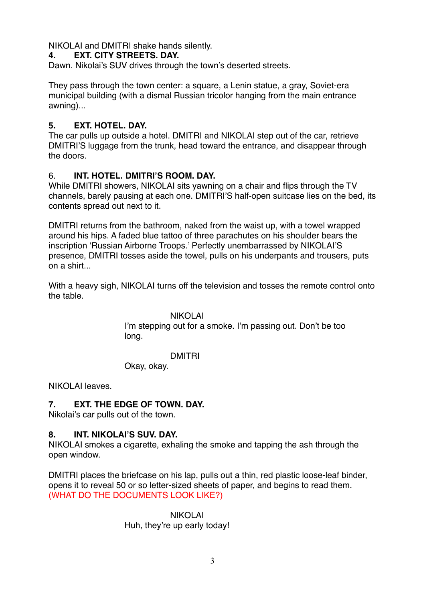NIKOLAI and DMITRI shake hands silently.

# **4. EXT. CITY STREETS. DAY.**

Dawn. Nikolai's SUV drives through the town's deserted streets.

They pass through the town center: a square, a Lenin statue, a gray, Soviet-era municipal building (with a dismal Russian tricolor hanging from the main entrance awning)...

# **5. EXT. HOTEL. DAY.**

The car pulls up outside a hotel. DMITRI and NIKOLAI step out of the car, retrieve DMITRI'S luggage from the trunk, head toward the entrance, and disappear through the doors.

# 6. **INT. HOTEL. DMITRI'S ROOM. DAY.**

While DMITRI showers, NIKOLAI sits yawning on a chair and flips through the TV channels, barely pausing at each one. DMITRI'S half-open suitcase lies on the bed, its contents spread out next to it.

DMITRI returns from the bathroom, naked from the waist up, with a towel wrapped around his hips. A faded blue tattoo of three parachutes on his shoulder bears the inscription 'Russian Airborne Troops.' Perfectly unembarrassed by NIKOLAI'S presence, DMITRI tosses aside the towel, pulls on his underpants and trousers, puts on a shirt...

With a heavy sigh, NIKOLAI turns off the television and tosses the remote control onto the table.

> NIKOLAI I'm stepping out for a smoke. I'm passing out. Don't be too long.

# DMITRI

Okay, okay.

NIKOLAI leaves.

# **7. EXT. THE EDGE OF TOWN. DAY.**

Nikolai's car pulls out of the town.

# **8. INT. NIKOLAI'S SUV. DAY.**

NIKOLAI smokes a cigarette, exhaling the smoke and tapping the ash through the open window.

DMITRI places the briefcase on his lap, pulls out a thin, red plastic loose-leaf binder, opens it to reveal 50 or so letter-sized sheets of paper, and begins to read them. (WHAT DO THE DOCUMENTS LOOK LIKE?)

### NIKOLAI Huh, they're up early today!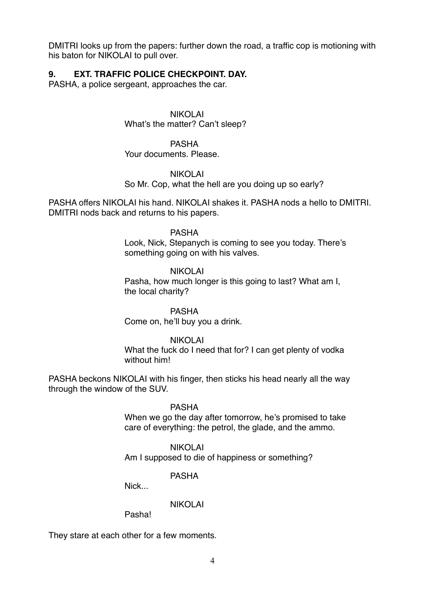DMITRI looks up from the papers: further down the road, a traffic cop is motioning with his baton for NIKOLAI to pull over.

# **9. EXT. TRAFFIC POLICE CHECKPOINT. DAY.**

PASHA, a police sergeant, approaches the car.

NIKOLAI What's the matter? Can't sleep?

PASHA Your documents. Please.

### NIKOLAI

So Mr. Cop, what the hell are you doing up so early?

PASHA offers NIKOLAI his hand. NIKOLAI shakes it. PASHA nods a hello to DMITRI. DMITRI nods back and returns to his papers.

### PASHA

Look, Nick, Stepanych is coming to see you today. There's something going on with his valves.

### NIKOLAI

Pasha, how much longer is this going to last? What am I, the local charity?

# PASHA

Come on, he'll buy you a drink.

# NIKOLAI

What the fuck do I need that for? I can get plenty of vodka without him!

PASHA beckons NIKOLAI with his finger, then sticks his head nearly all the way through the window of the SUV.

### PASHA

When we go the day after tomorrow, he's promised to take care of everything: the petrol, the glade, and the ammo.

#### NIKOLAI

Am I supposed to die of happiness or something?

# PASHA

Nick<sub>.</sub>

# NIKOLAI

Pasha!

They stare at each other for a few moments.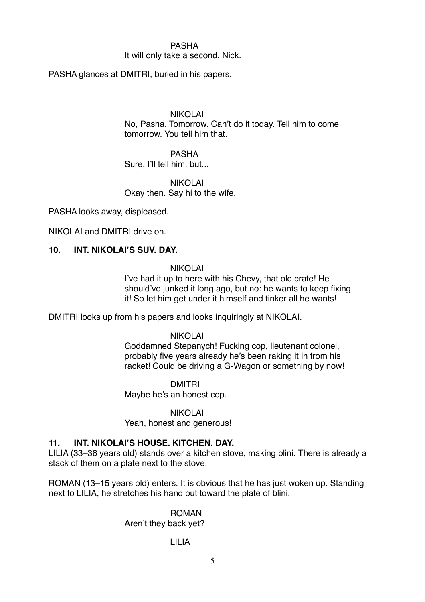### PASHA

#### It will only take a second, Nick.

PASHA glances at DMITRI, buried in his papers.

#### NIKOLAI

No, Pasha. Tomorrow. Can't do it today. Tell him to come tomorrow. You tell him that.

# PASHA

Sure, I'll tell him, but...

### NIKOLAI Okay then. Say hi to the wife.

PASHA looks away, displeased.

NIKOLAI and DMITRI drive on.

# **10. INT. NIKOLAI'S SUV. DAY.**

#### NIKOLAI

I've had it up to here with his Chevy, that old crate! He should've junked it long ago, but no: he wants to keep fixing it! So let him get under it himself and tinker all he wants!

DMITRI looks up from his papers and looks inquiringly at NIKOLAI.

#### NIKOLAI

Goddamned Stepanych! Fucking cop, lieutenant colonel, probably five years already he's been raking it in from his racket! Could be driving a G-Wagon or something by now!

DMITRI Maybe he's an honest cop.

NIKOLAI

Yeah, honest and generous!

# **11. INT. NIKOLAI'S HOUSE. KITCHEN. DAY.**

LILIA (33–36 years old) stands over a kitchen stove, making blini. There is already a stack of them on a plate next to the stove.

ROMAN (13–15 years old) enters. It is obvious that he has just woken up. Standing next to LILIA, he stretches his hand out toward the plate of blini.

#### ROMAN

Aren't they back yet?

# LILIA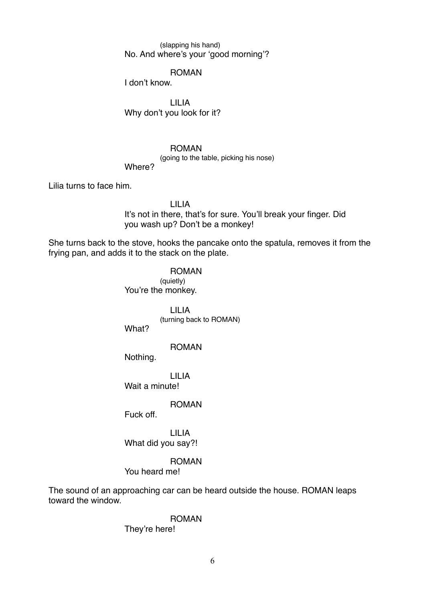(slapping his hand) No. And where's your 'good morning'?

#### ROMAN

I don't know.

LILIA Why don't you look for it?

#### ROMAN

(going to the table, picking his nose)

#### Where?

Lilia turns to face him.

LILIA It's not in there, that's for sure. You'll break your finger. Did you wash up? Don't be a monkey!

She turns back to the stove, hooks the pancake onto the spatula, removes it from the frying pan, and adds it to the stack on the plate.

> ROMAN (quietly) You're the monkey.

> > LILIA (turning back to ROMAN)

What?

#### ROMAN

Nothing.

LILIA Wait a minute!

ROMAN

Fuck off.

LILIA What did you say?!

#### ROMAN

You heard me!

The sound of an approaching car can be heard outside the house. ROMAN leaps toward the window.

> ROMAN They're here!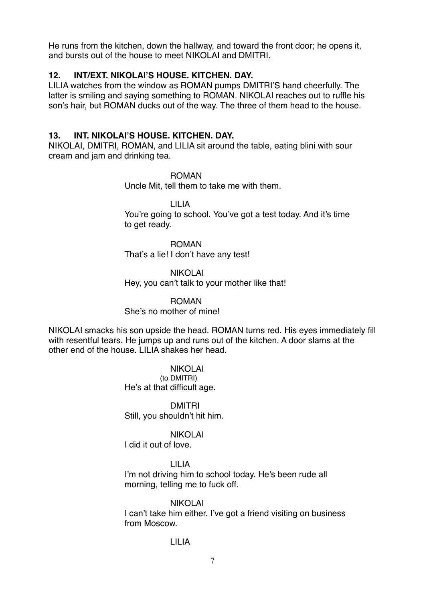He runs from the kitchen, down the hallway, and toward the front door; he opens it, and bursts out of the house to meet NIKOLAI and DMITRI.

# **12. INT/EXT. NIKOLAI'S HOUSE. KITCHEN. DAY.**

LILIA watches from the window as ROMAN pumps DMITRI'S hand cheerfully. The latter is smiling and saying something to ROMAN. NIKOLAI reaches out to ruffle his son's hair, but ROMAN ducks out of the way. The three of them head to the house.

# **13. INT. NIKOLAI'S HOUSE. KITCHEN. DAY.**

NIKOLAI, DMITRI, ROMAN, and LILIA sit around the table, eating blini with sour cream and jam and drinking tea.

> ROMAN Uncle Mit, tell them to take me with them.

LILIA You're going to school. You've got a test today. And it's time to get ready.

ROMAN That's a lie! I don't have any test!

NIKOLAI Hey, you can't talk to your mother like that!

ROMAN She's no mother of mine!

NIKOLAI smacks his son upside the head. ROMAN turns red. His eyes immediately fill with resentful tears. He jumps up and runs out of the kitchen. A door slams at the other end of the house. LILIA shakes her head.

> NIKOLAI (to DMITRI) He's at that difficult age.

DMITRI Still, you shouldn't hit him.

NIKOLAI

I did it out of love.

# LILIA

I'm not driving him to school today. He's been rude all morning, telling me to fuck off.

NIKOLAI I can't take him either. I've got a friend visiting on business from Moscow.

# LILIA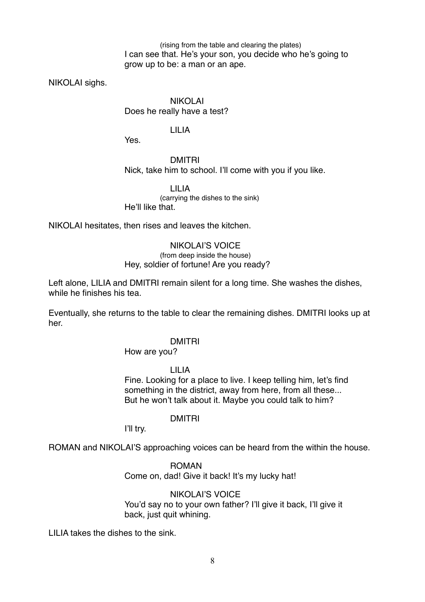(rising from the table and clearing the plates) I can see that. He's your son, you decide who he's going to grow up to be: a man or an ape.

NIKOLAI sighs.

NIKOLAI Does he really have a test?

### LILIA

Yes.

### DMITRI

Nick, take him to school. I'll come with you if you like.

LILIA (carrying the dishes to the sink) He'll like that.

NIKOLAI hesitates, then rises and leaves the kitchen.

#### NIKOLAI'S VOICE

#### (from deep inside the house) Hey, soldier of fortune! Are you ready?

Left alone, LILIA and DMITRI remain silent for a long time. She washes the dishes, while he finishes his tea.

Eventually, she returns to the table to clear the remaining dishes. DMITRI looks up at her.

#### DMITRI

#### How are you?

LILIA Fine. Looking for a place to live. I keep telling him, let's find something in the district, away from here, from all these... But he won't talk about it. Maybe you could talk to him?

#### DMITRI

I'll try.

ROMAN and NIKOLAI'S approaching voices can be heard from the within the house.

ROMAN Come on, dad! Give it back! It's my lucky hat!

### NIKOLAI'S VOICE You'd say no to your own father? I'll give it back, I'll give it back, just quit whining.

LILIA takes the dishes to the sink.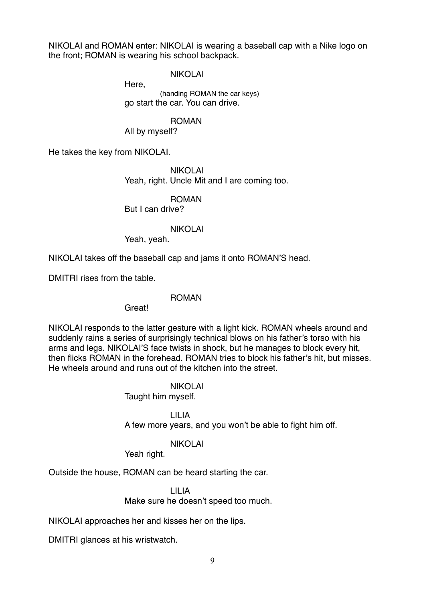NIKOLAI and ROMAN enter: NIKOLAI is wearing a baseball cap with a Nike logo on the front; ROMAN is wearing his school backpack.

NIKOLAI

Here, (handing ROMAN the car keys) go start the car. You can drive.

# ROMAN

All by myself?

He takes the key from NIKOLAI.

NIKOLAI Yeah, right. Uncle Mit and I are coming too.

ROMAN

But I can drive?

# NIKOLAI

Yeah, yeah.

NIKOLAI takes off the baseball cap and jams it onto ROMAN'S head.

DMITRI rises from the table.

# ROMAN

Great!

NIKOLAI responds to the latter gesture with a light kick. ROMAN wheels around and suddenly rains a series of surprisingly technical blows on his father's torso with his arms and legs. NIKOLAI'S face twists in shock, but he manages to block every hit, then flicks ROMAN in the forehead. ROMAN tries to block his father's hit, but misses. He wheels around and runs out of the kitchen into the street.

> NIKOLAI Taught him myself.

LILIA A few more years, and you won't be able to fight him off.

NIKOLAI

Yeah right.

Outside the house, ROMAN can be heard starting the car.

LILIA Make sure he doesn't speed too much.

NIKOLAI approaches her and kisses her on the lips.

DMITRI glances at his wristwatch.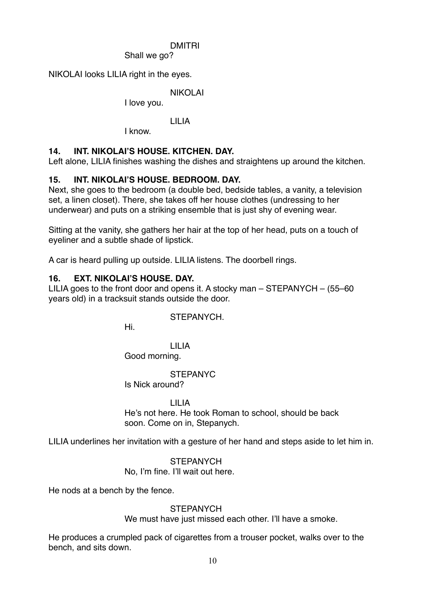# DMITRI

Shall we go?

NIKOLAI looks LILIA right in the eyes.

NIKOLAI

I love you.

# LILIA

I know.

# **14. INT. NIKOLAI'S HOUSE. KITCHEN. DAY.**

Left alone, LILIA finishes washing the dishes and straightens up around the kitchen.

# **15. INT. NIKOLAI'S HOUSE. BEDROOM. DAY.**

Next, she goes to the bedroom (a double bed, bedside tables, a vanity, a television set, a linen closet). There, she takes off her house clothes (undressing to her underwear) and puts on a striking ensemble that is just shy of evening wear.

Sitting at the vanity, she gathers her hair at the top of her head, puts on a touch of eyeliner and a subtle shade of lipstick.

A car is heard pulling up outside. LILIA listens. The doorbell rings.

# **16. EXT. NIKOLAI'S HOUSE. DAY.**

LILIA goes to the front door and opens it. A stocky man  $-$  STEPANYCH  $-$  (55–60) years old) in a tracksuit stands outside the door.

# STEPANYCH.

Hi.

LILIA Good morning.

# STEPANYC

Is Nick around?

# LILIA

He's not here. He took Roman to school, should be back soon. Come on in, Stepanych.

LILIA underlines her invitation with a gesture of her hand and steps aside to let him in.

# **STEPANYCH**

No, I'm fine. I'll wait out here.

He nods at a bench by the fence.

# **STEPANYCH**

We must have just missed each other. I'll have a smoke.

He produces a crumpled pack of cigarettes from a trouser pocket, walks over to the bench, and sits down.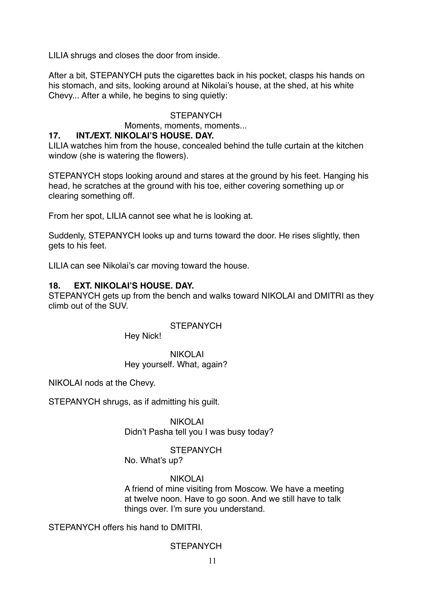LILIA shrugs and closes the door from inside.

After a bit, STEPANYCH puts the cigarettes back in his pocket, clasps his hands on his stomach, and sits, looking around at Nikolai's house, at the shed, at his white Chevy... After a while, he begins to sing quietly:

# **STEPANYCH**

Moments, moments, moments...

# **17. INT./EXT. NIKOLAI'S HOUSE. DAY.**

LILIA watches him from the house, concealed behind the tulle curtain at the kitchen window (she is watering the flowers).

STEPANYCH stops looking around and stares at the ground by his feet. Hanging his head, he scratches at the ground with his toe, either covering something up or clearing something off.

From her spot, LILIA cannot see what he is looking at.

Suddenly, STEPANYCH looks up and turns toward the door. He rises slightly, then gets to his feet.

LILIA can see Nikolai's car moving toward the house.

# **18. EXT. NIKOLAI'S HOUSE. DAY.**

STEPANYCH gets up from the bench and walks toward NIKOLAI and DMITRI as they climb out of the SUV.

**STEPANYCH** 

Hey Nick!

NIKOLAI Hey yourself. What, again?

NIKOLAI nods at the Chevy.

STEPANYCH shrugs, as if admitting his guilt.

NIKOLAI Didn't Pasha tell you I was busy today?

# **STEPANYCH**

No. What's up?

# NIKOLAI

A friend of mine visiting from Moscow. We have a meeting at twelve noon. Have to go soon. And we still have to talk things over. I'm sure you understand.

STEPANYCH offers his hand to DMITRI.

# **STEPANYCH**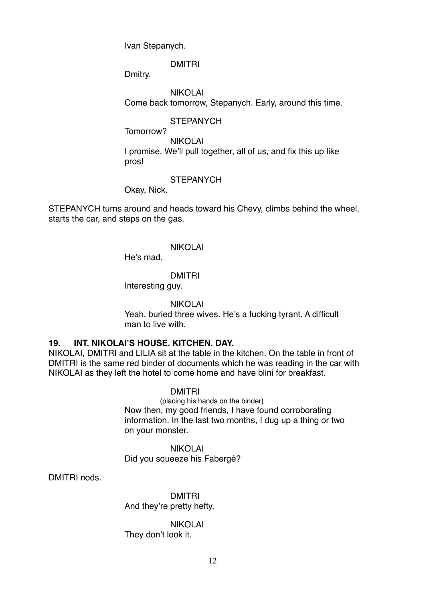Ivan Stepanych.

DMITRI

Dmitry.

NIKOLAI Come back tomorrow, Stepanych. Early, around this time.

**STEPANYCH** 

Tomorrow?

NIKOLAI I promise. We'll pull together, all of us, and fix this up like pros!

# **STEPANYCH**

Okay, Nick.

STEPANYCH turns around and heads toward his Chevy, climbs behind the wheel, starts the car, and steps on the gas.

# NIKOLAI

He's mad.

# DMITRI

Interesting guy.

# NIKOLAI

Yeah, buried three wives. He's a fucking tyrant. A difficult man to live with.

# **19. INT. NIKOLAI'S HOUSE. KITCHEN. DAY.**

NIKOLAI, DMITRI and LILIA sit at the table in the kitchen. On the table in front of DMITRI is the same red binder of documents which he was reading in the car with NIKOLAI as they left the hotel to come home and have blini for breakfast.

# DMITRI

(placing his hands on the binder) Now then, my good friends, I have found corroborating information. In the last two months, I dug up a thing or two on your monster.

NIKOLAI Did you squeeze his Fabergé?

DMITRI nods.

DMITRI And they're pretty hefty.

NIKOLAI They don't look it.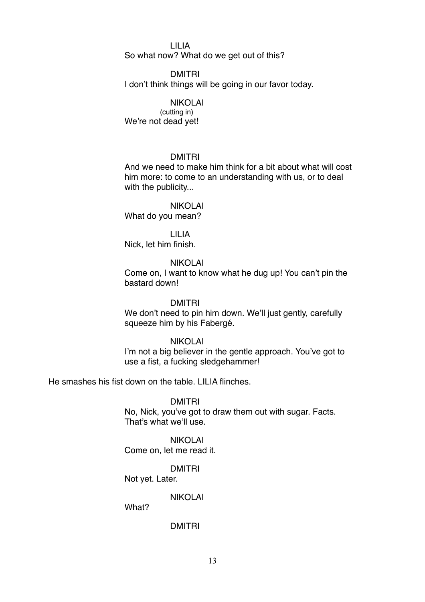#### LILIA

So what now? What do we get out of this?

#### DMITRI

I don't think things will be going in our favor today.

### NIKOLAI

(cutting in) We're not dead yet!

#### DMITRI

And we need to make him think for a bit about what will cost him more: to come to an understanding with us, or to deal with the publicity...

#### NIKOLAI

What do you mean?

LILIA Nick, let him finish.

# NIKOLAI

Come on, I want to know what he dug up! You can't pin the bastard down!

#### DMITRI

We don't need to pin him down. We'll just gently, carefully squeeze him by his Fabergé.

# NIKOLAI

I'm not a big believer in the gentle approach. You've got to use a fist, a fucking sledgehammer!

He smashes his fist down on the table. LILIA flinches.

#### DMITRI

No, Nick, you've got to draw them out with sugar. Facts. That's what we'll use.

# NIKOLAI

Come on, let me read it.

# DMITRI

Not yet. Later.

### NIKOLAI

What?

### DMITRI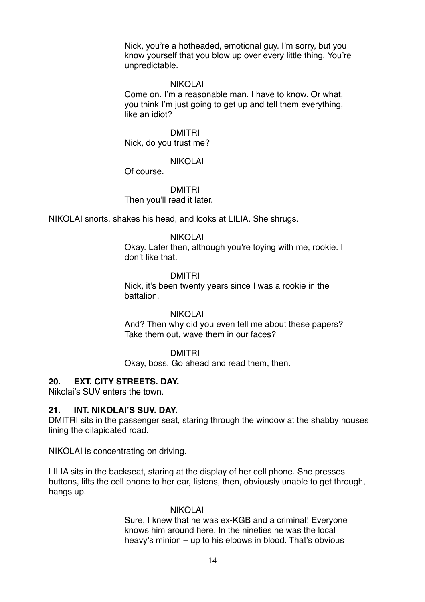Nick, you're a hotheaded, emotional guy. I'm sorry, but you know yourself that you blow up over every little thing. You're unpredictable.

#### NIKOLAI

Come on. I'm a reasonable man. I have to know. Or what, you think I'm just going to get up and tell them everything, like an idiot?

DMITRI Nick, do you trust me?

#### NIKOLAI

Of course.

# DMITRI Then you'll read it later.

NIKOLAI snorts, shakes his head, and looks at LILIA. She shrugs.

#### NIKOLAI

Okay. Later then, although you're toying with me, rookie. I don't like that.

#### DMITRI

Nick, it's been twenty years since I was a rookie in the battalion.

#### NIKOLAI

And? Then why did you even tell me about these papers? Take them out, wave them in our faces?

#### DMITRI

Okay, boss. Go ahead and read them, then.

# **20. EXT. CITY STREETS. DAY.**

Nikolai's SUV enters the town.

#### **21. INT. NIKOLAI'S SUV. DAY.**

DMITRI sits in the passenger seat, staring through the window at the shabby houses lining the dilapidated road.

NIKOLAI is concentrating on driving.

LILIA sits in the backseat, staring at the display of her cell phone. She presses buttons, lifts the cell phone to her ear, listens, then, obviously unable to get through, hangs up.

#### NIKOLAI

Sure, I knew that he was ex-KGB and a criminal! Everyone knows him around here. In the nineties he was the local heavy's minion – up to his elbows in blood. That's obvious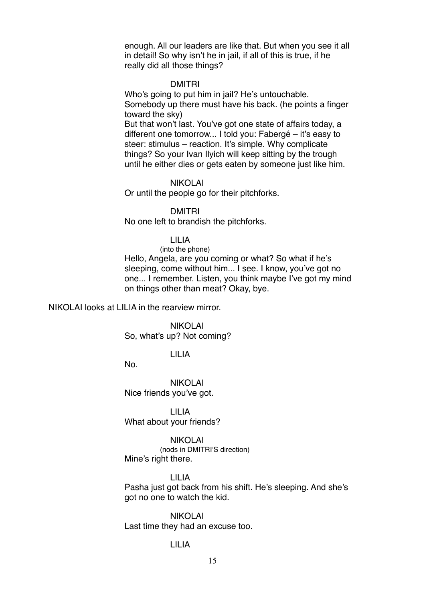enough. All our leaders are like that. But when you see it all in detail! So why isn't he in jail, if all of this is true, if he really did all those things?

#### DMITRI

Who's going to put him in jail? He's untouchable. Somebody up there must have his back. (he points a finger toward the sky) But that won't last. You've got one state of affairs today, a

different one tomorrow... I told you: Fabergé – it's easy to steer: stimulus – reaction. It's simple. Why complicate things? So your Ivan Ilyich will keep sitting by the trough until he either dies or gets eaten by someone just like him.

#### NIKOLAI

Or until the people go for their pitchforks.

#### DMITRI

No one left to brandish the pitchforks.

LILIA

(into the phone) Hello, Angela, are you coming or what? So what if he's sleeping, come without him... I see. I know, you've got no one... I remember. Listen, you think maybe I've got my mind on things other than meat? Okay, bye.

NIKOLAI looks at LILIA in the rearview mirror.

NIKOLAI So, what's up? Not coming?

#### LILIA

No.

NIKOLAI Nice friends you've got.

LILIA What about your friends?

NIKOLAI (nods in DMITRI'S direction) Mine's right there.

LILIA

Pasha just got back from his shift. He's sleeping. And she's got no one to watch the kid.

NIKOLAI Last time they had an excuse too.

### LILIA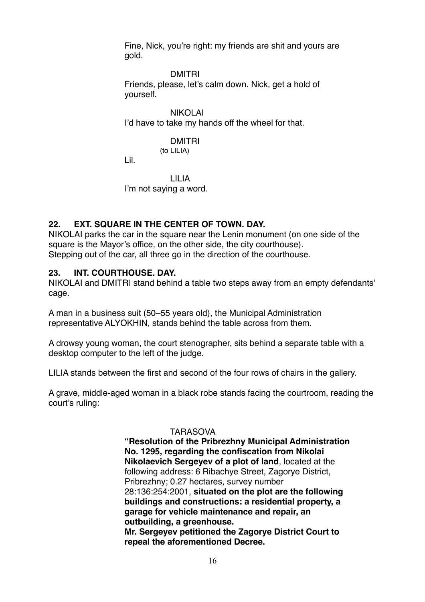Fine, Nick, you're right: my friends are shit and yours are gold.

DMITRI

Friends, please, let's calm down. Nick, get a hold of yourself.

NIKOLAI I'd have to take my hands off the wheel for that.

# DMITRI

(to LILIA)

Lil.

LILIA I'm not saying a word.

# **22. EXT. SQUARE IN THE CENTER OF TOWN. DAY.**

NIKOLAI parks the car in the square near the Lenin monument (on one side of the square is the Mayor's office, on the other side, the city courthouse). Stepping out of the car, all three go in the direction of the courthouse.

# **23. INT. COURTHOUSE. DAY.**

NIKOLAI and DMITRI stand behind a table two steps away from an empty defendants' cage.

A man in a business suit (50–55 years old), the Municipal Administration representative ALYOKHIN, stands behind the table across from them.

A drowsy young woman, the court stenographer, sits behind a separate table with a desktop computer to the left of the judge.

LILIA stands between the first and second of the four rows of chairs in the gallery.

A grave, middle-aged woman in a black robe stands facing the courtroom, reading the court's ruling:

# TARASOVA

**"Resolution of the Pribrezhny Municipal Administration No. 1295, regarding the confiscation from Nikolai Nikolaevich Sergeyev of a plot of land**, located at the following address: 6 Ribachye Street, Zagorye District, Pribrezhny; 0.27 hectares, survey number 28:136:254:2001, **situated on the plot are the following buildings and constructions: a residential property, a garage for vehicle maintenance and repair, an outbuilding, a greenhouse. Mr. Sergeyev petitioned the Zagorye District Court to repeal the aforementioned Decree.**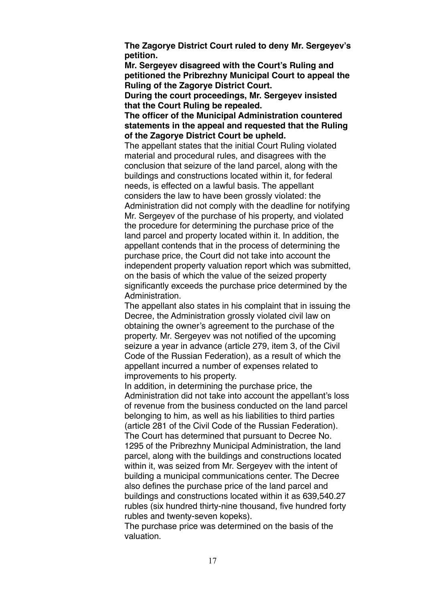**The Zagorye District Court ruled to deny Mr. Sergeyev's petition.**

**Mr. Sergeyev disagreed with the Court's Ruling and petitioned the Pribrezhny Municipal Court to appeal the Ruling of the Zagorye District Court.**

**During the court proceedings, Mr. Sergeyev insisted that the Court Ruling be repealed.**

**The officer of the Municipal Administration countered statements in the appeal and requested that the Ruling of the Zagorye District Court be upheld.**

The appellant states that the initial Court Ruling violated material and procedural rules, and disagrees with the conclusion that seizure of the land parcel, along with the buildings and constructions located within it, for federal needs, is effected on a lawful basis. The appellant considers the law to have been grossly violated: the Administration did not comply with the deadline for notifying Mr. Sergeyev of the purchase of his property, and violated the procedure for determining the purchase price of the land parcel and property located within it. In addition, the appellant contends that in the process of determining the purchase price, the Court did not take into account the independent property valuation report which was submitted, on the basis of which the value of the seized property significantly exceeds the purchase price determined by the Administration.

The appellant also states in his complaint that in issuing the Decree, the Administration grossly violated civil law on obtaining the owner's agreement to the purchase of the property. Mr. Sergeyev was not notified of the upcoming seizure a year in advance (article 279, item 3, of the Civil Code of the Russian Federation), as a result of which the appellant incurred a number of expenses related to improvements to his property.

In addition, in determining the purchase price, the Administration did not take into account the appellant's loss of revenue from the business conducted on the land parcel belonging to him, as well as his liabilities to third parties (article 281 of the Civil Code of the Russian Federation). The Court has determined that pursuant to Decree No. 1295 of the Pribrezhny Municipal Administration, the land parcel, along with the buildings and constructions located within it, was seized from Mr. Sergeyev with the intent of building a municipal communications center. The Decree also defines the purchase price of the land parcel and buildings and constructions located within it as 639,540.27 rubles (six hundred thirty-nine thousand, five hundred forty rubles and twenty-seven kopeks).

The purchase price was determined on the basis of the valuation.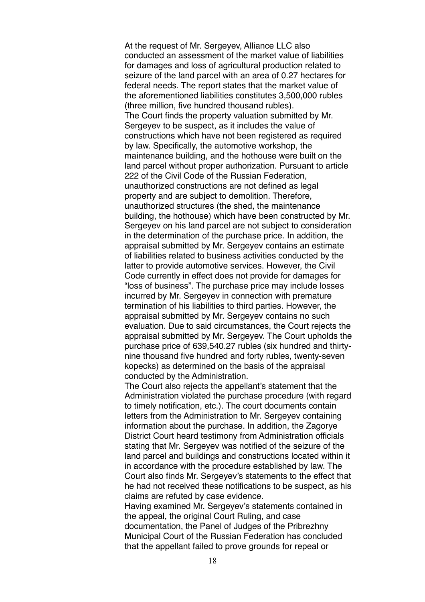At the request of Mr. Sergeyev, Alliance LLC also conducted an assessment of the market value of liabilities for damages and loss of agricultural production related to seizure of the land parcel with an area of 0.27 hectares for federal needs. The report states that the market value of the aforementioned liabilities constitutes 3,500,000 rubles (three million, five hundred thousand rubles). The Court finds the property valuation submitted by Mr. Sergeyev to be suspect, as it includes the value of constructions which have not been registered as required by law. Specifically, the automotive workshop, the maintenance building, and the hothouse were built on the land parcel without proper authorization. Pursuant to article 222 of the Civil Code of the Russian Federation, unauthorized constructions are not defined as legal property and are subject to demolition. Therefore, unauthorized structures (the shed, the maintenance building, the hothouse) which have been constructed by Mr. Sergeyev on his land parcel are not subject to consideration in the determination of the purchase price. In addition, the appraisal submitted by Mr. Sergeyev contains an estimate of liabilities related to business activities conducted by the latter to provide automotive services. However, the Civil Code currently in effect does not provide for damages for "loss of business". The purchase price may include losses incurred by Mr. Sergeyev in connection with premature termination of his liabilities to third parties. However, the appraisal submitted by Mr. Sergeyev contains no such evaluation. Due to said circumstances, the Court rejects the appraisal submitted by Mr. Sergeyev. The Court upholds the purchase price of 639,540.27 rubles (six hundred and thirtynine thousand five hundred and forty rubles, twenty-seven kopecks) as determined on the basis of the appraisal conducted by the Administration.

The Court also rejects the appellant's statement that the Administration violated the purchase procedure (with regard to timely notification, etc.). The court documents contain letters from the Administration to Mr. Sergeyev containing information about the purchase. In addition, the Zagorye District Court heard testimony from Administration officials stating that Mr. Sergeyev was notified of the seizure of the land parcel and buildings and constructions located within it in accordance with the procedure established by law. The Court also finds Mr. Sergeyev's statements to the effect that he had not received these notifications to be suspect, as his claims are refuted by case evidence.

Having examined Mr. Sergeyev's statements contained in the appeal, the original Court Ruling, and case documentation, the Panel of Judges of the Pribrezhny Municipal Court of the Russian Federation has concluded that the appellant failed to prove grounds for repeal or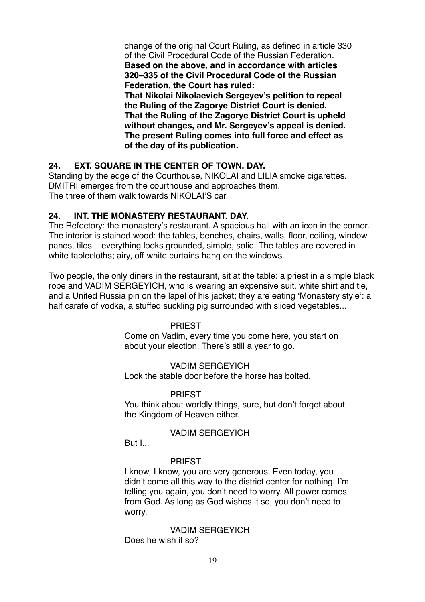change of the original Court Ruling, as defined in article 330 of the Civil Procedural Code of the Russian Federation. **Based on the above, and in accordance with articles 320–335 of the Civil Procedural Code of the Russian Federation, the Court has ruled: That Nikolai Nikolaevich Sergeyev's petition to repeal** 

**the Ruling of the Zagorye District Court is denied. That the Ruling of the Zagorye District Court is upheld without changes, and Mr. Sergeyev's appeal is denied. The present Ruling comes into full force and effect as of the day of its publication.**

# **24. EXT. SQUARE IN THE CENTER OF TOWN. DAY.**

Standing by the edge of the Courthouse, NIKOLAI and LILIA smoke cigarettes. DMITRI emerges from the courthouse and approaches them. The three of them walk towards NIKOLAI'S car.

# **24. INT. THE MONASTERY RESTAURANT. DAY.**

The Refectory: the monastery's restaurant. A spacious hall with an icon in the corner. The interior is stained wood: the tables, benches, chairs, walls, floor, ceiling, window panes, tiles – everything looks grounded, simple, solid. The tables are covered in white tablecloths; airy, off-white curtains hang on the windows.

Two people, the only diners in the restaurant, sit at the table: a priest in a simple black robe and VADIM SERGEYICH, who is wearing an expensive suit, white shirt and tie, and a United Russia pin on the lapel of his jacket; they are eating 'Monastery style': a half carafe of vodka, a stuffed suckling pig surrounded with sliced vegetables...

# PRIEST

Come on Vadim, every time you come here, you start on about your election. There's still a year to go.

# VADIM SERGEYICH

Lock the stable door before the horse has bolted.

#### PRIEST

You think about worldly things, sure, but don't forget about the Kingdom of Heaven either.

#### VADIM SERGEYICH

But I...

#### PRIEST

I know, I know, you are very generous. Even today, you didn't come all this way to the district center for nothing. I'm telling you again, you don't need to worry. All power comes from God. As long as God wishes it so, you don't need to worry.

VADIM SERGEYICH Does he wish it so?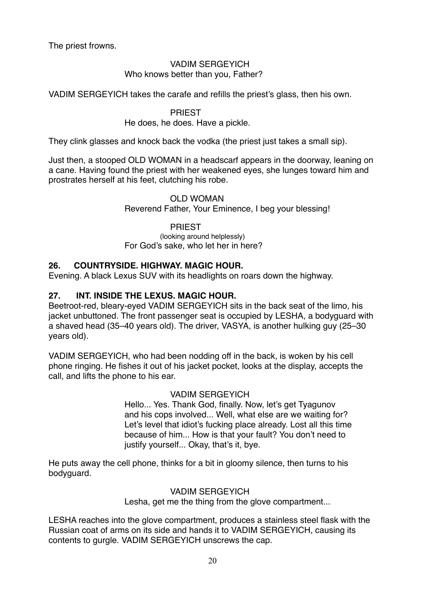The priest frowns.

# VADIM SERGEYICH Who knows better than you, Father?

VADIM SERGEYICH takes the carafe and refills the priest's glass, then his own.

# **PRIEST**

# He does, he does. Have a pickle.

They clink glasses and knock back the vodka (the priest just takes a small sip).

Just then, a stooped OLD WOMAN in a headscarf appears in the doorway, leaning on a cane. Having found the priest with her weakened eyes, she lunges toward him and prostrates herself at his feet, clutching his robe.

# OLD WOMAN Reverend Father, Your Eminence, I beg your blessing!

# **PRIEST** (looking around helplessly) For God's sake, who let her in here?

# **26. COUNTRYSIDE. HIGHWAY. MAGIC HOUR.**

Evening. A black Lexus SUV with its headlights on roars down the highway.

# **27. INT. INSIDE THE LEXUS. MAGIC HOUR.**

Beetroot-red, bleary-eyed VADIM SERGEYICH sits in the back seat of the limo, his jacket unbuttoned. The front passenger seat is occupied by LESHA, a bodyguard with a shaved head (35–40 years old). The driver, VASYA, is another hulking guy (25–30 years old).

VADIM SERGEYICH, who had been nodding off in the back, is woken by his cell phone ringing. He fishes it out of his jacket pocket, looks at the display, accepts the call, and lifts the phone to his ear.

# VADIM SERGEYICH

Hello... Yes. Thank God, finally. Now, let's get Tyagunov and his cops involved... Well, what else are we waiting for? Let's level that idiot's fucking place already. Lost all this time because of him... How is that your fault? You don't need to justify yourself... Okay, that's it, bye.

He puts away the cell phone, thinks for a bit in gloomy silence, then turns to his bodyguard.

# VADIM SERGEYICH

Lesha, get me the thing from the glove compartment...

LESHA reaches into the glove compartment, produces a stainless steel flask with the Russian coat of arms on its side and hands it to VADIM SERGEYICH, causing its contents to gurgle. VADIM SERGEYICH unscrews the cap.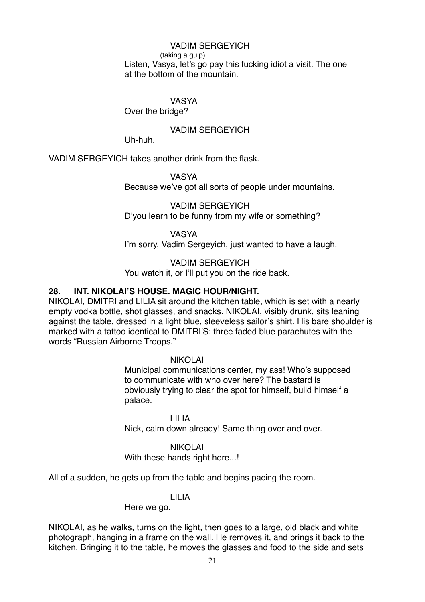VADIM SERGEYICH (taking a gulp) Listen, Vasya, let's go pay this fucking idiot a visit. The one at the bottom of the mountain.

VASYA

Over the bridge?

VADIM SERGEYICH

Uh-huh.

VADIM SERGEYICH takes another drink from the flask.

VASYA Because we've got all sorts of people under mountains.

VADIM SERGEYICH D'you learn to be funny from my wife or something?

VASYA I'm sorry, Vadim Sergeyich, just wanted to have a laugh.

VADIM SERGEYICH You watch it, or I'll put you on the ride back.

# **28. INT. NIKOLAI'S HOUSE. MAGIC HOUR/NIGHT.**

NIKOLAI, DMITRI and LILIA sit around the kitchen table, which is set with a nearly empty vodka bottle, shot glasses, and snacks. NIKOLAI, visibly drunk, sits leaning against the table, dressed in a light blue, sleeveless sailor's shirt. His bare shoulder is marked with a tattoo identical to DMITRI'S: three faded blue parachutes with the words "Russian Airborne Troops."

NIKOLAI

Municipal communications center, my ass! Who's supposed to communicate with who over here? The bastard is obviously trying to clear the spot for himself, build himself a palace.

LILIA Nick, calm down already! Same thing over and over.

NIKOLAI

With these hands right here...!

All of a sudden, he gets up from the table and begins pacing the room.

### LILIA

Here we go.

NIKOLAI, as he walks, turns on the light, then goes to a large, old black and white photograph, hanging in a frame on the wall. He removes it, and brings it back to the kitchen. Bringing it to the table, he moves the glasses and food to the side and sets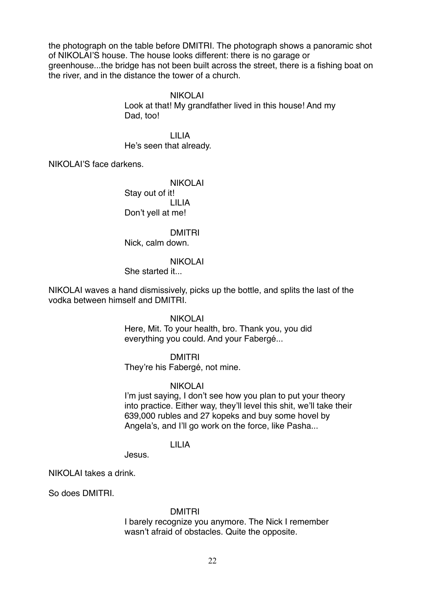the photograph on the table before DMITRI. The photograph shows a panoramic shot of NIKOLAI'S house. The house looks different: there is no garage or greenhouse...the bridge has not been built across the street, there is a fishing boat on the river, and in the distance the tower of a church.

#### NIKOLAI

Look at that! My grandfather lived in this house! And my Dad, too!

LILIA He's seen that already.

NIKOLAI'S face darkens.

NIKOLAI Stay out of it! LILIA Don't yell at me!

DMITRI

Nick, calm down.

#### NIKOLAI

She started it...

NIKOLAI waves a hand dismissively, picks up the bottle, and splits the last of the vodka between himself and DMITRI.

#### NIKOLAI

Here, Mit. To your health, bro. Thank you, you did everything you could. And your Fabergé...

### DMITRI

They're his Fabergé, not mine.

#### NIKOLAI

I'm just saying, I don't see how you plan to put your theory into practice. Either way, they'll level this shit, we'll take their 639,000 rubles and 27 kopeks and buy some hovel by Angela's, and I'll go work on the force, like Pasha...

### LILIA

Jesus.

NIKOLAI takes a drink.

So does DMITRI.

#### DMITRI

I barely recognize you anymore. The Nick I remember wasn't afraid of obstacles. Quite the opposite.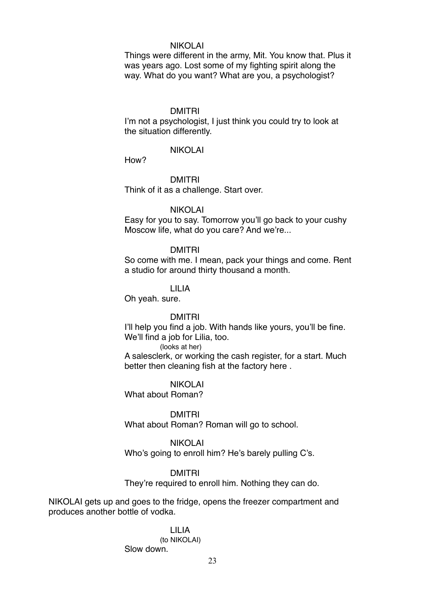#### NIKOLAI

Things were different in the army, Mit. You know that. Plus it was years ago. Lost some of my fighting spirit along the way. What do you want? What are you, a psychologist?

#### DMITRI

I'm not a psychologist, I just think you could try to look at the situation differently.

#### NIKOLAI

How?

DMITRI

Think of it as a challenge. Start over.

#### NIKOLAI

Easy for you to say. Tomorrow you'll go back to your cushy Moscow life, what do you care? And we're...

#### DMITRI

So come with me. I mean, pack your things and come. Rent a studio for around thirty thousand a month.

#### LILIA

Oh yeah. sure.

#### DMITRI

I'll help you find a job. With hands like yours, you'll be fine. We'll find a job for Lilia, too.

(looks at her)

A salesclerk, or working the cash register, for a start. Much better then cleaning fish at the factory here .

NIKOLAI

What about Roman?

#### DMITRI

What about Roman? Roman will go to school.

#### NIKOLAI

Who's going to enroll him? He's barely pulling C's.

#### DMITRI

They're required to enroll him. Nothing they can do.

NIKOLAI gets up and goes to the fridge, opens the freezer compartment and produces another bottle of vodka.

#### LILIA

(to NIKOLAI) Slow down.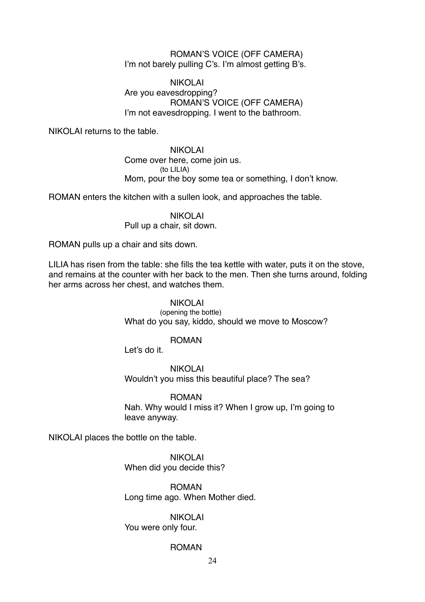### ROMAN'S VOICE (OFF CAMERA) I'm not barely pulling C's. I'm almost getting B's.

# NIKOLAI Are you eavesdropping? ROMAN'S VOICE (OFF CAMERA) I'm not eavesdropping. I went to the bathroom.

NIKOLAI returns to the table.

NIKOLAI Come over here, come join us. (to LILIA) Mom, pour the boy some tea or something, I don't know.

ROMAN enters the kitchen with a sullen look, and approaches the table.

NIKOLAI Pull up a chair, sit down.

ROMAN pulls up a chair and sits down.

LILIA has risen from the table: she fills the tea kettle with water, puts it on the stove, and remains at the counter with her back to the men. Then she turns around, folding her arms across her chest, and watches them.

> NIKOLAI (opening the bottle) What do you say, kiddo, should we move to Moscow?

# ROMAN

Let's do it.

NIKOLAI Wouldn't you miss this beautiful place? The sea?

ROMAN Nah. Why would I miss it? When I grow up, I'm going to leave anyway.

NIKOLAI places the bottle on the table.

NIKOLAI When did you decide this?

ROMAN Long time ago. When Mother died.

NIKOLAI You were only four.

#### ROMAN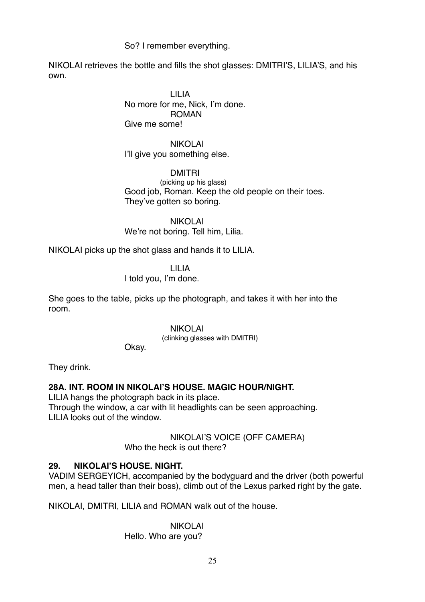# So? I remember everything.

NIKOLAI retrieves the bottle and fills the shot glasses: DMITRI'S, LILIA'S, and his own.

> LILIA No more for me, Nick, I'm done. ROMAN Give me some!

NIKOLAI I'll give you something else.

DMITRI (picking up his glass) Good job, Roman. Keep the old people on their toes. They've gotten so boring.

NIKOLAI We're not boring. Tell him, Lilia.

NIKOLAI picks up the shot glass and hands it to LILIA.

LILIA I told you, I'm done.

She goes to the table, picks up the photograph, and takes it with her into the room.

NIKOLAI

(clinking glasses with DMITRI)

Okay.

They drink.

# **28A. INT. ROOM IN NIKOLAI'S HOUSE. MAGIC HOUR/NIGHT.**

LILIA hangs the photograph back in its place. Through the window, a car with lit headlights can be seen approaching. LILIA looks out of the window.

> NIKOLAI'S VOICE (OFF CAMERA) Who the heck is out there?

# **29. NIKOLAI'S HOUSE. NIGHT.**

VADIM SERGEYICH, accompanied by the bodyguard and the driver (both powerful men, a head taller than their boss), climb out of the Lexus parked right by the gate.

NIKOLAI, DMITRI, LILIA and ROMAN walk out of the house.

NIKOLAI Hello. Who are you?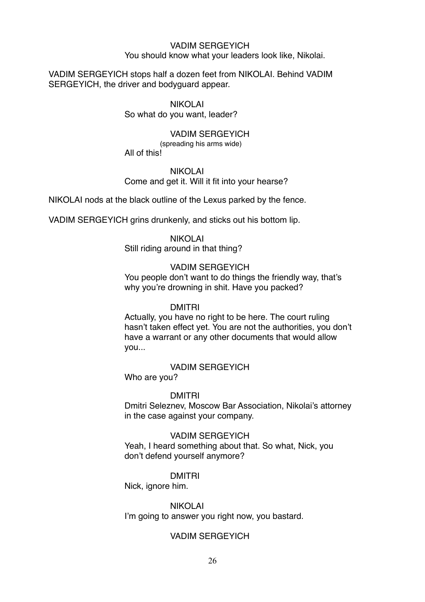#### VADIM SERGEYICH You should know what your leaders look like, Nikolai.

VADIM SERGEYICH stops half a dozen feet from NIKOLAI. Behind VADIM SERGEYICH, the driver and bodyguard appear.

### NIKOLAI

So what do you want, leader?

### VADIM SERGEYICH

(spreading his arms wide)

All of this!

#### NIKOLAI

Come and get it. Will it fit into your hearse?

NIKOLAI nods at the black outline of the Lexus parked by the fence.

VADIM SERGEYICH grins drunkenly, and sticks out his bottom lip.

#### NIKOLAI

Still riding around in that thing?

### VADIM SERGEYICH

You people don't want to do things the friendly way, that's why you're drowning in shit. Have you packed?

#### DMITRI

Actually, you have no right to be here. The court ruling hasn't taken effect yet. You are not the authorities, you don't have a warrant or any other documents that would allow you...

# VADIM SERGEYICH

Who are you?

# DMITRI

Dmitri Seleznev, Moscow Bar Association, Nikolai's attorney in the case against your company.

### VADIM SERGEYICH

Yeah, I heard something about that. So what, Nick, you don't defend yourself anymore?

#### DMITRI

Nick, ignore him.

# NIKOLAI

I'm going to answer you right now, you bastard.

# VADIM SERGEYICH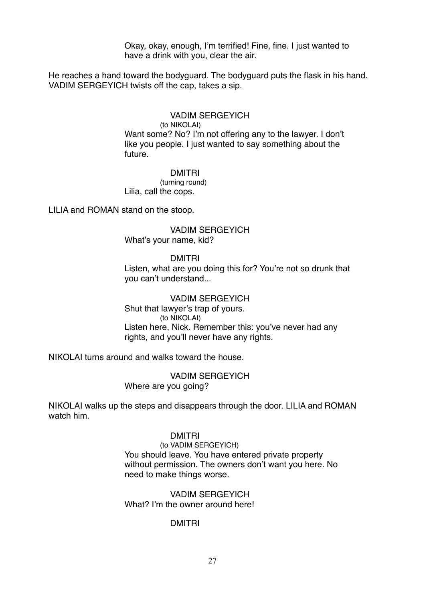Okay, okay, enough, I'm terrified! Fine, fine. I just wanted to have a drink with you, clear the air.

He reaches a hand toward the bodyguard. The bodyguard puts the flask in his hand. VADIM SERGEYICH twists off the cap, takes a sip.

#### VADIM SERGEYICH

(to NIKOLAI)

Want some? No? I'm not offering any to the lawyer. I don't like you people. I just wanted to say something about the future.

#### DMITRI

(turning round) Lilia, call the cops.

LILIA and ROMAN stand on the stoop.

### VADIM SERGEYICH What's your name, kid?

#### DMITRI

Listen, what are you doing this for? You're not so drunk that you can't understand...

### VADIM SERGEYICH Shut that lawyer's trap of yours. (to NIKOLAI) Listen here, Nick. Remember this: you've never had any rights, and you'll never have any rights.

NIKOLAI turns around and walks toward the house.

VADIM SERGEYICH Where are you going?

NIKOLAI walks up the steps and disappears through the door. LILIA and ROMAN watch him.

#### DMITRI

(to VADIM SERGEYICH) You should leave. You have entered private property without permission. The owners don't want you here. No need to make things worse.

### VADIM SERGEYICH What? I'm the owner around here!

# DMITRI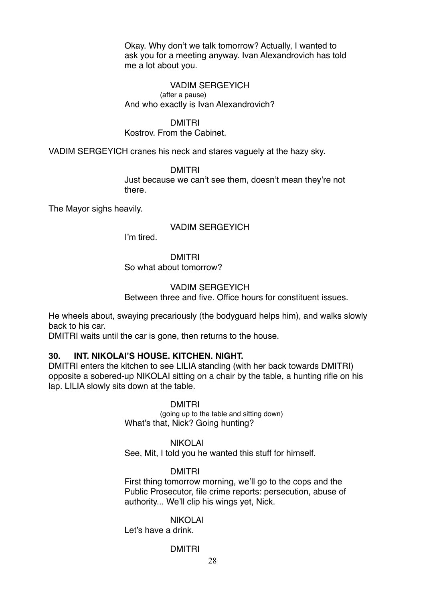Okay. Why don't we talk tomorrow? Actually, I wanted to ask you for a meeting anyway. Ivan Alexandrovich has told me a lot about you.

#### VADIM SERGEYICH (after a pause) And who exactly is Ivan Alexandrovich?

### DMITRI

### Kostrov. From the Cabinet.

VADIM SERGEYICH cranes his neck and stares vaguely at the hazy sky.

DMITRI Just because we can't see them, doesn't mean they're not there.

The Mayor sighs heavily.

#### VADIM SERGEYICH

I'm tired.

# DMITRI

So what about tomorrow?

### VADIM SERGEYICH

Between three and five. Office hours for constituent issues.

He wheels about, swaying precariously (the bodyguard helps him), and walks slowly back to his car.

DMITRI waits until the car is gone, then returns to the house.

### **30. INT. NIKOLAI'S HOUSE. KITCHEN. NIGHT.**

DMITRI enters the kitchen to see LILIA standing (with her back towards DMITRI) opposite a sobered-up NIKOLAI sitting on a chair by the table, a hunting rifle on his lap. LILIA slowly sits down at the table.

#### DMITRI

(going up to the table and sitting down) What's that, Nick? Going hunting?

#### NIKOLAI

See, Mit, I told you he wanted this stuff for himself.

#### DMITRI

First thing tomorrow morning, we'll go to the cops and the Public Prosecutor, file crime reports: persecution, abuse of authority... We'll clip his wings yet, Nick.

### NIKOLAI

Let's have a drink.

#### DMITRI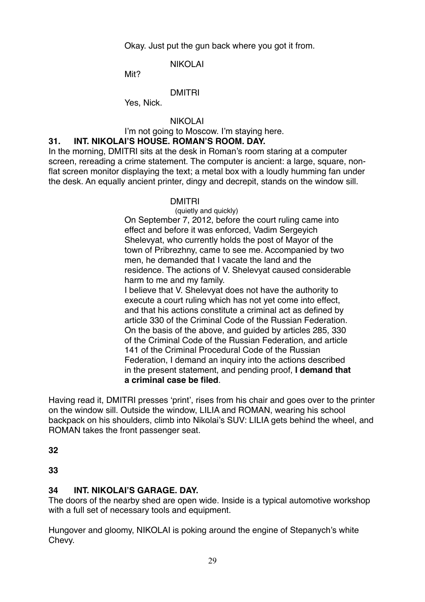Okay. Just put the gun back where you got it from.

# NIKOLAI

Mit?

# DMITRI

Yes, Nick.

# NIKOLAI

I'm not going to Moscow. I'm staying here.

# **31. INT. NIKOLAI'S HOUSE. ROMAN'S ROOM. DAY.**

In the morning, DMITRI sits at the desk in Roman's room staring at a computer screen, rereading a crime statement. The computer is ancient: a large, square, nonflat screen monitor displaying the text; a metal box with a loudly humming fan under the desk. An equally ancient printer, dingy and decrepit, stands on the window sill.

# DMITRI

(quietly and quickly)

On September 7, 2012, before the court ruling came into effect and before it was enforced, Vadim Sergeyich Shelevyat, who currently holds the post of Mayor of the town of Pribrezhny, came to see me. Accompanied by two men, he demanded that I vacate the land and the residence. The actions of V. Shelevyat caused considerable harm to me and my family.

I believe that V. Shelevyat does not have the authority to execute a court ruling which has not yet come into effect, and that his actions constitute a criminal act as defined by article 330 of the Criminal Code of the Russian Federation. On the basis of the above, and guided by articles 285, 330 of the Criminal Code of the Russian Federation, and article 141 of the Criminal Procedural Code of the Russian Federation, I demand an inquiry into the actions described in the present statement, and pending proof, **I demand that a criminal case be filed**.

Having read it, DMITRI presses 'print', rises from his chair and goes over to the printer on the window sill. Outside the window, LILIA and ROMAN, wearing his school backpack on his shoulders, climb into Nikolai's SUV: LILIA gets behind the wheel, and ROMAN takes the front passenger seat.

**32**

**33**

# **34 INT. NIKOLAI'S GARAGE. DAY.**

The doors of the nearby shed are open wide. Inside is a typical automotive workshop with a full set of necessary tools and equipment.

Hungover and gloomy, NIKOLAI is poking around the engine of Stepanych's white Chevy.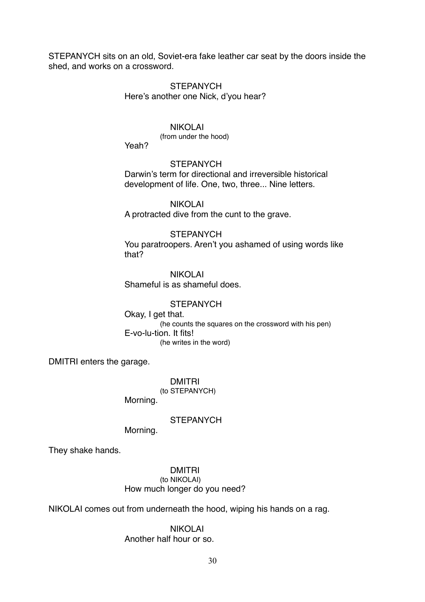STEPANYCH sits on an old, Soviet-era fake leather car seat by the doors inside the shed, and works on a crossword.

### **STEPANYCH** Here's another one Nick, d'you hear?

### NIKOLAI

(from under the hood)

Yeah?

### **STEPANYCH**

Darwin's term for directional and irreversible historical development of life. One, two, three... Nine letters.

NIKOLAI A protracted dive from the cunt to the grave.

### **STEPANYCH**

You paratroopers. Aren't you ashamed of using words like that?

NIKOLAI Shameful is as shameful does.

### **STEPANYCH**

Okay, I get that. (he counts the squares on the crossword with his pen) E-vo-lu-tion. It fits! (he writes in the word)

DMITRI enters the garage.

DMITRI (to STEPANYCH) Morning.

# **STEPANYCH**

Morning.

They shake hands.

DMITRI (to NIKOLAI) How much longer do you need?

NIKOLAI comes out from underneath the hood, wiping his hands on a rag.

NIKOLAI Another half hour or so.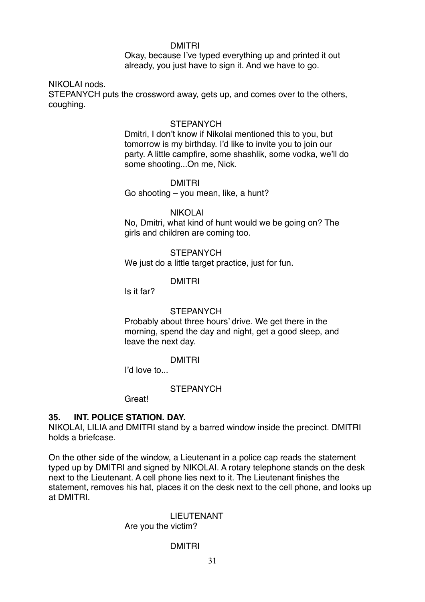#### DMITRI

Okay, because I've typed everything up and printed it out already, you just have to sign it. And we have to go.

### NIKOLAI nods.

STEPANYCH puts the crossword away, gets up, and comes over to the others, coughing.

#### **STEPANYCH**

Dmitri, I don't know if Nikolai mentioned this to you, but tomorrow is my birthday. I'd like to invite you to join our party. A little campfire, some shashlik, some vodka, we'll do some shooting...On me, Nick.

#### DMITRI

Go shooting – you mean, like, a hunt?

### NIKOLAI

No, Dmitri, what kind of hunt would we be going on? The girls and children are coming too.

### **STEPANYCH**

We just do a little target practice, just for fun.

### DMITRI

Is it far?

#### **STEPANYCH**

Probably about three hours' drive. We get there in the morning, spend the day and night, get a good sleep, and leave the next day.

# DMITRI

I'd love to...

# **STEPANYCH**

**Great!** 

# **35. INT. POLICE STATION. DAY.**

NIKOLAI, LILIA and DMITRI stand by a barred window inside the precinct. DMITRI holds a briefcase.

On the other side of the window, a Lieutenant in a police cap reads the statement typed up by DMITRI and signed by NIKOLAI. A rotary telephone stands on the desk next to the Lieutenant. A cell phone lies next to it. The Lieutenant finishes the statement, removes his hat, places it on the desk next to the cell phone, and looks up at DMITRI.

# LIEUTENANT

# Are you the victim?

# DMITRI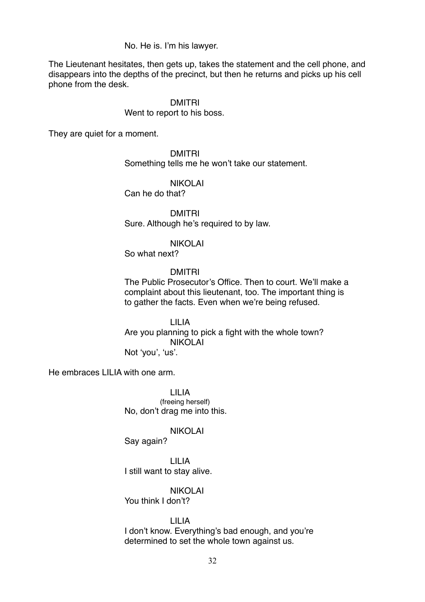No. He is. I'm his lawyer.

The Lieutenant hesitates, then gets up, takes the statement and the cell phone, and disappears into the depths of the precinct, but then he returns and picks up his cell phone from the desk.

#### DMITRI

#### Went to report to his boss.

They are quiet for a moment.

DMITRI Something tells me he won't take our statement.

### NIKOLAI

Can he do that?

DMITRI Sure. Although he's required to by law.

#### NIKOLAI

So what next?

#### DMITRI

The Public Prosecutor's Office. Then to court. We'll make a complaint about this lieutenant, too. The important thing is to gather the facts. Even when we're being refused.

LILIA Are you planning to pick a fight with the whole town? NIKOLAI

Not 'you', 'us'.

He embraces LILIA with one arm.

LILIA (freeing herself) No, don't drag me into this.

#### NIKOLAI

Say again?

LILIA I still want to stay alive.

NIKOLAI You think I don't?

LILIA I don't know. Everything's bad enough, and you're determined to set the whole town against us.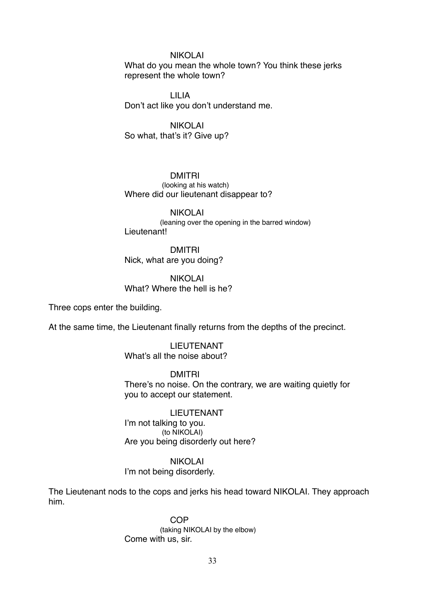#### NIKOLAI

What do you mean the whole town? You think these jerks represent the whole town?

LILIA Don't act like you don't understand me.

NIKOLAI So what, that's it? Give up?

#### DMITRI

 (looking at his watch) Where did our lieutenant disappear to?

NIKOLAI (leaning over the opening in the barred window) Lieutenant!

DMITRI Nick, what are you doing?

NIKOLAI What? Where the hell is he?

Three cops enter the building.

At the same time, the Lieutenant finally returns from the depths of the precinct.

LIEUTENANT What's all the noise about?

DMITRI There's no noise. On the contrary, we are waiting quietly for you to accept our statement.

LIEUTENANT I'm not talking to you. (to NIKOLAI) Are you being disorderly out here?

#### NIKOLAI

I'm not being disorderly.

The Lieutenant nods to the cops and jerks his head toward NIKOLAI. They approach him.

> COP (taking NIKOLAI by the elbow) Come with us, sir.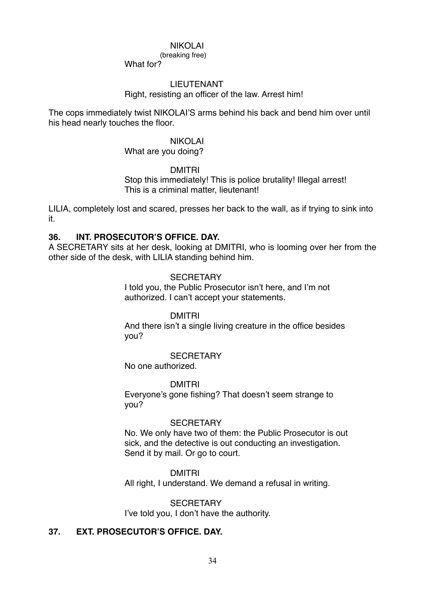#### NIKOLAI

(breaking free)

What for?

### LIEUTENANT

Right, resisting an officer of the law. Arrest him!

The cops immediately twist NIKOLAI'S arms behind his back and bend him over until his head nearly touches the floor.

# NIKOLAI

What are you doing?

DMITRI

Stop this immediately! This is police brutality! Illegal arrest! This is a criminal matter, lieutenant!

LILIA, completely lost and scared, presses her back to the wall, as if trying to sink into it.

### **36. INT. PROSECUTOR'S OFFICE. DAY.**

A SECRETARY sits at her desk, looking at DMITRI, who is looming over her from the other side of the desk, with LILIA standing behind him.

### **SECRETARY** I told you, the Public Prosecutor isn't here, and I'm not authorized. I can't accept your statements.

DMITRI And there isn't a single living creature in the office besides you?

#### **SECRETARY**

No one authorized.

#### DMITRI

Everyone's gone fishing? That doesn't seem strange to you?

# **SECRETARY**

No. We only have two of them: the Public Prosecutor is out sick, and the detective is out conducting an investigation. Send it by mail. Or go to court.

#### DMITRI

All right, I understand. We demand a refusal in writing.

**SECRETARY** I've told you, I don't have the authority.

# **37. EXT. PROSECUTOR'S OFFICE. DAY.**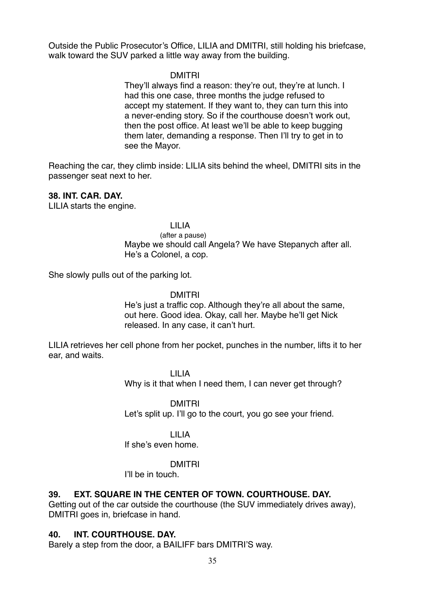Outside the Public Prosecutor's Office, LILIA and DMITRI, still holding his briefcase, walk toward the SUV parked a little way away from the building.

### DMITRI

They'll always find a reason: they're out, they're at lunch. I had this one case, three months the judge refused to accept my statement. If they want to, they can turn this into a never-ending story. So if the courthouse doesn't work out, then the post office. At least we'll be able to keep bugging them later, demanding a response. Then I'll try to get in to see the Mayor.

Reaching the car, they climb inside: LILIA sits behind the wheel, DMITRI sits in the passenger seat next to her.

### **38. INT. CAR. DAY.**

LILIA starts the engine.

#### LILIA

(after a pause) Maybe we should call Angela? We have Stepanych after all. He's a Colonel, a cop.

She slowly pulls out of the parking lot.

### DMITRI

He's just a traffic cop. Although they're all about the same, out here. Good idea. Okay, call her. Maybe he'll get Nick released. In any case, it can't hurt.

LILIA retrieves her cell phone from her pocket, punches in the number, lifts it to her ear, and waits.

> LILIA Why is it that when I need them, I can never get through?

DMITRI Let's split up. I'll go to the court, you go see your friend.

# LILIA

If she's even home.

# DMITRI

I'll be in touch.

# **39. EXT. SQUARE IN THE CENTER OF TOWN. COURTHOUSE. DAY.**

Getting out of the car outside the courthouse (the SUV immediately drives away), DMITRI goes in, briefcase in hand.

# **40. INT. COURTHOUSE. DAY.**

Barely a step from the door, a BAILIFF bars DMITRI'S way.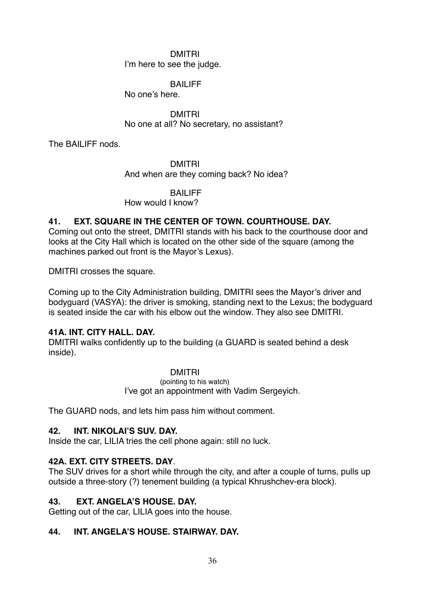# DMITRI I'm here to see the judge.

# BAILIFF

No one's here.

DMITRI No one at all? No secretary, no assistant?

The BAILIFF nods.

DMITRI And when are they coming back? No idea?

# BAILIFF

How would I know?

# **41. EXT. SQUARE IN THE CENTER OF TOWN. COURTHOUSE. DAY.**

Coming out onto the street, DMITRI stands with his back to the courthouse door and looks at the City Hall which is located on the other side of the square (among the machines parked out front is the Mayor's Lexus).

DMITRI crosses the square.

Coming up to the City Administration building, DMITRI sees the Mayor's driver and bodyguard (VASYA): the driver is smoking, standing next to the Lexus; the bodyguard is seated inside the car with his elbow out the window. They also see DMITRI.

# **41A. INT. CITY HALL. DAY.**

DMITRI walks confidently up to the building (a GUARD is seated behind a desk inside).

# DMITRI

(pointing to his watch) I've got an appointment with Vadim Sergeyich.

The GUARD nods, and lets him pass him without comment.

# **42. INT. NIKOLAI'S SUV. DAY.**

Inside the car, LILIA tries the cell phone again: still no luck.

# **42A. EXT. CITY STREETS. DAY**.

The SUV drives for a short while through the city, and after a couple of turns, pulls up outside a three-story (?) tenement building (a typical Khrushchev-era block).

# **43. EXT. ANGELA'S HOUSE. DAY.**

Getting out of the car, LILIA goes into the house.

# **44. INT. ANGELA'S HOUSE. STAIRWAY. DAY.**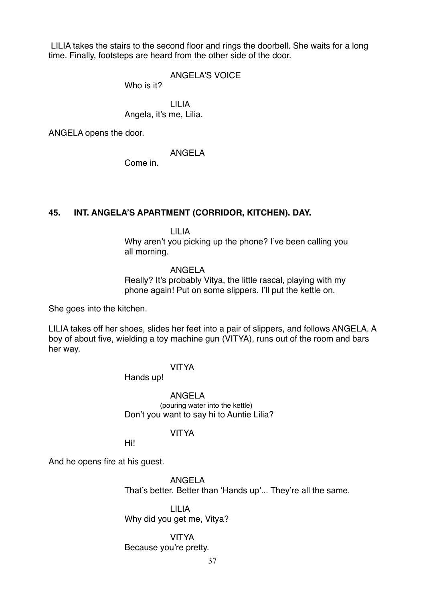LILIA takes the stairs to the second floor and rings the doorbell. She waits for a long time. Finally, footsteps are heard from the other side of the door.

### ANGELA'S VOICE

Who is it?

LILIA Angela, it's me, Lilia.

ANGELA opens the door.

ANGELA

Come in.

### **45. INT. ANGELA'S APARTMENT (CORRIDOR, KITCHEN). DAY.**

LILIA

Why aren't you picking up the phone? I've been calling you all morning.

### ANGELA

Really? It's probably Vitya, the little rascal, playing with my phone again! Put on some slippers. I'll put the kettle on.

She goes into the kitchen.

LILIA takes off her shoes, slides her feet into a pair of slippers, and follows ANGELA. A boy of about five, wielding a toy machine gun (VITYA), runs out of the room and bars her way.

### VITYA

Hands up!

ANGELA (pouring water into the kettle) Don't you want to say hi to Auntie Lilia?

### VITYA

Hi!

And he opens fire at his guest.

ANGELA That's better. Better than 'Hands up'... They're all the same.

LILIA Why did you get me, Vitya?

VITYA Because you're pretty.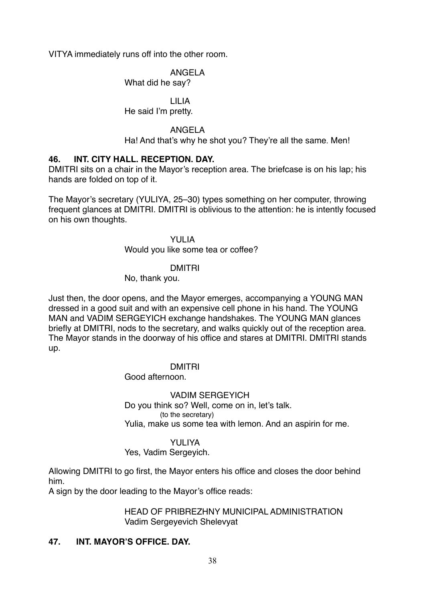VITYA immediately runs off into the other room.

# ANGELA

What did he say?

### LILIA He said I'm pretty.

# ANGELA

Ha! And that's why he shot you? They're all the same. Men!

# **46. INT. CITY HALL. RECEPTION. DAY.**

DMITRI sits on a chair in the Mayor's reception area. The briefcase is on his lap; his hands are folded on top of it.

The Mayor's secretary (YULIYA, 25–30) types something on her computer, throwing frequent glances at DMITRI. DMITRI is oblivious to the attention: he is intently focused on his own thoughts.

### YULIA

Would you like some tea or coffee?

# DMITRI

No, thank you.

Just then, the door opens, and the Mayor emerges, accompanying a YOUNG MAN dressed in a good suit and with an expensive cell phone in his hand. The YOUNG MAN and VADIM SERGEYICH exchange handshakes. The YOUNG MAN glances briefly at DMITRI, nods to the secretary, and walks quickly out of the reception area. The Mayor stands in the doorway of his office and stares at DMITRI. DMITRI stands up.

# DMITRI

Good afternoon.

# VADIM SERGEYICH

Do you think so? Well, come on in, let's talk. (to the secretary) Yulia, make us some tea with lemon. And an aspirin for me.

### YULIYA

# Yes, Vadim Sergeyich.

Allowing DMITRI to go first, the Mayor enters his office and closes the door behind him.

A sign by the door leading to the Mayor's office reads:

# HEAD OF PRIBREZHNY MUNICIPAL ADMINISTRATION Vadim Sergeyevich Shelevyat

# **47. INT. MAYOR'S OFFICE. DAY.**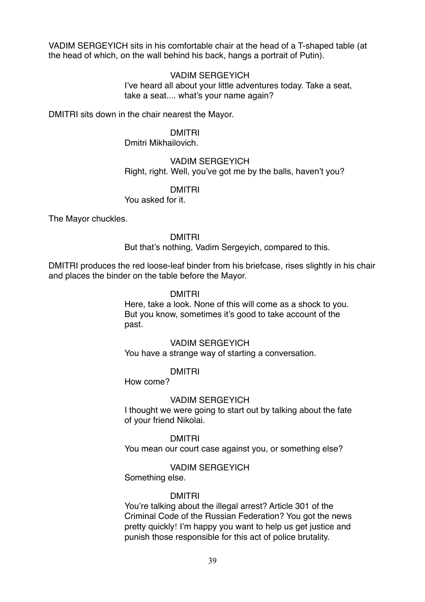VADIM SERGEYICH sits in his comfortable chair at the head of a T-shaped table (at the head of which, on the wall behind his back, hangs a portrait of Putin).

### VADIM SERGEYICH

I've heard all about your little adventures today. Take a seat, take a seat.... what's your name again?

DMITRI sits down in the chair nearest the Mayor.

### DMITRI

Dmitri Mikhailovich.

# VADIM SERGEYICH Right, right. Well, you've got me by the balls, haven't you?

### DMITRI

You asked for it.

The Mayor chuckles.

### DMITRI

But that's nothing, Vadim Sergeyich, compared to this.

DMITRI produces the red loose-leaf binder from his briefcase, rises slightly in his chair and places the binder on the table before the Mayor.

# DMITRI

Here, take a look. None of this will come as a shock to you. But you know, sometimes it's good to take account of the past.

# VADIM SERGEYICH

You have a strange way of starting a conversation.

### DMITRI

How come?

### VADIM SERGEYICH

I thought we were going to start out by talking about the fate of your friend Nikolai.

### DMITRI

You mean our court case against you, or something else?

### VADIM SERGEYICH

Something else.

### DMITRI

You're talking about the illegal arrest? Article 301 of the Criminal Code of the Russian Federation? You got the news pretty quickly! I'm happy you want to help us get justice and punish those responsible for this act of police brutality.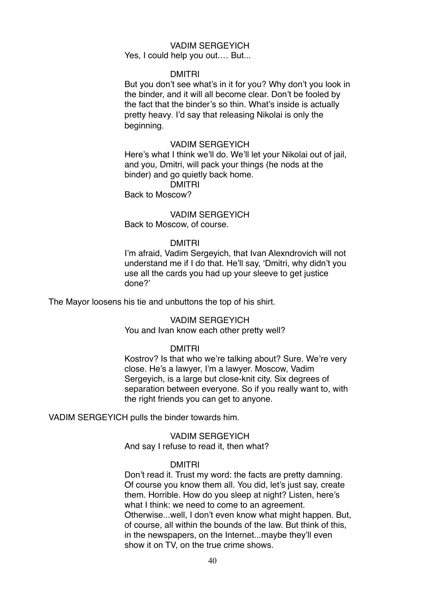# VADIM SERGEYICH

Yes, I could help you out.... But...

### DMITRI

But you don't see what's in it for you? Why don't you look in the binder, and it will all become clear. Don't be fooled by the fact that the binder's so thin. What's inside is actually pretty heavy. I'd say that releasing Nikolai is only the beginning.

### VADIM SERGEYICH

Here's what I think we'll do. We'll let your Nikolai out of jail, and you, Dmitri, will pack your things (he nods at the binder) and go quietly back home.

# DMITRI

Back to Moscow?

### VADIM SERGEYICH Back to Moscow, of course.

#### DMITRI

I'm afraid, Vadim Sergeyich, that Ivan Alexndrovich will not understand me if I do that. He'll say, 'Dmitri, why didn't you use all the cards you had up your sleeve to get justice done?'

The Mayor loosens his tie and unbuttons the top of his shirt.

### VADIM SERGEYICH

You and Ivan know each other pretty well?

### DMITRI

Kostrov? Is that who we're talking about? Sure. We're very close. He's a lawyer, I'm a lawyer. Moscow, Vadim Sergeyich, is a large but close-knit city. Six degrees of separation between everyone. So if you really want to, with the right friends you can get to anyone.

VADIM SERGEYICH pulls the binder towards him.

VADIM SERGEYICH And say I refuse to read it, then what?

#### DMITRI

Don't read it. Trust my word: the facts are pretty damning. Of course you know them all. You did, let's just say, create them. Horrible. How do you sleep at night? Listen, here's what I think: we need to come to an agreement. Otherwise...well, I don't even know what might happen. But, of course, all within the bounds of the law. But think of this, in the newspapers, on the Internet...maybe they'll even show it on TV, on the true crime shows.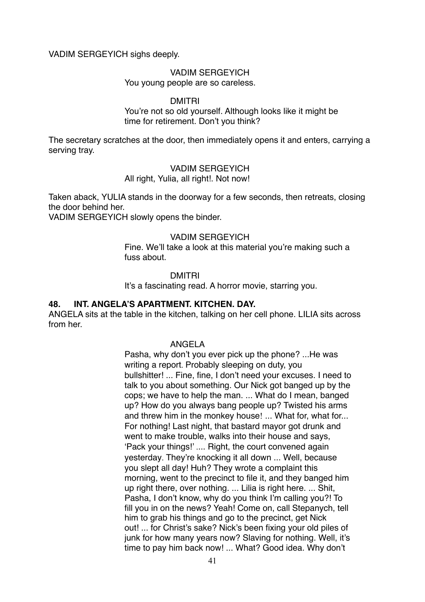VADIM SERGEYICH sighs deeply.

### VADIM SERGEYICH

You young people are so careless.

### DMITRI

You're not so old yourself. Although looks like it might be time for retirement. Don't you think?

The secretary scratches at the door, then immediately opens it and enters, carrying a serving tray.

### VADIM SERGEYICH

All right, Yulia, all right!. Not now!

Taken aback, YULIA stands in the doorway for a few seconds, then retreats, closing the door behind her.

VADIM SERGEYICH slowly opens the binder.

### VADIM SERGEYICH

Fine. We'll take a look at this material you're making such a fuss about.

### DMITRI

It's a fascinating read. A horror movie, starring you.

# **48. INT. ANGELA'S APARTMENT. KITCHEN. DAY.**

ANGELA sits at the table in the kitchen, talking on her cell phone. LILIA sits across from her.

### ANGELA

Pasha, why don't you ever pick up the phone? ...He was writing a report. Probably sleeping on duty, you bullshitter! ... Fine, fine, I don't need your excuses. I need to talk to you about something. Our Nick got banged up by the cops; we have to help the man. ... What do I mean, banged up? How do you always bang people up? Twisted his arms and threw him in the monkey house! ... What for, what for... For nothing! Last night, that bastard mayor got drunk and went to make trouble, walks into their house and says, 'Pack your things!' .... Right, the court convened again yesterday. They're knocking it all down ... Well, because you slept all day! Huh? They wrote a complaint this morning, went to the precinct to file it, and they banged him up right there, over nothing. ... Lilia is right here. ... Shit, Pasha, I don't know, why do you think I'm calling you?! To fill you in on the news? Yeah! Come on, call Stepanych, tell him to grab his things and go to the precinct, get Nick out! ... for Christ's sake? Nick's been fixing your old piles of junk for how many years now? Slaving for nothing. Well, it's time to pay him back now! ... What? Good idea. Why don't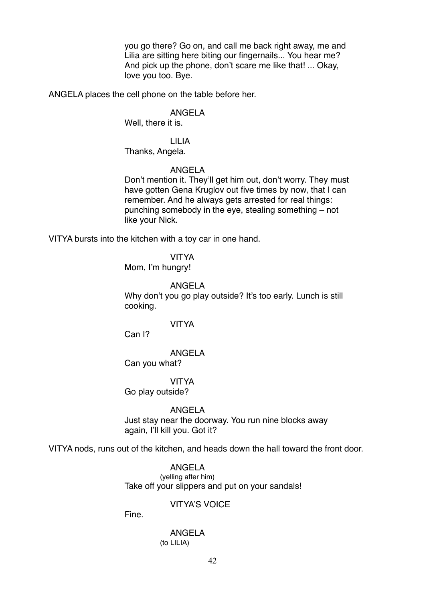you go there? Go on, and call me back right away, me and Lilia are sitting here biting our fingernails... You hear me? And pick up the phone, don't scare me like that! ... Okay, love you too. Bye.

ANGELA places the cell phone on the table before her.

#### ANGELA

Well, there it is.

### LILIA Thanks, Angela.

### ANGELA

Don't mention it. They'll get him out, don't worry. They must have gotten Gena Kruglov out five times by now, that I can remember. And he always gets arrested for real things: punching somebody in the eye, stealing something – not like your Nick.

VITYA bursts into the kitchen with a toy car in one hand.

### VITYA

Mom, I'm hungry!

### ANGELA

Why don't you go play outside? It's too early. Lunch is still cooking.

### VITYA

Can I?

### ANGELA

Can you what?

#### VITYA

Go play outside?

### ANGELA

Just stay near the doorway. You run nine blocks away again, I'll kill you. Got it?

VITYA nods, runs out of the kitchen, and heads down the hall toward the front door.

### ANGELA (yelling after him) Take off your slippers and put on your sandals!

# VITYA'S VOICE

Fine.

### ANGELA (to LILIA)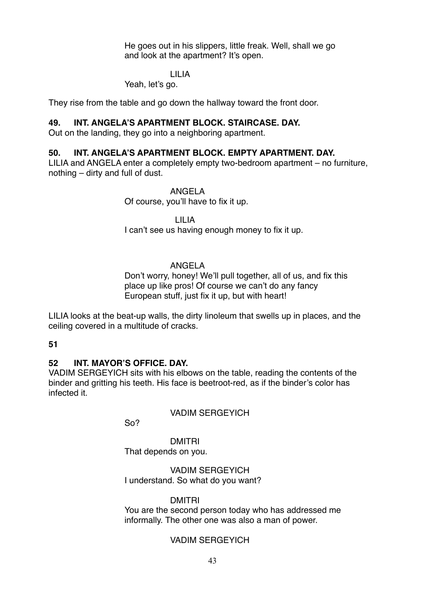He goes out in his slippers, little freak. Well, shall we go and look at the apartment? It's open.

### LILIA

### Yeah, let's go.

They rise from the table and go down the hallway toward the front door.

### **49. INT. ANGELA'S APARTMENT BLOCK. STAIRCASE. DAY.**

Out on the landing, they go into a neighboring apartment.

### **50. INT. ANGELA'S APARTMENT BLOCK. EMPTY APARTMENT. DAY.**

LILIA and ANGELA enter a completely empty two-bedroom apartment – no furniture, nothing – dirty and full of dust.

### ANGELA

Of course, you'll have to fix it up.

LILIA

I can't see us having enough money to fix it up.

### ANGELA

Don't worry, honey! We'll pull together, all of us, and fix this place up like pros! Of course we can't do any fancy European stuff, just fix it up, but with heart!

LILIA looks at the beat-up walls, the dirty linoleum that swells up in places, and the ceiling covered in a multitude of cracks.

#### **51**

### **52 INT. MAYOR'S OFFICE. DAY.**

VADIM SERGEYICH sits with his elbows on the table, reading the contents of the binder and gritting his teeth. His face is beetroot-red, as if the binder's color has infected it.

### VADIM SERGEYICH

So?

DMITRI That depends on you.

VADIM SERGEYICH I understand. So what do you want?

### DMITRI

You are the second person today who has addressed me informally. The other one was also a man of power.

### VADIM SERGEYICH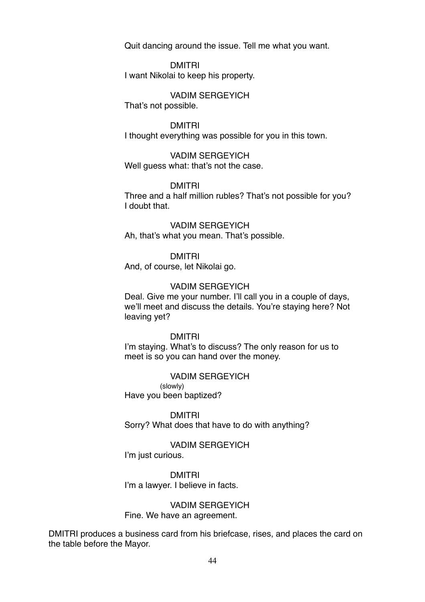Quit dancing around the issue. Tell me what you want.

DMITRI I want Nikolai to keep his property.

VADIM SERGEYICH That's not possible.

DMITRI

I thought everything was possible for you in this town.

VADIM SERGEYICH Well guess what: that's not the case.

DMITRI

Three and a half million rubles? That's not possible for you? I doubt that.

VADIM SERGEYICH Ah, that's what you mean. That's possible.

DMITRI

And, of course, let Nikolai go.

### VADIM SERGEYICH

Deal. Give me your number. I'll call you in a couple of days, we'll meet and discuss the details. You're staying here? Not leaving yet?

DMITRI

I'm staying. What's to discuss? The only reason for us to meet is so you can hand over the money.

VADIM SERGEYICH (slowly) Have you been baptized?

DMITRI Sorry? What does that have to do with anything?

VADIM SERGEYICH I'm just curious.

DMITRI I'm a lawyer. I believe in facts.

VADIM SERGEYICH Fine. We have an agreement.

DMITRI produces a business card from his briefcase, rises, and places the card on the table before the Mayor.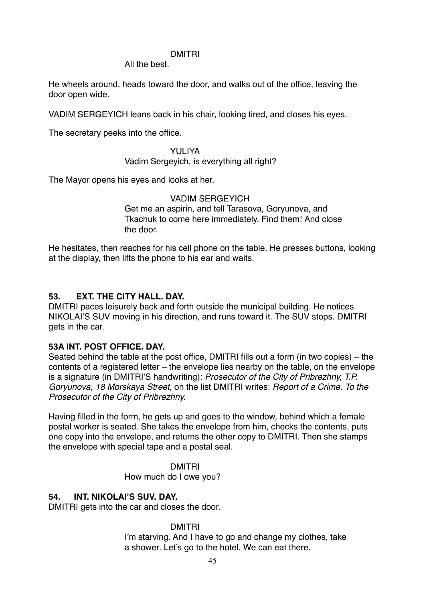### DMITRI

All the best.

He wheels around, heads toward the door, and walks out of the office, leaving the door open wide.

VADIM SERGEYICH leans back in his chair, looking tired, and closes his eyes.

The secretary peeks into the office.

### YULIYA Vadim Sergeyich, is everything all right?

The Mayor opens his eyes and looks at her.

# VADIM SERGEYICH

Get me an aspirin, and tell Tarasova, Goryunova, and Tkachuk to come here immediately. Find them! And close the door.

He hesitates, then reaches for his cell phone on the table. He presses buttons, looking at the display, then lifts the phone to his ear and waits.

# **53. EXT. THE CITY HALL. DAY.**

DMITRI paces leisurely back and forth outside the municipal building. He notices NIKOLAI'S SUV moving in his direction, and runs toward it. The SUV stops. DMITRI gets in the car.

# **53A INT. POST OFFICE. DAY.**

Seated behind the table at the post office, DMITRI fills out a form (in two copies) – the contents of a registered letter – the envelope lies nearby on the table, on the envelope is a signature (in DMITRI'S handwriting): *Prosecutor of the City of Pribrezhny, T.P. Goryunova, 18 Morskaya Street,* on the list DMITRI writes: *Report of a Crime. To the Prosecutor of the City of Pribrezhny.*

Having filled in the form, he gets up and goes to the window, behind which a female postal worker is seated. She takes the envelope from him, checks the contents, puts one copy into the envelope, and returns the other copy to DMITRI. Then she stamps the envelope with special tape and a postal seal.

> DMITRI How much do I owe you?

### **54. INT. NIKOLAI'S SUV. DAY.**

DMITRI gets into the car and closes the door.

DMITRI

I'm starving. And I have to go and change my clothes, take a shower. Let's go to the hotel. We can eat there.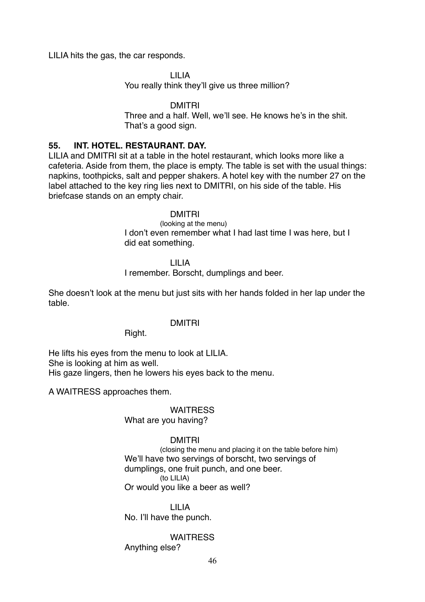LILIA hits the gas, the car responds.

LILIA You really think they'll give us three million?

DMITRI

Three and a half. Well, we'll see. He knows he's in the shit. That's a good sign.

### **55. INT. HOTEL. RESTAURANT. DAY.**

LILIA and DMITRI sit at a table in the hotel restaurant, which looks more like a cafeteria. Aside from them, the place is empty. The table is set with the usual things: napkins, toothpicks, salt and pepper shakers. A hotel key with the number 27 on the label attached to the key ring lies next to DMITRI, on his side of the table. His briefcase stands on an empty chair.

### DMITRI

(looking at the menu) I don't even remember what I had last time I was here, but I did eat something.

LILIA

I remember. Borscht, dumplings and beer.

She doesn't look at the menu but just sits with her hands folded in her lap under the table.

### DMITRI

### Right.

He lifts his eyes from the menu to look at LILIA. She is looking at him as well. His gaze lingers, then he lowers his eyes back to the menu.

A WAITRESS approaches them.

### **WAITRESS** What are you having?

# DMITRI

(closing the menu and placing it on the table before him) We'll have two servings of borscht, two servings of dumplings, one fruit punch, and one beer. (to LILIA) Or would you like a beer as well?

LILIA No. I'll have the punch.

### **WAITRESS**

Anything else?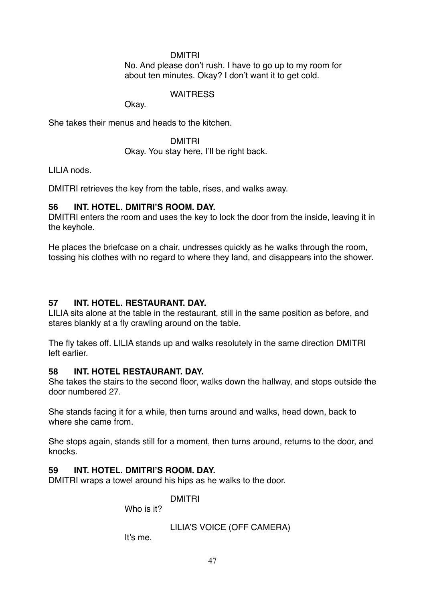### DMITRI

No. And please don't rush. I have to go up to my room for about ten minutes. Okay? I don't want it to get cold.

# **WAITRESS**

Okay.

She takes their menus and heads to the kitchen.

DMITRI Okay. You stay here, I'll be right back.

LILIA nods.

DMITRI retrieves the key from the table, rises, and walks away.

# **56 INT. HOTEL. DMITRI'S ROOM. DAY.**

DMITRI enters the room and uses the key to lock the door from the inside, leaving it in the keyhole.

He places the briefcase on a chair, undresses quickly as he walks through the room, tossing his clothes with no regard to where they land, and disappears into the shower.

# **57 INT. HOTEL. RESTAURANT. DAY.**

LILIA sits alone at the table in the restaurant, still in the same position as before, and stares blankly at a fly crawling around on the table.

The fly takes off. LILIA stands up and walks resolutely in the same direction DMITRI left earlier.

# **58 INT. HOTEL RESTAURANT. DAY.**

She takes the stairs to the second floor, walks down the hallway, and stops outside the door numbered 27.

She stands facing it for a while, then turns around and walks, head down, back to where she came from.

She stops again, stands still for a moment, then turns around, returns to the door, and knocks.

# **59 INT. HOTEL. DMITRI'S ROOM. DAY.**

DMITRI wraps a towel around his hips as he walks to the door.

DMITRI

Who is it?

LILIA'S VOICE (OFF CAMERA)

It's me.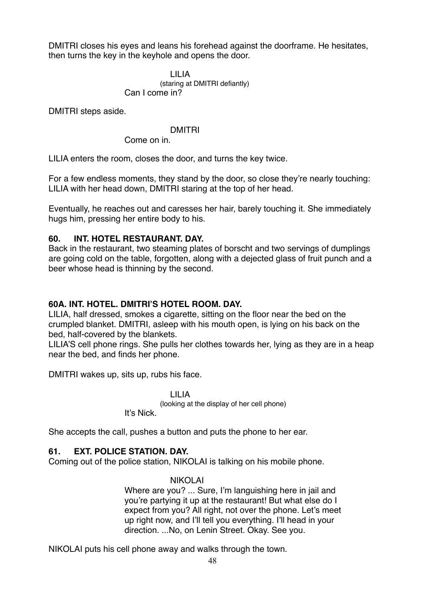DMITRI closes his eyes and leans his forehead against the doorframe. He hesitates, then turns the key in the keyhole and opens the door.

### LILIA

(staring at DMITRI defiantly) Can I come in?

DMITRI steps aside.

### DMITRI

Come on in.

LILIA enters the room, closes the door, and turns the key twice.

For a few endless moments, they stand by the door, so close they're nearly touching: LILIA with her head down, DMITRI staring at the top of her head.

Eventually, he reaches out and caresses her hair, barely touching it. She immediately hugs him, pressing her entire body to his.

### **60. INT. HOTEL RESTAURANT. DAY.**

Back in the restaurant, two steaming plates of borscht and two servings of dumplings are going cold on the table, forgotten, along with a dejected glass of fruit punch and a beer whose head is thinning by the second.

# **60A. INT. HOTEL. DMITRI'S HOTEL ROOM. DAY.**

LILIA, half dressed, smokes a cigarette, sitting on the floor near the bed on the crumpled blanket. DMITRI, asleep with his mouth open, is lying on his back on the bed, half-covered by the blankets.

LILIA'S cell phone rings. She pulls her clothes towards her, lying as they are in a heap near the bed, and finds her phone.

DMITRI wakes up, sits up, rubs his face.

LILIA (looking at the display of her cell phone) It's Nick.

She accepts the call, pushes a button and puts the phone to her ear.

# **61. EXT. POLICE STATION. DAY.**

Coming out of the police station, NIKOLAI is talking on his mobile phone.

### NIKOLAI

Where are you? ... Sure, I'm languishing here in jail and you're partying it up at the restaurant! But what else do I expect from you? All right, not over the phone. Let's meet up right now, and I'll tell you everything. I'll head in your direction. ...No, on Lenin Street. Okay. See you.

NIKOLAI puts his cell phone away and walks through the town.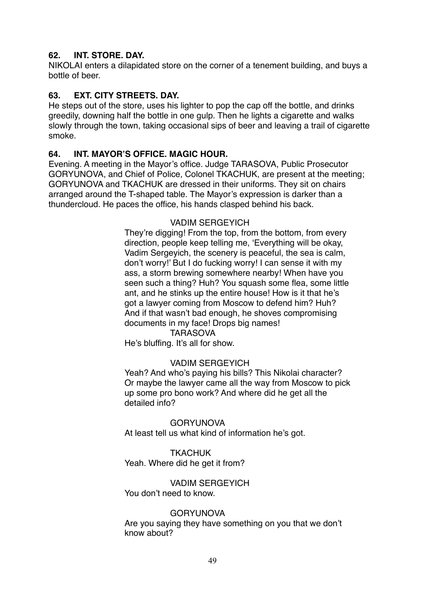# **62. INT. STORE. DAY.**

NIKOLAI enters a dilapidated store on the corner of a tenement building, and buys a bottle of beer.

# **63. EXT. CITY STREETS. DAY.**

He steps out of the store, uses his lighter to pop the cap off the bottle, and drinks greedily, downing half the bottle in one gulp. Then he lights a cigarette and walks slowly through the town, taking occasional sips of beer and leaving a trail of cigarette smoke.

# **64. INT. MAYOR'S OFFICE. MAGIC HOUR.**

Evening. A meeting in the Mayor's office. Judge TARASOVA, Public Prosecutor GORYUNOVA, and Chief of Police, Colonel TKACHUK, are present at the meeting; GORYUNOVA and TKACHUK are dressed in their uniforms. They sit on chairs arranged around the T-shaped table. The Mayor's expression is darker than a thundercloud. He paces the office, his hands clasped behind his back.

# VADIM SERGEYICH

They're digging! From the top, from the bottom, from every direction, people keep telling me, 'Everything will be okay, Vadim Sergeyich, the scenery is peaceful, the sea is calm, don't worry!' But I do fucking worry! I can sense it with my ass, a storm brewing somewhere nearby! When have you seen such a thing? Huh? You squash some flea, some little ant, and he stinks up the entire house! How is it that he's got a lawyer coming from Moscow to defend him? Huh? And if that wasn't bad enough, he shoves compromising documents in my face! Drops big names!

### **TARASOVA**

He's bluffing. It's all for show.

### VADIM SERGEYICH

Yeah? And who's paying his bills? This Nikolai character? Or maybe the lawyer came all the way from Moscow to pick up some pro bono work? And where did he get all the detailed info?

GORYUNOVA At least tell us what kind of information he's got.

# **TKACHUK** Yeah. Where did he get it from?

VADIM SERGEYICH You don't need to know.

### **GORYUNOVA**

Are you saying they have something on you that we don't know about?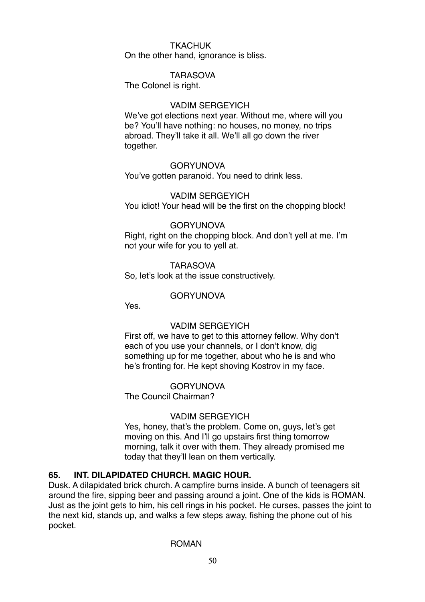### TKACHUK

On the other hand, ignorance is bliss.

### TARASOVA

The Colonel is right.

### VADIM SERGEYICH

We've got elections next year. Without me, where will you be? You'll have nothing: no houses, no money, no trips abroad. They'll take it all. We'll all go down the river together.

### **GORYUNOVA**

You've gotten paranoid. You need to drink less.

### VADIM SERGEYICH

You idiot! Your head will be the first on the chopping block!

### GORYUNOVA

Right, right on the chopping block. And don't yell at me. I'm not your wife for you to yell at.

### **TARASOVA**

So, let's look at the issue constructively.

### GORYUNOVA

Yes.

### VADIM SERGEYICH

First off, we have to get to this attorney fellow. Why don't each of you use your channels, or I don't know, dig something up for me together, about who he is and who he's fronting for. He kept shoving Kostrov in my face.

### GORYUNOVA

The Council Chairman?

### VADIM SERGEYICH

Yes, honey, that's the problem. Come on, guys, let's get moving on this. And I'll go upstairs first thing tomorrow morning, talk it over with them. They already promised me today that they'll lean on them vertically.

### **65. INT. DILAPIDATED CHURCH. MAGIC HOUR.**

Dusk. A dilapidated brick church. A campfire burns inside. A bunch of teenagers sit around the fire, sipping beer and passing around a joint. One of the kids is ROMAN. Just as the joint gets to him, his cell rings in his pocket. He curses, passes the joint to the next kid, stands up, and walks a few steps away, fishing the phone out of his pocket.

### ROMAN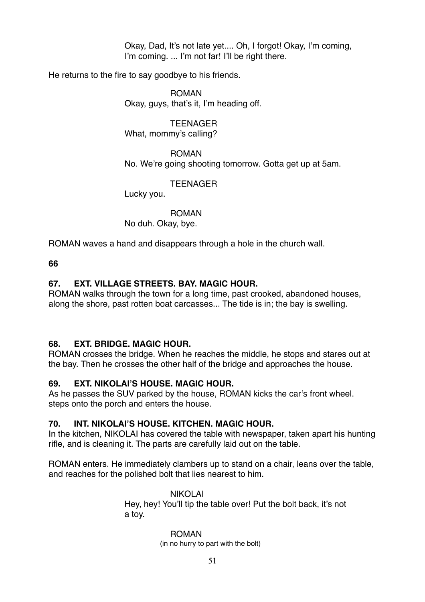Okay, Dad, It's not late yet.... Oh, I forgot! Okay, I'm coming, I'm coming. ... I'm not far! I'll be right there.

He returns to the fire to say goodbye to his friends.

ROMAN Okay, guys, that's it, I'm heading off.

**TEENAGER** What, mommy's calling?

ROMAN No. We're going shooting tomorrow. Gotta get up at 5am.

**TEENAGER** 

Lucky you.

ROMAN No duh. Okay, bye.

ROMAN waves a hand and disappears through a hole in the church wall.

**66**

# **67. EXT. VILLAGE STREETS. BAY. MAGIC HOUR.**

ROMAN walks through the town for a long time, past crooked, abandoned houses, along the shore, past rotten boat carcasses... The tide is in; the bay is swelling.

# **68. EXT. BRIDGE. MAGIC HOUR.**

ROMAN crosses the bridge. When he reaches the middle, he stops and stares out at the bay. Then he crosses the other half of the bridge and approaches the house.

# **69. EXT. NIKOLAI'S HOUSE. MAGIC HOUR.**

As he passes the SUV parked by the house, ROMAN kicks the car's front wheel. steps onto the porch and enters the house.

# **70. INT. NIKOLAI'S HOUSE. KITCHEN. MAGIC HOUR.**

In the kitchen, NIKOLAI has covered the table with newspaper, taken apart his hunting rifle, and is cleaning it. The parts are carefully laid out on the table.

ROMAN enters. He immediately clambers up to stand on a chair, leans over the table, and reaches for the polished bolt that lies nearest to him.

> NIKOLAI Hey, hey! You'll tip the table over! Put the bolt back, it's not a toy.

> > ROMAN

(in no hurry to part with the bolt)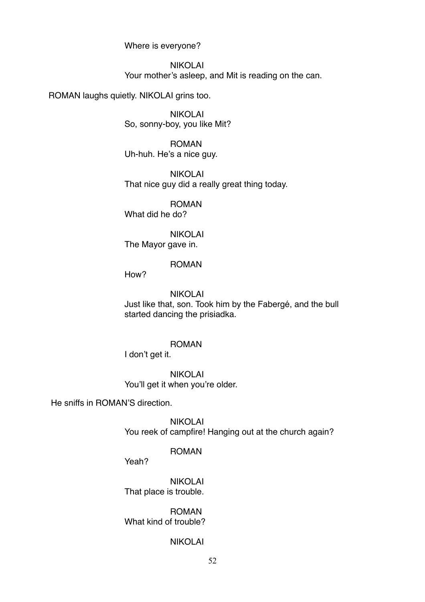Where is everyone?

NIKOLAI Your mother's asleep, and Mit is reading on the can.

ROMAN laughs quietly. NIKOLAI grins too.

NIKOLAI So, sonny-boy, you like Mit?

ROMAN Uh-huh. He's a nice guy.

NIKOLAI That nice guy did a really great thing today.

ROMAN What did he do?

NIKOLAI The Mayor gave in.

ROMAN

How?

NIKOLAI Just like that, son. Took him by the Fabergé, and the bull started dancing the prisiadka.

### ROMAN

I don't get it.

NIKOLAI You'll get it when you're older.

He sniffs in ROMAN'S direction.

NIKOLAI You reek of campfire! Hanging out at the church again?

### ROMAN

Yeah?

NIKOLAI That place is trouble.

ROMAN What kind of trouble?

# NIKOLAI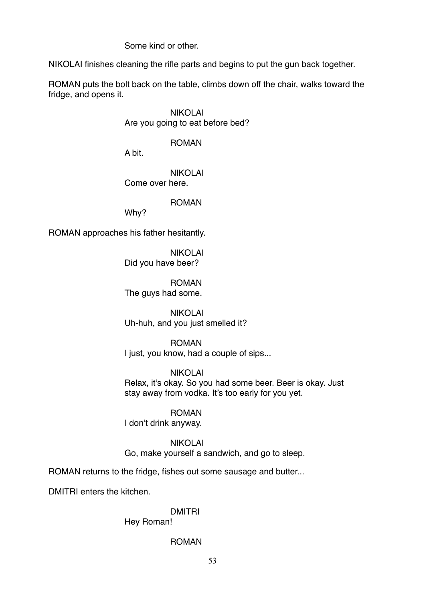Some kind or other.

NIKOLAI finishes cleaning the rifle parts and begins to put the gun back together.

ROMAN puts the bolt back on the table, climbs down off the chair, walks toward the fridge, and opens it.

> NIKOLAI Are you going to eat before bed?

# ROMAN

A bit.

NIKOLAI Come over here.

ROMAN

Why?

ROMAN approaches his father hesitantly.

NIKOLAI Did you have beer?

ROMAN The guys had some.

NIKOLAI Uh-huh, and you just smelled it?

ROMAN I just, you know, had a couple of sips...

# NIKOLAI

Relax, it's okay. So you had some beer. Beer is okay. Just stay away from vodka. It's too early for you yet.

ROMAN I don't drink anyway.

NIKOLAI

Go, make yourself a sandwich, and go to sleep.

ROMAN returns to the fridge, fishes out some sausage and butter...

DMITRI enters the kitchen.

# DMITRI

Hey Roman!

# ROMAN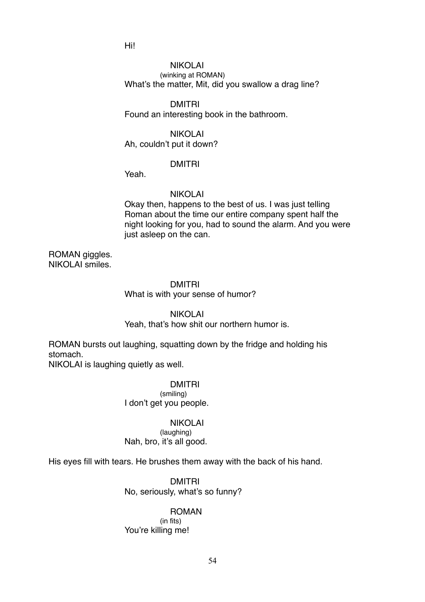Hi!

### NIKOLAI (winking at ROMAN) What's the matter, Mit, did you swallow a drag line?

### DMITRI

Found an interesting book in the bathroom.

### NIKOLAI

Ah, couldn't put it down?

### DMITRI

Yeah.

# NIKOLAI

Okay then, happens to the best of us. I was just telling Roman about the time our entire company spent half the night looking for you, had to sound the alarm. And you were just asleep on the can.

ROMAN giggles. NIKOLAI smiles.

### DMITRI

What is with your sense of humor?

### NIKOLAI

# Yeah, that's how shit our northern humor is.

ROMAN bursts out laughing, squatting down by the fridge and holding his stomach.

NIKOLAI is laughing quietly as well.

### DMITRI (smiling) I don't get you people.

# NIKOLAI

(laughing) Nah, bro, it's all good.

His eyes fill with tears. He brushes them away with the back of his hand.

# DMITRI No, seriously, what's so funny?

### ROMAN

(in fits) You're killing me!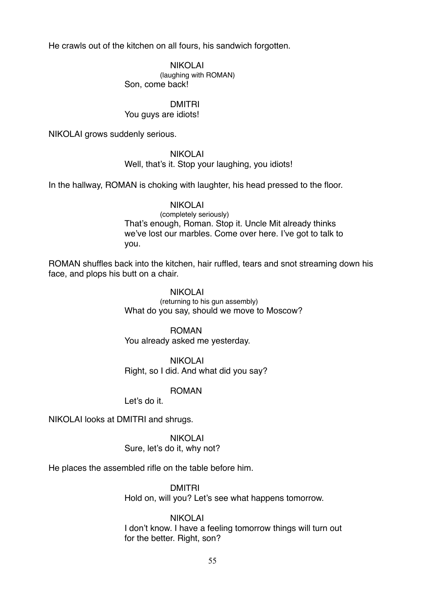He crawls out of the kitchen on all fours, his sandwich forgotten.

NIKOLAI (laughing with ROMAN) Son, come back!

DMITRI

You guys are idiots!

NIKOLAI grows suddenly serious.

NIKOLAI

Well, that's it. Stop your laughing, you idiots!

In the hallway, ROMAN is choking with laughter, his head pressed to the floor.

NIKOLAI (completely seriously) That's enough, Roman. Stop it. Uncle Mit already thinks we've lost our marbles. Come over here. I've got to talk to you.

ROMAN shuffles back into the kitchen, hair ruffled, tears and snot streaming down his face, and plops his butt on a chair.

> NIKOLAI (returning to his gun assembly) What do you say, should we move to Moscow?

ROMAN You already asked me yesterday.

NIKOLAI Right, so I did. And what did you say?

ROMAN

Let's do it.

NIKOLAI looks at DMITRI and shrugs.

NIKOLAI Sure, let's do it, why not?

He places the assembled rifle on the table before him.

DMITRI

Hold on, will you? Let's see what happens tomorrow.

NIKOLAI I don't know. I have a feeling tomorrow things will turn out for the better. Right, son?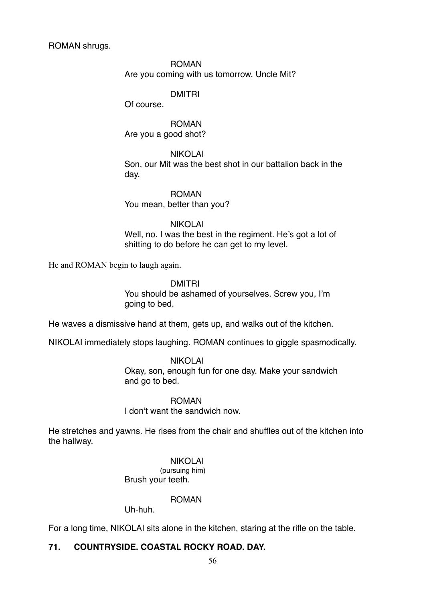ROMAN shrugs.

ROMAN Are you coming with us tomorrow, Uncle Mit?

DMITRI

Of course.

ROMAN Are you a good shot?

NIKOLAI Son, our Mit was the best shot in our battalion back in the day.

ROMAN

You mean, better than you?

NIKOLAI

Well, no. I was the best in the regiment. He's got a lot of shitting to do before he can get to my level.

He and ROMAN begin to laugh again.

DMITRI

You should be ashamed of yourselves. Screw you, I'm going to bed.

He waves a dismissive hand at them, gets up, and walks out of the kitchen.

NIKOLAI immediately stops laughing. ROMAN continues to giggle spasmodically.

NIKOLAI Okay, son, enough fun for one day. Make your sandwich and go to bed.

ROMAN

I don't want the sandwich now.

He stretches and yawns. He rises from the chair and shuffles out of the kitchen into the hallway.

NIKOLAI

(pursuing him) Brush your teeth.

ROMAN

Uh-huh.

For a long time, NIKOLAI sits alone in the kitchen, staring at the rifle on the table.

# **71. COUNTRYSIDE. COASTAL ROCKY ROAD. DAY.**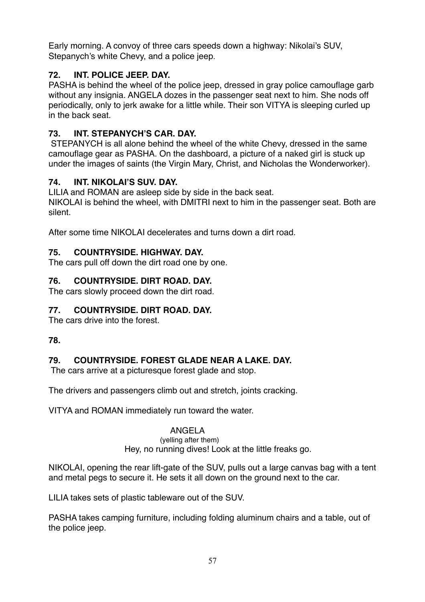Early morning. A convoy of three cars speeds down a highway: Nikolai's SUV, Stepanych's white Chevy, and a police jeep.

# **72. INT. POLICE JEEP. DAY.**

PASHA is behind the wheel of the police jeep, dressed in gray police camouflage garb without any insignia. ANGELA dozes in the passenger seat next to him. She nods off periodically, only to jerk awake for a little while. Their son VITYA is sleeping curled up in the back seat.

# **73. INT. STEPANYCH'S CAR. DAY.**

 STEPANYCH is all alone behind the wheel of the white Chevy, dressed in the same camouflage gear as PASHA. On the dashboard, a picture of a naked girl is stuck up under the images of saints (the Virgin Mary, Christ, and Nicholas the Wonderworker).

# **74. INT. NIKOLAI'S SUV. DAY.**

LILIA and ROMAN are asleep side by side in the back seat. NIKOLAI is behind the wheel, with DMITRI next to him in the passenger seat. Both are silent.

After some time NIKOLAI decelerates and turns down a dirt road.

# **75. COUNTRYSIDE. HIGHWAY. DAY.**

The cars pull off down the dirt road one by one.

# **76. COUNTRYSIDE. DIRT ROAD. DAY.**

The cars slowly proceed down the dirt road.

# **77. COUNTRYSIDE. DIRT ROAD. DAY.**

The cars drive into the forest.

# **78.**

# **79. COUNTRYSIDE. FOREST GLADE NEAR A LAKE. DAY.**

The cars arrive at a picturesque forest glade and stop.

The drivers and passengers climb out and stretch, joints cracking.

VITYA and ROMAN immediately run toward the water.

# ANGELA

(yelling after them) Hey, no running dives! Look at the little freaks go.

NIKOLAI, opening the rear lift-gate of the SUV, pulls out a large canvas bag with a tent and metal pegs to secure it. He sets it all down on the ground next to the car.

LILIA takes sets of plastic tableware out of the SUV.

PASHA takes camping furniture, including folding aluminum chairs and a table, out of the police jeep.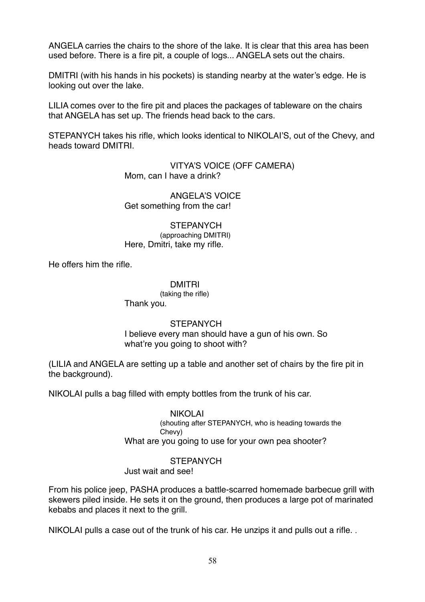ANGELA carries the chairs to the shore of the lake. It is clear that this area has been used before. There is a fire pit, a couple of logs... ANGELA sets out the chairs.

DMITRI (with his hands in his pockets) is standing nearby at the water's edge. He is looking out over the lake.

LILIA comes over to the fire pit and places the packages of tableware on the chairs that ANGELA has set up. The friends head back to the cars.

STEPANYCH takes his rifle, which looks identical to NIKOLAI'S, out of the Chevy, and heads toward DMITRI.

> VITYA'S VOICE (OFF CAMERA) Mom, can I have a drink?

ANGELA'S VOICE Get something from the car!

**STEPANYCH** (approaching DMITRI) Here, Dmitri, take my rifle.

He offers him the rifle.

DMITRI

(taking the rifle) Thank you.

### **STEPANYCH**

I believe every man should have a gun of his own. So what're you going to shoot with?

(LILIA and ANGELA are setting up a table and another set of chairs by the fire pit in the background).

NIKOLAI pulls a bag filled with empty bottles from the trunk of his car.

NIKOLAI (shouting after STEPANYCH, who is heading towards the Chevy) What are you going to use for your own pea shooter?

**STEPANYCH** 

Just wait and see!

From his police jeep, PASHA produces a battle-scarred homemade barbecue grill with skewers piled inside. He sets it on the ground, then produces a large pot of marinated kebabs and places it next to the grill.

NIKOLAI pulls a case out of the trunk of his car. He unzips it and pulls out a rifle. .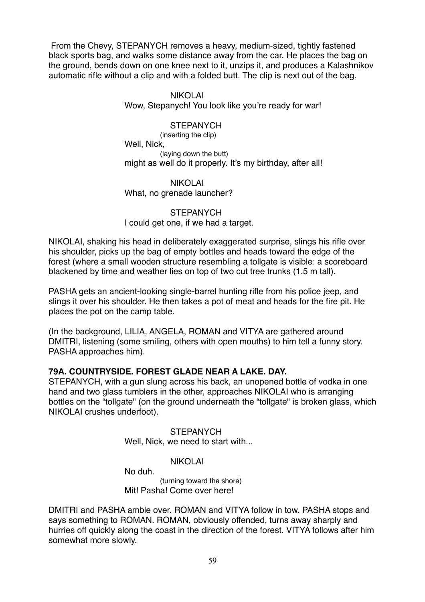From the Chevy, STEPANYCH removes a heavy, medium-sized, tightly fastened black sports bag, and walks some distance away from the car. He places the bag on the ground, bends down on one knee next to it, unzips it, and produces a Kalashnikov automatic rifle without a clip and with a folded butt. The clip is next out of the bag.

### NIKOLAI

Wow, Stepanych! You look like you're ready for war!

### **STEPANYCH**

(inserting the clip) Well, Nick, (laying down the butt) might as well do it properly. It's my birthday, after all!

### NIKOLAI What, no grenade launcher?

### STEPANYCH I could get one, if we had a target.

NIKOLAI, shaking his head in deliberately exaggerated surprise, slings his rifle over his shoulder, picks up the bag of empty bottles and heads toward the edge of the forest (where a small wooden structure resembling a tollgate is visible: a scoreboard blackened by time and weather lies on top of two cut tree trunks (1.5 m tall).

PASHA gets an ancient-looking single-barrel hunting rifle from his police jeep, and slings it over his shoulder. He then takes a pot of meat and heads for the fire pit. He places the pot on the camp table.

(In the background, LILIA, ANGELA, ROMAN and VITYA are gathered around DMITRI, listening (some smiling, others with open mouths) to him tell a funny story. PASHA approaches him).

### **79A. COUNTRYSIDE. FOREST GLADE NEAR A LAKE. DAY.**

STEPANYCH, with a gun slung across his back, an unopened bottle of vodka in one hand and two glass tumblers in the other, approaches NIKOLAI who is arranging bottles on the "tollgate" (on the ground underneath the "tollgate" is broken glass, which NIKOLAI crushes underfoot).

> **STEPANYCH** Well, Nick, we need to start with...

### NIKOLAI

No duh.

(turning toward the shore) Mit! Pasha! Come over here!

DMITRI and PASHA amble over. ROMAN and VITYA follow in tow. PASHA stops and says something to ROMAN. ROMAN, obviously offended, turns away sharply and hurries off quickly along the coast in the direction of the forest. VITYA follows after him somewhat more slowly.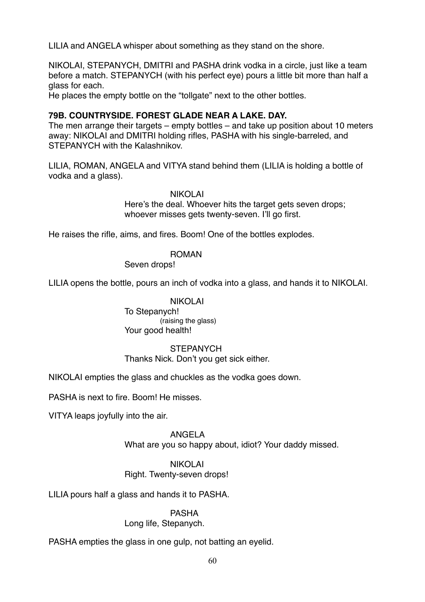LILIA and ANGELA whisper about something as they stand on the shore.

NIKOLAI, STEPANYCH, DMITRI and PASHA drink vodka in a circle, just like a team before a match. STEPANYCH (with his perfect eye) pours a little bit more than half a glass for each.

He places the empty bottle on the "tollgate" next to the other bottles.

# **79B. COUNTRYSIDE. FOREST GLADE NEAR A LAKE. DAY.**

The men arrange their targets – empty bottles – and take up position about 10 meters away: NIKOLAI and DMITRI holding rifles, PASHA with his single-barreled, and STEPANYCH with the Kalashnikov.

LILIA, ROMAN, ANGELA and VITYA stand behind them (LILIA is holding a bottle of vodka and a glass).

### NIKOLAI

Here's the deal. Whoever hits the target gets seven drops; whoever misses gets twenty-seven. I'll go first.

He raises the rifle, aims, and fires. Boom! One of the bottles explodes.

### ROMAN

Seven drops!

LILIA opens the bottle, pours an inch of vodka into a glass, and hands it to NIKOLAI.

### NIKOLAI

To Stepanych! (raising the glass) Your good health!

### **STEPANYCH**

Thanks Nick. Don't you get sick either.

NIKOLAI empties the glass and chuckles as the vodka goes down.

PASHA is next to fire. Boom! He misses.

VITYA leaps joyfully into the air.

### ANGELA

What are you so happy about, idiot? Your daddy missed.

### NIKOLAI

Right. Twenty-seven drops!

LILIA pours half a glass and hands it to PASHA.

PASHA

Long life, Stepanych.

PASHA empties the glass in one gulp, not batting an eyelid.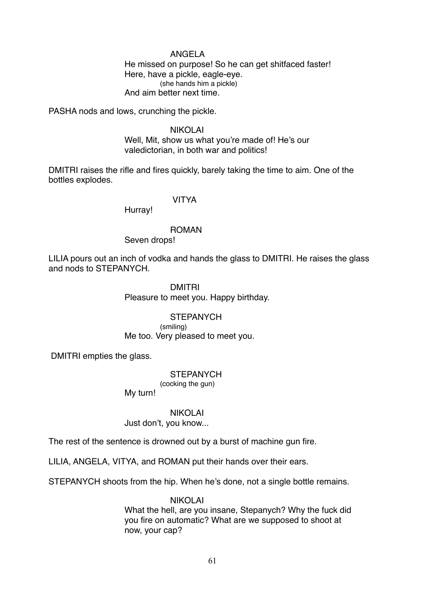### ANGELA

He missed on purpose! So he can get shitfaced faster! Here, have a pickle, eagle-eye. (she hands him a pickle) And aim better next time.

PASHA nods and lows, crunching the pickle.

### NIKOLAI

Well, Mit, show us what you're made of! He's our valedictorian, in both war and politics!

DMITRI raises the rifle and fires quickly, barely taking the time to aim. One of the bottles explodes.

# VITYA

Hurray!

### ROMAN

Seven drops!

LILIA pours out an inch of vodka and hands the glass to DMITRI. He raises the glass and nods to STEPANYCH.

### DMITRI

Pleasure to meet you. Happy birthday.

### **STEPANYCH**

(smiling) Me too. Very pleased to meet you.

DMITRI empties the glass.

#### **STEPANYCH**

(cocking the gun)

My turn!

#### NIKOLAI

Just don't, you know...

The rest of the sentence is drowned out by a burst of machine gun fire.

LILIA, ANGELA, VITYA, and ROMAN put their hands over their ears.

STEPANYCH shoots from the hip. When he's done, not a single bottle remains.

### NIKOLAI

What the hell, are you insane, Stepanych? Why the fuck did you fire on automatic? What are we supposed to shoot at now, your cap?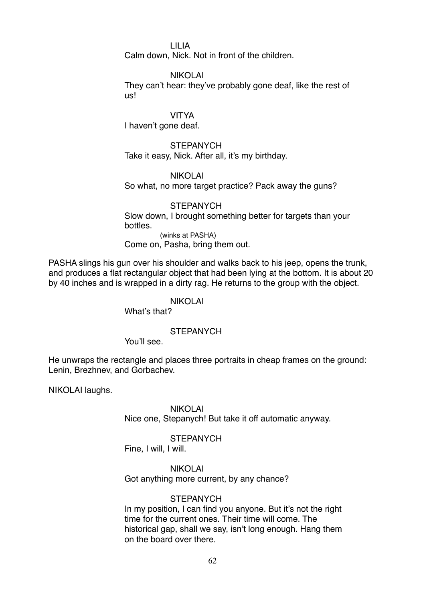LILIA

Calm down, Nick. Not in front of the children.

NIKOLAI

They can't hear: they've probably gone deaf, like the rest of us!

VITYA

I haven't gone deaf.

**STEPANYCH** 

Take it easy, Nick. After all, it's my birthday.

NIKOLAI So what, no more target practice? Pack away the guns?

### **STEPANYCH**

Slow down, I brought something better for targets than your bottles.

(winks at PASHA) Come on, Pasha, bring them out.

PASHA slings his gun over his shoulder and walks back to his jeep, opens the trunk, and produces a flat rectangular object that had been lying at the bottom. It is about 20 by 40 inches and is wrapped in a dirty rag. He returns to the group with the object.

### NIKOLAI

What's that?

### **STEPANYCH**

You'll see.

He unwraps the rectangle and places three portraits in cheap frames on the ground: Lenin, Brezhnev, and Gorbachev.

NIKOLAI laughs.

NIKOLAI

Nice one, Stepanych! But take it off automatic anyway.

### **STEPANYCH**

Fine, I will, I will.

NIKOLAI Got anything more current, by any chance?

# **STEPANYCH**

In my position, I can find you anyone. But it's not the right time for the current ones. Their time will come. The historical gap, shall we say, isn't long enough. Hang them on the board over there.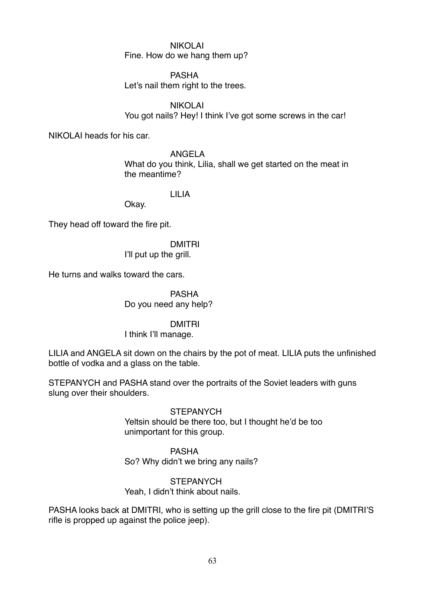# NIKOLAI

Fine. How do we hang them up?

### PASHA

Let's nail them right to the trees.

NIKOLAI You got nails? Hey! I think I've got some screws in the car!

NIKOLAI heads for his car.

ANGELA What do you think, Lilia, shall we get started on the meat in the meantime?

# LILIA

Okay.

They head off toward the fire pit.

# DMITRI

I'll put up the grill.

He turns and walks toward the cars.

PASHA Do you need any help?

### DMITRI

I think I'll manage.

LILIA and ANGELA sit down on the chairs by the pot of meat. LILIA puts the unfinished bottle of vodka and a glass on the table.

STEPANYCH and PASHA stand over the portraits of the Soviet leaders with guns slung over their shoulders.

> **STEPANYCH** Yeltsin should be there too, but I thought he'd be too unimportant for this group.

PASHA So? Why didn't we bring any nails?

# **STEPANYCH** Yeah, I didn't think about nails.

PASHA looks back at DMITRI, who is setting up the grill close to the fire pit (DMITRI'S rifle is propped up against the police jeep).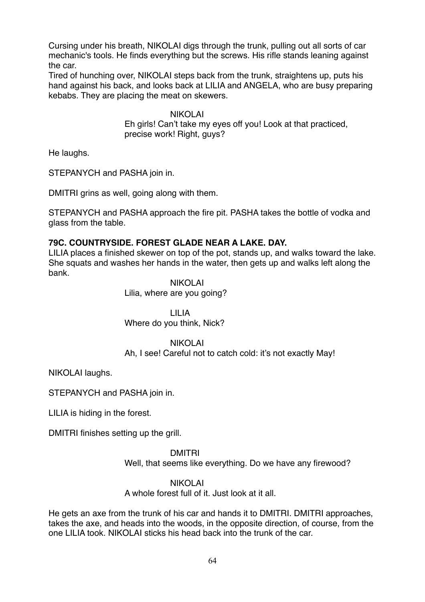Cursing under his breath, NIKOLAI digs through the trunk, pulling out all sorts of car mechanic's tools. He finds everything but the screws. His rifle stands leaning against the car.

Tired of hunching over, NIKOLAI steps back from the trunk, straightens up, puts his hand against his back, and looks back at LILIA and ANGELA, who are busy preparing kebabs. They are placing the meat on skewers.

> NIKOLAI Eh girls! Can't take my eyes off you! Look at that practiced, precise work! Right, guys?

He laughs.

STEPANYCH and PASHA join in.

DMITRI grins as well, going along with them.

STEPANYCH and PASHA approach the fire pit. PASHA takes the bottle of vodka and glass from the table.

# **79C. COUNTRYSIDE. FOREST GLADE NEAR A LAKE. DAY.**

LILIA places a finished skewer on top of the pot, stands up, and walks toward the lake. She squats and washes her hands in the water, then gets up and walks left along the bank.

### NIKOLAI Lilia, where are you going?

LILIA Where do you think, Nick?

### NIKOLAI

Ah, I see! Careful not to catch cold: it's not exactly May!

NIKOLAI laughs.

STEPANYCH and PASHA join in.

LILIA is hiding in the forest.

DMITRI finishes setting up the grill.

DMITRI Well, that seems like everything. Do we have any firewood?

### NIKOLAI

A whole forest full of it. Just look at it all.

He gets an axe from the trunk of his car and hands it to DMITRI. DMITRI approaches, takes the axe, and heads into the woods, in the opposite direction, of course, from the one LILIA took. NIKOLAI sticks his head back into the trunk of the car.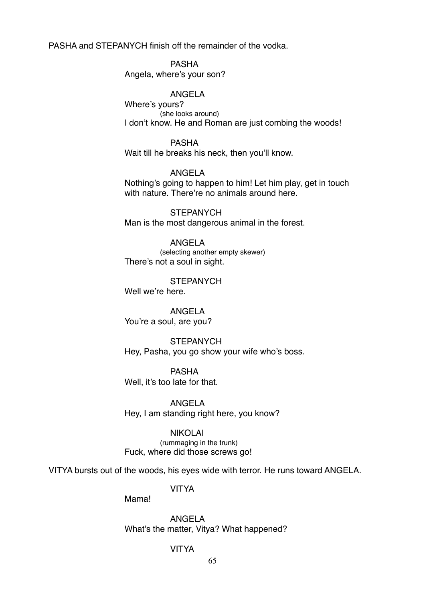PASHA and STEPANYCH finish off the remainder of the vodka.

PASHA Angela, where's your son?

### ANGELA

Where's yours? (she looks around) I don't know. He and Roman are just combing the woods!

PASHA

Wait till he breaks his neck, then you'll know.

ANGELA

Nothing's going to happen to him! Let him play, get in touch with nature. There're no animals around here.

**STEPANYCH** Man is the most dangerous animal in the forest.

ANGELA (selecting another empty skewer)

There's not a soul in sight.

**STEPANYCH** Well we're here.

ANGELA You're a soul, are you?

**STEPANYCH** Hey, Pasha, you go show your wife who's boss.

PASHA Well, it's too late for that.

ANGELA Hey, I am standing right here, you know?

NIKOLAI (rummaging in the trunk) Fuck, where did those screws go!

VITYA bursts out of the woods, his eyes wide with terror. He runs toward ANGELA.

VITYA

Mama!

ANGELA What's the matter, Vitya? What happened?

### VITYA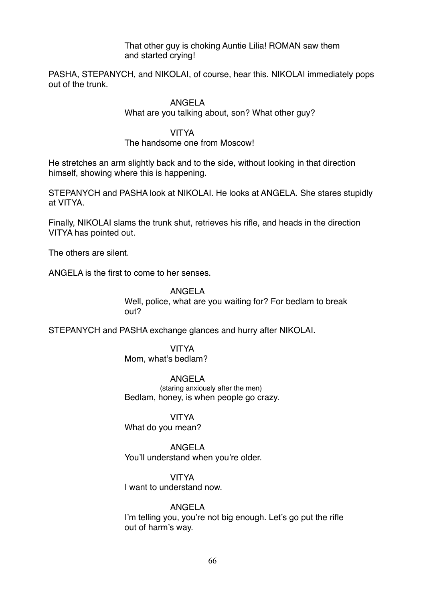### That other guy is choking Auntie Lilia! ROMAN saw them and started crying!

PASHA, STEPANYCH, and NIKOLAI, of course, hear this. NIKOLAI immediately pops out of the trunk.

### ANGELA

What are you talking about, son? What other guy?

### VITYA

### The handsome one from Moscow!

He stretches an arm slightly back and to the side, without looking in that direction himself, showing where this is happening.

STEPANYCH and PASHA look at NIKOLAI. He looks at ANGELA. She stares stupidly at VITYA.

Finally, NIKOLAI slams the trunk shut, retrieves his rifle, and heads in the direction VITYA has pointed out.

The others are silent.

ANGELA is the first to come to her senses.

### ANGELA Well, police, what are you waiting for? For bedlam to break out?

STEPANYCH and PASHA exchange glances and hurry after NIKOLAI.

VITYA Mom, what's bedlam?

ANGELA (staring anxiously after the men) Bedlam, honey, is when people go crazy.

VITYA What do you mean?

ANGELA You'll understand when you're older.

### VITYA

I want to understand now.

### ANGELA

I'm telling you, you're not big enough. Let's go put the rifle out of harm's way.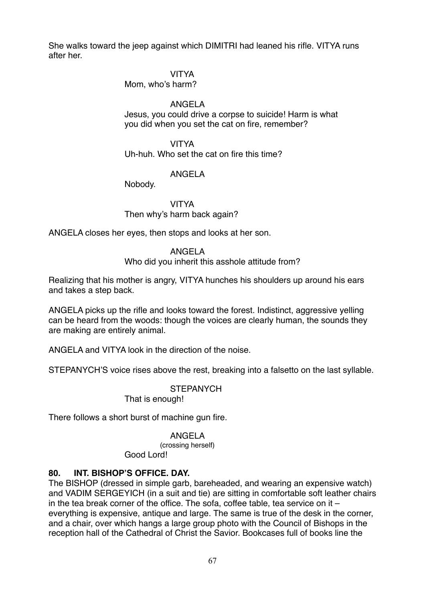She walks toward the jeep against which DIMITRI had leaned his rifle. VITYA runs after her.

### VITYA

Mom, who's harm?

# ANGELA

Jesus, you could drive a corpse to suicide! Harm is what you did when you set the cat on fire, remember?

VITYA

Uh-huh. Who set the cat on fire this time?

# ANGELA

Nobody.

VITYA Then why's harm back again?

ANGELA closes her eyes, then stops and looks at her son.

### ANGELA

Who did you inherit this asshole attitude from?

Realizing that his mother is angry, VITYA hunches his shoulders up around his ears and takes a step back.

ANGELA picks up the rifle and looks toward the forest. Indistinct, aggressive yelling can be heard from the woods: though the voices are clearly human, the sounds they are making are entirely animal.

ANGELA and VITYA look in the direction of the noise.

STEPANYCH'S voice rises above the rest, breaking into a falsetto on the last syllable.

**STEPANYCH** 

That is enough!

There follows a short burst of machine gun fire.

### ANGELA

(crossing herself) Good Lord!

# **80. INT. BISHOP'S OFFICE. DAY.**

The BISHOP (dressed in simple garb, bareheaded, and wearing an expensive watch) and VADIM SERGEYICH (in a suit and tie) are sitting in comfortable soft leather chairs in the tea break corner of the office. The sofa, coffee table, tea service on it – everything is expensive, antique and large. The same is true of the desk in the corner, and a chair, over which hangs a large group photo with the Council of Bishops in the reception hall of the Cathedral of Christ the Savior. Bookcases full of books line the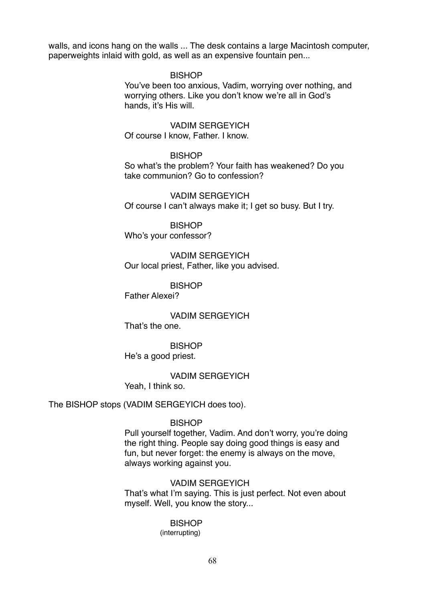walls, and icons hang on the walls ... The desk contains a large Macintosh computer, paperweights inlaid with gold, as well as an expensive fountain pen...

### **BISHOP**

You've been too anxious, Vadim, worrying over nothing, and worrying others. Like you don't know we're all in God's hands, it's His will.

### VADIM SERGEYICH

Of course I know, Father. I know.

### **BISHOP**

So what's the problem? Your faith has weakened? Do you take communion? Go to confession?

VADIM SERGEYICH Of course I can't always make it; I get so busy. But I try.

**BISHOP** Who's your confessor?

VADIM SERGEYICH Our local priest, Father, like you advised.

**BISHOP** 

Father Alexei?

VADIM SERGEYICH That's the one.

**BISHOP** He's a good priest.

VADIM SERGEYICH Yeah, I think so.

The BISHOP stops (VADIM SERGEYICH does too).

#### **BISHOP**

Pull yourself together, Vadim. And don't worry, you're doing the right thing. People say doing good things is easy and fun, but never forget: the enemy is always on the move, always working against you.

VADIM SERGEYICH That's what I'm saying. This is just perfect. Not even about myself. Well, you know the story...

#### BISHOP (interrupting)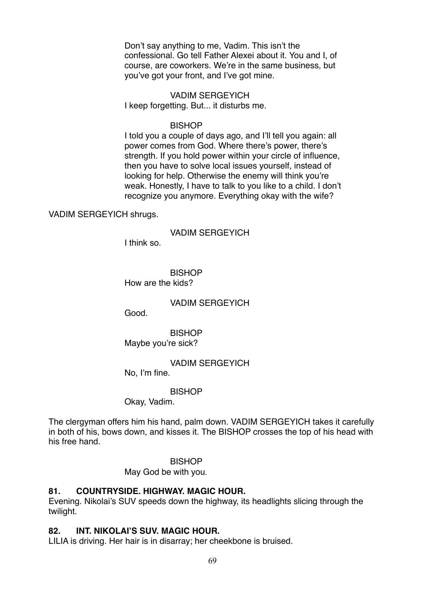Don't say anything to me, Vadim. This isn't the confessional. Go tell Father Alexei about it. You and I, of course, are coworkers. We're in the same business, but you've got your front, and I've got mine.

VADIM SERGEYICH I keep forgetting. But... it disturbs me.

#### **BISHOP**

I told you a couple of days ago, and I'll tell you again: all power comes from God. Where there's power, there's strength. If you hold power within your circle of influence, then you have to solve local issues yourself, instead of looking for help. Otherwise the enemy will think you're weak. Honestly, I have to talk to you like to a child. I don't recognize you anymore. Everything okay with the wife?

VADIM SERGEYICH shrugs.

### VADIM SERGEYICH

I think so.

**BISHOP** How are the kids?

VADIM SERGEYICH

Good.

**BISHOP** Maybe you're sick?

VADIM SERGEYICH

No, I'm fine.

BISHOP

Okay, Vadim.

The clergyman offers him his hand, palm down. VADIM SERGEYICH takes it carefully in both of his, bows down, and kisses it. The BISHOP crosses the top of his head with his free hand.

#### **BISHOP**

May God be with you.

### **81. COUNTRYSIDE. HIGHWAY. MAGIC HOUR.**

Evening. Nikolai's SUV speeds down the highway, its headlights slicing through the twilight.

### **82. INT. NIKOLAI'S SUV. MAGIC HOUR.**

LILIA is driving. Her hair is in disarray; her cheekbone is bruised.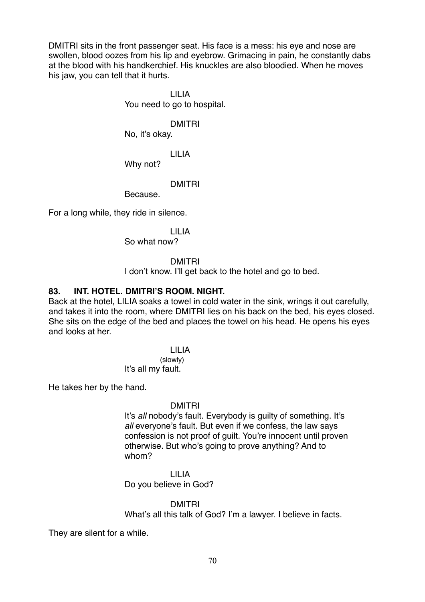DMITRI sits in the front passenger seat. His face is a mess: his eye and nose are swollen, blood oozes from his lip and eyebrow. Grimacing in pain, he constantly dabs at the blood with his handkerchief. His knuckles are also bloodied. When he moves his jaw, you can tell that it hurts.

> LILIA You need to go to hospital.

> > DMITRI

No, it's okay.

LILIA

Why not?

DMITRI

Because.

For a long while, they ride in silence.

LILIA

So what now?

### DMITRI

I don't know. I'll get back to the hotel and go to bed.

# **83. INT. HOTEL. DMITRI'S ROOM. NIGHT.**

Back at the hotel, LILIA soaks a towel in cold water in the sink, wrings it out carefully, and takes it into the room, where DMITRI lies on his back on the bed, his eyes closed. She sits on the edge of the bed and places the towel on his head. He opens his eyes and looks at her.

> LILIA (slowly) It's all my fault.

He takes her by the hand.

# DMITRI

It's *all* nobody's fault. Everybody is guilty of something. It's all everyone's fault. But even if we confess, the law says confession is not proof of guilt. You're innocent until proven otherwise. But who's going to prove anything? And to whom?

LILIA Do you believe in God?

DMITRI

What's all this talk of God? I'm a lawyer. I believe in facts.

They are silent for a while.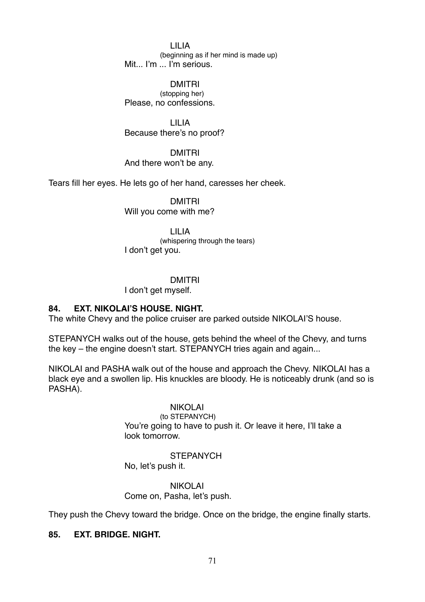LILIA (beginning as if her mind is made up) Mit... I'm ... I'm serious.

DMITRI (stopping her) Please, no confessions.

LILIA Because there's no proof?

DMITRI And there won't be any.

Tears fill her eyes. He lets go of her hand, caresses her cheek.

DMITRI Will you come with me?

LILIA (whispering through the tears) I don't get you.

### DMITRI

I don't get myself.

### **84. EXT. NIKOLAI'S HOUSE. NIGHT.**

The white Chevy and the police cruiser are parked outside NIKOLAI'S house.

STEPANYCH walks out of the house, gets behind the wheel of the Chevy, and turns the key – the engine doesn't start. STEPANYCH tries again and again...

NIKOLAI and PASHA walk out of the house and approach the Chevy. NIKOLAI has a black eye and a swollen lip. His knuckles are bloody. He is noticeably drunk (and so is PASHA).

### NIKOLAI

(to STEPANYCH) You're going to have to push it. Or leave it here, I'll take a look tomorrow.

### **STEPANYCH**

No, let's push it.

NIKOLAI Come on, Pasha, let's push.

They push the Chevy toward the bridge. Once on the bridge, the engine finally starts.

### **85. EXT. BRIDGE. NIGHT.**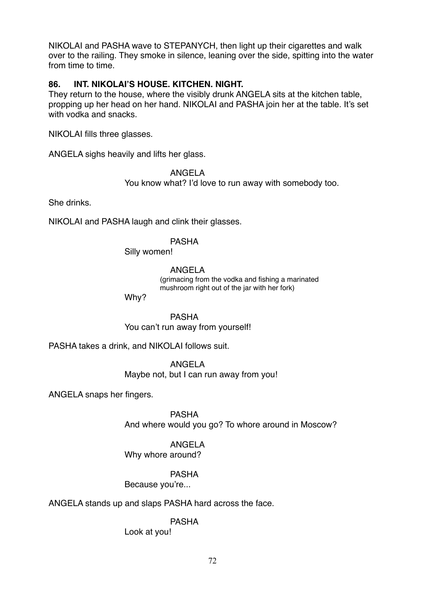NIKOLAI and PASHA wave to STEPANYCH, then light up their cigarettes and walk over to the railing. They smoke in silence, leaning over the side, spitting into the water from time to time.

# **86. INT. NIKOLAI'S HOUSE. KITCHEN. NIGHT.**

They return to the house, where the visibly drunk ANGELA sits at the kitchen table, propping up her head on her hand. NIKOLAI and PASHA join her at the table. It's set with vodka and snacks.

NIKOLAI fills three glasses.

ANGELA sighs heavily and lifts her glass.

### ANGELA

You know what? I'd love to run away with somebody too.

She drinks.

NIKOLAI and PASHA laugh and clink their glasses.

# PASHA

Silly women!

ANGELA

(grimacing from the vodka and fishing a marinated mushroom right out of the jar with her fork)

Why?

PASHA You can't run away from yourself!

PASHA takes a drink, and NIKOLAI follows suit.

ANGELA Maybe not, but I can run away from you!

ANGELA snaps her fingers.

PASHA And where would you go? To whore around in Moscow?

# ANGELA

Why whore around?

### PASHA

Because you're...

### ANGELA stands up and slaps PASHA hard across the face.

PASHA

Look at you!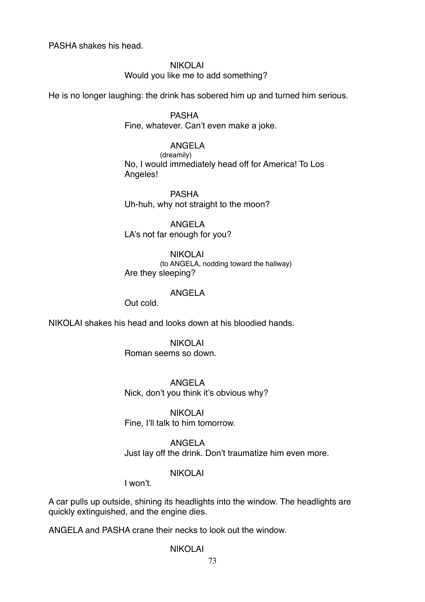PASHA shakes his head.

NIKOLAI Would you like me to add something?

He is no longer laughing: the drink has sobered him up and turned him serious.

PASHA Fine, whatever. Can't even make a joke.

#### ANGELA

(dreamily) No, I would immediately head off for America! To Los Angeles!

PASHA Uh-huh, why not straight to the moon?

ANGELA LA's not far enough for you?

NIKOLAI (to ANGELA, nodding toward the hallway) Are they sleeping?

#### ANGELA

Out cold.

NIKOLAI shakes his head and looks down at his bloodied hands.

NIKOLAI Roman seems so down.

ANGELA Nick, don't you think it's obvious why?

NIKOLAI Fine, I'll talk to him tomorrow.

ANGELA Just lay off the drink. Don't traumatize him even more.

#### NIKOLAI

I won't.

A car pulls up outside, shining its headlights into the window. The headlights are quickly extinguished, and the engine dies.

ANGELA and PASHA crane their necks to look out the window.

### NIKOLAI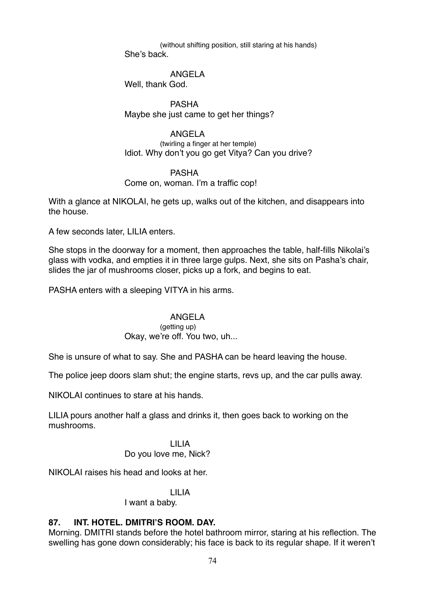(without shifting position, still staring at his hands) She's back.

ANGELA

Well, thank God.

PASHA Maybe she just came to get her things?

ANGELA

(twirling a finger at her temple) Idiot. Why don't you go get Vitya? Can you drive?

### PASHA

### Come on, woman. I'm a traffic cop!

With a glance at NIKOLAI, he gets up, walks out of the kitchen, and disappears into the house.

A few seconds later, LILIA enters.

She stops in the doorway for a moment, then approaches the table, half-fills Nikolai's glass with vodka, and empties it in three large gulps. Next, she sits on Pasha's chair, slides the jar of mushrooms closer, picks up a fork, and begins to eat.

PASHA enters with a sleeping VITYA in his arms.

### ANGELA

### (getting up)

# Okay, we're off. You two, uh...

She is unsure of what to say. She and PASHA can be heard leaving the house.

The police jeep doors slam shut; the engine starts, revs up, and the car pulls away.

NIKOLAI continues to stare at his hands.

LILIA pours another half a glass and drinks it, then goes back to working on the mushrooms.

> LILIA Do you love me, Nick?

NIKOLAI raises his head and looks at her.

# LILIA

I want a baby.

# **87. INT. HOTEL. DMITRI'S ROOM. DAY.**

Morning. DMITRI stands before the hotel bathroom mirror, staring at his reflection. The swelling has gone down considerably; his face is back to its regular shape. If it weren't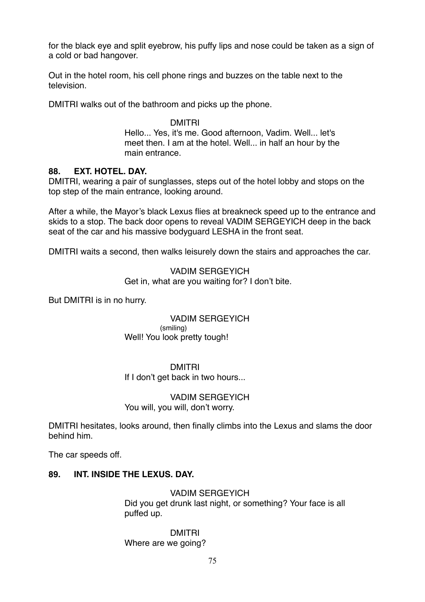for the black eye and split eyebrow, his puffy lips and nose could be taken as a sign of a cold or bad hangover.

Out in the hotel room, his cell phone rings and buzzes on the table next to the television.

DMITRI walks out of the bathroom and picks up the phone.

#### DMITRI

Hello... Yes, it's me. Good afternoon, Vadim. Well... let's meet then. I am at the hotel. Well... in half an hour by the main entrance.

### **88. EXT. HOTEL. DAY.**

DMITRI, wearing a pair of sunglasses, steps out of the hotel lobby and stops on the top step of the main entrance, looking around.

After a while, the Mayor's black Lexus flies at breakneck speed up to the entrance and skids to a stop. The back door opens to reveal VADIM SERGEYICH deep in the back seat of the car and his massive bodyguard LESHA in the front seat.

DMITRI waits a second, then walks leisurely down the stairs and approaches the car.

### VADIM SERGEYICH Get in, what are you waiting for? I don't bite.

But DMITRI is in no hurry.

VADIM SERGEYICH (smiling) Well! You look pretty tough!

DMITRI If I don't get back in two hours...

VADIM SERGEYICH You will, you will, don't worry.

DMITRI hesitates, looks around, then finally climbs into the Lexus and slams the door behind him.

The car speeds off.

# **89. INT. INSIDE THE LEXUS. DAY.**

VADIM SERGEYICH Did you get drunk last night, or something? Your face is all puffed up.

DMITRI Where are we going?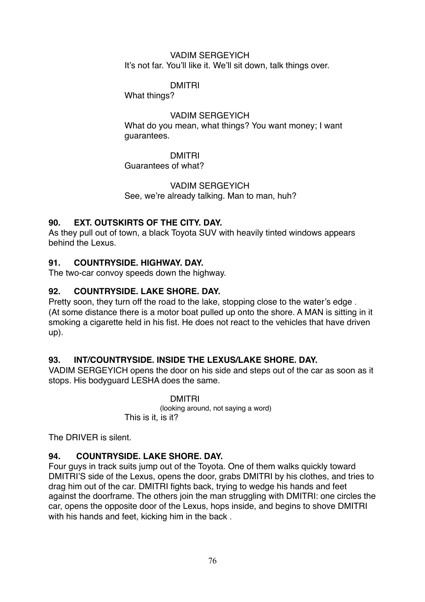### VADIM SERGEYICH It's not far. You'll like it. We'll sit down, talk things over.

# DMITRI

What things?

### VADIM SERGEYICH

What do you mean, what things? You want money; I want guarantees.

### DMITRI

Guarantees of what?

# VADIM SERGEYICH

See, we're already talking. Man to man, huh?

# **90. EXT. OUTSKIRTS OF THE CITY. DAY.**

As they pull out of town, a black Toyota SUV with heavily tinted windows appears behind the Lexus.

# **91. COUNTRYSIDE. HIGHWAY. DAY.**

The two-car convoy speeds down the highway.

# **92. COUNTRYSIDE. LAKE SHORE. DAY.**

Pretty soon, they turn off the road to the lake, stopping close to the water's edge . (At some distance there is a motor boat pulled up onto the shore. A MAN is sitting in it smoking a cigarette held in his fist. He does not react to the vehicles that have driven up).

# **93. INT/COUNTRYSIDE. INSIDE THE LEXUS/LAKE SHORE. DAY.**

VADIM SERGEYICH opens the door on his side and steps out of the car as soon as it stops. His bodyguard LESHA does the same.

> DMITRI (looking around, not saying a word) This is it, is it?

The DRIVER is silent.

# **94. COUNTRYSIDE. LAKE SHORE. DAY.**

Four guys in track suits jump out of the Toyota. One of them walks quickly toward DMITRI'S side of the Lexus, opens the door, grabs DMITRI by his clothes, and tries to drag him out of the car. DMITRI fights back, trying to wedge his hands and feet against the doorframe. The others join the man struggling with DMITRI: one circles the car, opens the opposite door of the Lexus, hops inside, and begins to shove DMITRI with his hands and feet, kicking him in the back .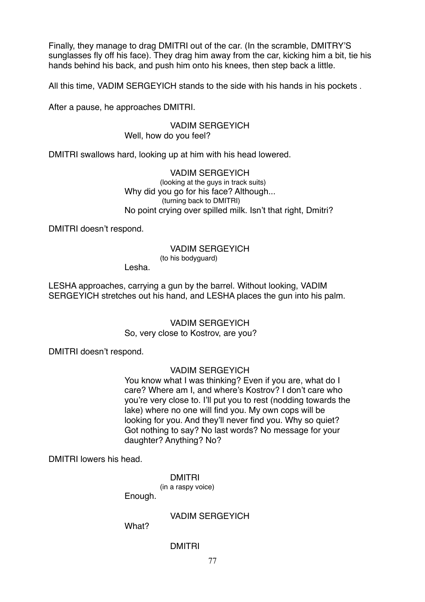Finally, they manage to drag DMITRI out of the car. (In the scramble, DMITRY'S sunglasses fly off his face). They drag him away from the car, kicking him a bit, tie his hands behind his back, and push him onto his knees, then step back a little.

All this time, VADIM SERGEYICH stands to the side with his hands in his pockets .

After a pause, he approaches DMITRI.

VADIM SERGEYICH Well, how do you feel?

DMITRI swallows hard, looking up at him with his head lowered.

VADIM SERGEYICH (looking at the guys in track suits) Why did you go for his face? Although... (turning back to DMITRI) No point crying over spilled milk. Isn't that right, Dmitri?

DMITRI doesn't respond.

### VADIM SERGEYICH

(to his bodyguard)

Lesha.

LESHA approaches, carrying a gun by the barrel. Without looking, VADIM SERGEYICH stretches out his hand, and LESHA places the gun into his palm.

> VADIM SERGEYICH So, very close to Kostrov, are you?

DMITRI doesn't respond.

### VADIM SERGEYICH

You know what I was thinking? Even if you are, what do I care? Where am I, and where's Kostrov? I don't care who you're very close to. I'll put you to rest (nodding towards the lake) where no one will find you. My own cops will be looking for you. And they'll never find you. Why so quiet? Got nothing to say? No last words? No message for your daughter? Anything? No?

DMITRI lowers his head.

DMITRI

(in a raspy voice) Enough.

VADIM SERGEYICH

What?

#### DMITRI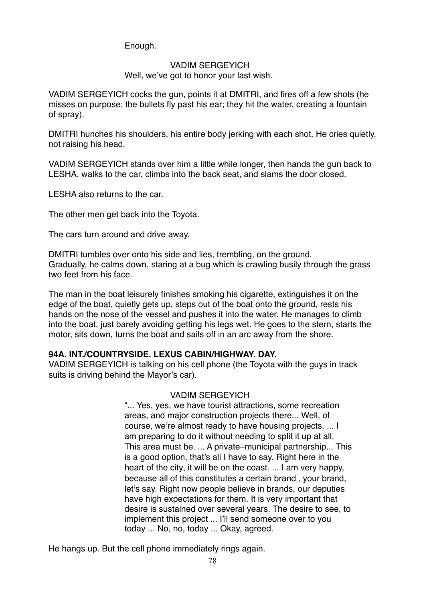Enough.

### VADIM SERGEYICH Well, we've got to honor your last wish.

VADIM SERGEYICH cocks the gun, points it at DMITRI, and fires off a few shots (he misses on purpose; the bullets fly past his ear; they hit the water, creating a fountain of spray).

DMITRI hunches his shoulders, his entire body jerking with each shot. He cries quietly, not raising his head.

VADIM SERGEYICH stands over him a little while longer, then hands the gun back to LESHA, walks to the car, climbs into the back seat, and slams the door closed.

LESHA also returns to the car.

The other men get back into the Toyota.

The cars turn around and drive away.

DMITRI tumbles over onto his side and lies, trembling, on the ground. Gradually, he calms down, staring at a bug which is crawling busily through the grass two feet from his face.

The man in the boat leisurely finishes smoking his cigarette, extinguishes it on the edge of the boat, quietly gets up, steps out of the boat onto the ground, rests his hands on the nose of the vessel and pushes it into the water. He manages to climb into the boat, just barely avoiding getting his legs wet. He goes to the stern, starts the motor, sits down, turns the boat and sails off in an arc away from the shore.

# **94А. INT./COUNTRYSIDE. LEXUS CABIN/HIGHWAY. DAY.**

VADIM SERGEYICH is talking on his cell phone (the Toyota with the guys in track suits is driving behind the Mayor's car).

# VADIM SERGEYICH

"... Yes, yes, we have tourist attractions, some recreation areas, and major construction projects there... Well, of course, we're almost ready to have housing projects. ... I am preparing to do it without needing to split it up at all. This area must be. ... A private–municipal partnership... This is a good option, that's all I have to say. Right here in the heart of the city, it will be on the coast. ... I am very happy, because all of this constitutes a certain brand , your brand, let's say. Right now people believe in brands, our deputies have high expectations for them. It is very important that desire is sustained over several years. The desire to see, to implement this project ... I'll send someone over to you today ... No, no, today ... Okay, agreed.

He hangs up. But the cell phone immediately rings again.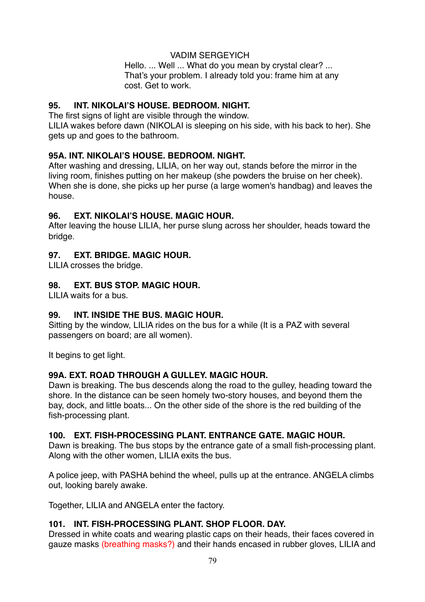VADIM SERGEYICH Hello. ... Well ... What do you mean by crystal clear? ... That's your problem. I already told you: frame him at any cost. Get to work.

# **95. INT. NIKOLAI'S HOUSE. BEDROOM. NIGHT.**

The first signs of light are visible through the window.

LILIA wakes before dawn (NIKOLAI is sleeping on his side, with his back to her). She gets up and goes to the bathroom.

# **95A. INT. NIKOLAI'S HOUSE. BEDROOM. NIGHT.**

After washing and dressing, LILIA, on her way out, stands before the mirror in the living room, finishes putting on her makeup (she powders the bruise on her cheek). When she is done, she picks up her purse (a large women's handbag) and leaves the house.

# **96. EXT. NIKOLAI'S HOUSE. MAGIC HOUR.**

After leaving the house LILIA, her purse slung across her shoulder, heads toward the bridge.

# **97. EXT. BRIDGE. MAGIC HOUR.**

LILIA crosses the bridge.

# **98. EXT. BUS STOP. MAGIC HOUR.**

LILIA waits for a bus.

# **99. INT. INSIDE THE BUS. MAGIC HOUR.**

Sitting by the window, LILIA rides on the bus for a while (It is a PAZ with several passengers on board; are all women).

It begins to get light.

# **99A. EXT. ROAD THROUGH A GULLEY. MAGIC HOUR.**

Dawn is breaking. The bus descends along the road to the gulley, heading toward the shore. In the distance can be seen homely two-story houses, and beyond them the bay, dock, and little boats... On the other side of the shore is the red building of the fish-processing plant.

# **100. EXT. FISH-PROCESSING PLANT. ENTRANCE GATE. MAGIC HOUR.**

Dawn is breaking. The bus stops by the entrance gate of a small fish-processing plant. Along with the other women, LILIA exits the bus.

A police jeep, with PASHA behind the wheel, pulls up at the entrance. ANGELA climbs out, looking barely awake.

Together, LILIA and ANGELA enter the factory.

# **101. INT. FISH-PROCESSING PLANT. SHOP FLOOR. DAY.**

Dressed in white coats and wearing plastic caps on their heads, their faces covered in gauze masks (breathing masks?) and their hands encased in rubber gloves, LILIA and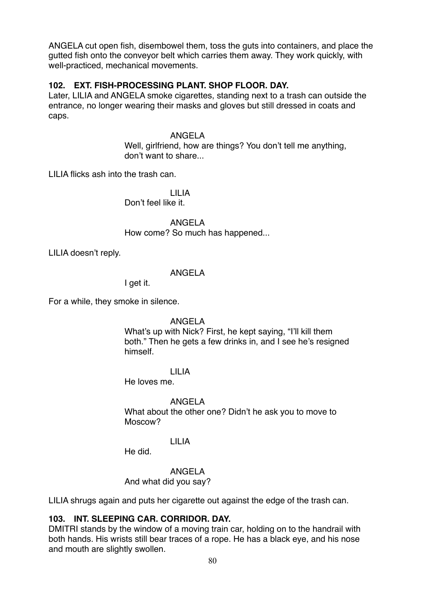ANGELA cut open fish, disembowel them, toss the guts into containers, and place the gutted fish onto the conveyor belt which carries them away. They work quickly, with well-practiced, mechanical movements.

# **102. EXT. FISH-PROCESSING PLANT. SHOP FLOOR. DAY.**

Later, LILIA and ANGELA smoke cigarettes, standing next to a trash can outside the entrance, no longer wearing their masks and gloves but still dressed in coats and caps.

ANGELA

Well, girlfriend, how are things? You don't tell me anything. don't want to share...

LILIA flicks ash into the trash can.

LILIA Don't feel like it.

ANGELA

How come? So much has happened...

LILIA doesn't reply.

### ANGELA

I get it.

For a while, they smoke in silence.

ANGELA

What's up with Nick? First, he kept saying, "I'll kill them both." Then he gets a few drinks in, and I see he's resigned himself.

LILIA

He loves me.

ANGELA

What about the other one? Didn't he ask you to move to Moscow?

### LILIA

He did.

ANGELA

And what did you say?

LILIA shrugs again and puts her cigarette out against the edge of the trash can.

# **103. INT. SLEEPING CAR. CORRIDOR. DAY.**

DMITRI stands by the window of a moving train car, holding on to the handrail with both hands. His wrists still bear traces of a rope. He has a black eye, and his nose and mouth are slightly swollen.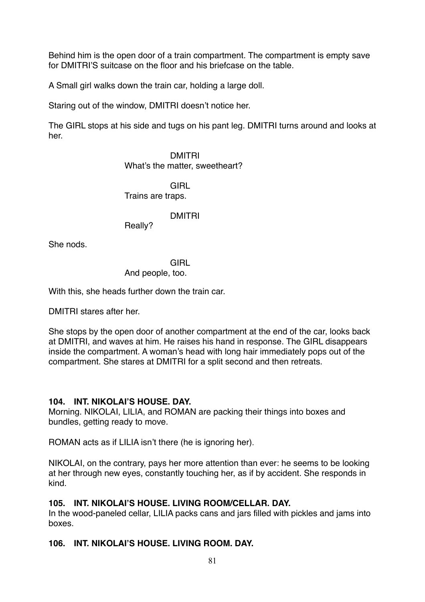Behind him is the open door of a train compartment. The compartment is empty save for DMITRI'S suitcase on the floor and his briefcase on the table.

A Small girl walks down the train car, holding a large doll.

Staring out of the window, DMITRI doesn't notice her.

The GIRL stops at his side and tugs on his pant leg. DMITRI turns around and looks at her.

> DMITRI What's the matter, sweetheart?

**GIRL** Trains are traps.

DMITRI

Really?

She nods.

**GIRL** 

And people, too.

With this, she heads further down the train car.

DMITRI stares after her.

She stops by the open door of another compartment at the end of the car, looks back at DMITRI, and waves at him. He raises his hand in response. The GIRL disappears inside the compartment. A woman's head with long hair immediately pops out of the compartment. She stares at DMITRI for a split second and then retreats.

# **104. INT. NIKOLAI'S HOUSE. DAY.**

Morning. NIKOLAI, LILIA, and ROMAN are packing their things into boxes and bundles, getting ready to move.

ROMAN acts as if LILIA isn't there (he is ignoring her).

NIKOLAI, on the contrary, pays her more attention than ever: he seems to be looking at her through new eyes, constantly touching her, as if by accident. She responds in kind.

# **105. INT. NIKOLAI'S HOUSE. LIVING ROOM/CELLAR. DAY.**

In the wood-paneled cellar, LILIA packs cans and jars filled with pickles and jams into boxes.

# **106. INT. NIKOLAI'S HOUSE. LIVING ROOM. DAY.**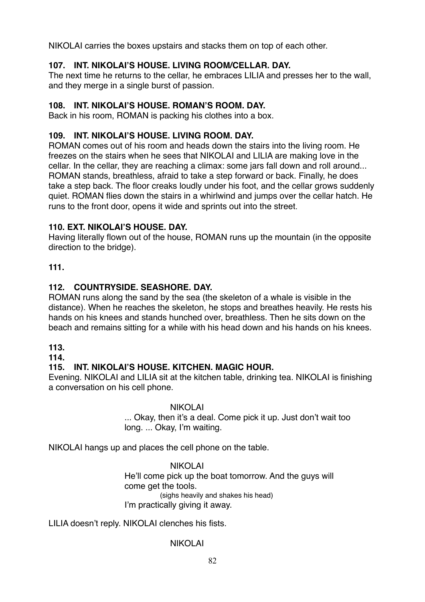NIKOLAI carries the boxes upstairs and stacks them on top of each other.

# **107. INT. NIKOLAI'S HOUSE. LIVING ROOM/CELLAR. DAY.**

The next time he returns to the cellar, he embraces LILIA and presses her to the wall, and they merge in a single burst of passion.

# **108. INT. NIKOLAI'S HOUSE. ROMAN'S ROOM. DAY.**

Back in his room, ROMAN is packing his clothes into a box.

# **109. INT. NIKOLAI'S HOUSE. LIVING ROOM. DAY.**

ROMAN comes out of his room and heads down the stairs into the living room. He freezes on the stairs when he sees that NIKOLAI and LILIA are making love in the cellar. In the cellar, they are reaching a climax: some jars fall down and roll around... ROMAN stands, breathless, afraid to take a step forward or back. Finally, he does take a step back. The floor creaks loudly under his foot, and the cellar grows suddenly quiet. ROMAN flies down the stairs in a whirlwind and jumps over the cellar hatch. He runs to the front door, opens it wide and sprints out into the street.

# **110. EXT. NIKOLAI'S HOUSE. DAY.**

Having literally flown out of the house, ROMAN runs up the mountain (in the opposite direction to the bridge).

# **111.**

# **112. COUNTRYSIDE. SEASHORE. DAY.**

ROMAN runs along the sand by the sea (the skeleton of a whale is visible in the distance). When he reaches the skeleton, he stops and breathes heavily. He rests his hands on his knees and stands hunched over, breathless. Then he sits down on the beach and remains sitting for a while with his head down and his hands on his knees.

# **113.**

# **114.**

# **115. INT. NIKOLAI'S HOUSE. KITCHEN. MAGIC HOUR.**

Evening. NIKOLAI and LILIA sit at the kitchen table, drinking tea. NIKOLAI is finishing a conversation on his cell phone.

# NIKOLAI

... Okay, then it's a deal. Come pick it up. Just don't wait too long. ... Okay, I'm waiting.

NIKOLAI hangs up and places the cell phone on the table.

NIKOLAI He'll come pick up the boat tomorrow. And the guys will come get the tools. (sighs heavily and shakes his head) I'm practically giving it away.

LILIA doesn't reply. NIKOLAI clenches his fists.

# NIKOLAI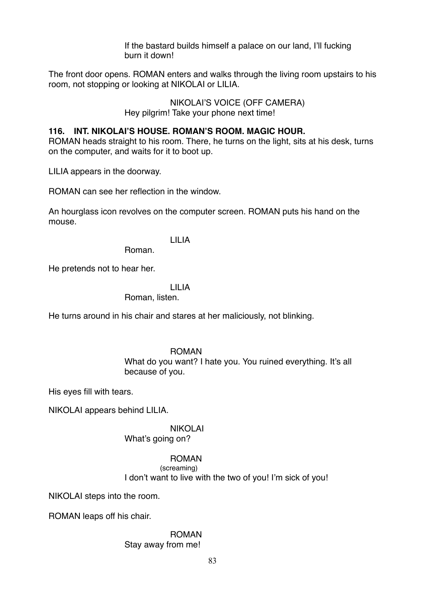If the bastard builds himself a palace on our land, I'll fucking burn it down!

The front door opens. ROMAN enters and walks through the living room upstairs to his room, not stopping or looking at NIKOLAI or LILIA.

> NIKOLAI'S VOICE (OFF CAMERA) Hey pilgrim! Take your phone next time!

### **116. INT. NIKOLAI'S HOUSE. ROMAN'S ROOM. MAGIC HOUR.**

ROMAN heads straight to his room. There, he turns on the light, sits at his desk, turns on the computer, and waits for it to boot up.

LILIA appears in the doorway.

ROMAN can see her reflection in the window.

An hourglass icon revolves on the computer screen. ROMAN puts his hand on the mouse.

LILIA

Roman.

He pretends not to hear her.

### LILIA

Roman, listen.

He turns around in his chair and stares at her maliciously, not blinking.

### ROMAN

What do you want? I hate you. You ruined everything. It's all because of you.

His eyes fill with tears.

NIKOLAI appears behind LILIA.

# NIKOLAI

What's going on?

### ROMAN

(screaming) I don't want to live with the two of you! I'm sick of you!

NIKOLAI steps into the room.

ROMAN leaps off his chair.

#### ROMAN Stay away from me!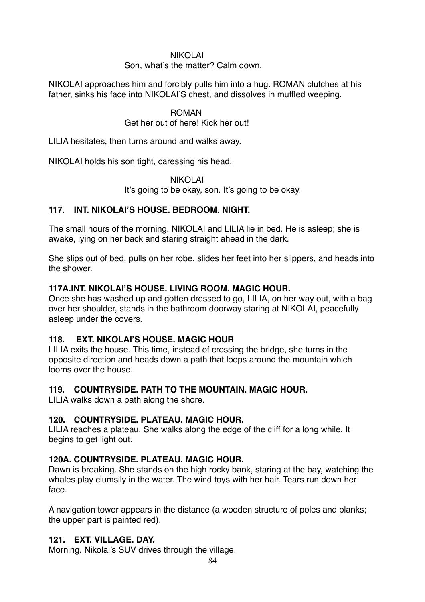### NIKOLAI

Son, what's the matter? Calm down.

NIKOLAI approaches him and forcibly pulls him into a hug. ROMAN clutches at his father, sinks his face into NIKOLAI'S chest, and dissolves in muffled weeping.

### ROMAN

### Get her out of here! Kick her out!

LILIA hesitates, then turns around and walks away.

NIKOLAI holds his son tight, caressing his head.

NIKOLAI

It's going to be okay, son. It's going to be okay.

### **117. INT. NIKOLAI'S HOUSE. BEDROOM. NIGHT.**

The small hours of the morning. NIKOLAI and LILIA lie in bed. He is asleep; she is awake, lying on her back and staring straight ahead in the dark.

She slips out of bed, pulls on her robe, slides her feet into her slippers, and heads into the shower.

### **117А.INT. NIKOLAI'S HOUSE. LIVING ROOM. MAGIC HOUR.**

Once she has washed up and gotten dressed to go, LILIA, on her way out, with a bag over her shoulder, stands in the bathroom doorway staring at NIKOLAI, peacefully asleep under the covers.

# **118. EXT. NIKOLAI'S HOUSE. MAGIC HOUR**

LILIA exits the house. This time, instead of crossing the bridge, she turns in the opposite direction and heads down a path that loops around the mountain which looms over the house.

# **119. COUNTRYSIDE. PATH TO THE MOUNTAIN. MAGIC HOUR.**

LILIA walks down a path along the shore.

### **120. COUNTRYSIDE. PLATEAU. MAGIC HOUR.**

LILIA reaches a plateau. She walks along the edge of the cliff for a long while. It begins to get light out.

# **120А. COUNTRYSIDE. PLATEAU. MAGIC HOUR.**

Dawn is breaking. She stands on the high rocky bank, staring at the bay, watching the whales play clumsily in the water. The wind toys with her hair. Tears run down her face.

A navigation tower appears in the distance (a wooden structure of poles and planks; the upper part is painted red).

### **121. EXT. VILLAGE. DAY.**

Morning. Nikolai's SUV drives through the village.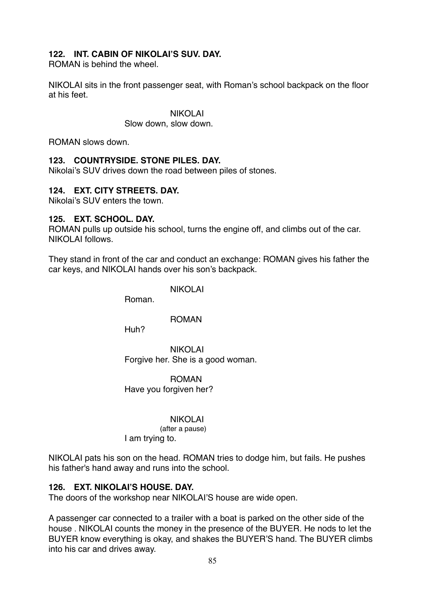### **122. INT. CABIN OF NIKOLAI'S SUV. DAY.**

ROMAN is behind the wheel.

NIKOLAI sits in the front passenger seat, with Roman's school backpack on the floor at his feet.

> NIKOLAI Slow down, slow down.

ROMAN slows down.

### **123. COUNTRYSIDE. STONE PILES. DAY.**

Nikolai's SUV drives down the road between piles of stones.

### **124. EXT. CITY STREETS. DAY.**

Nikolai's SUV enters the town.

#### **125. EXT. SCHOOL. DAY.**

ROMAN pulls up outside his school, turns the engine off, and climbs out of the car. NIKOLAI follows.

They stand in front of the car and conduct an exchange: ROMAN gives his father the car keys, and NIKOLAI hands over his son's backpack.

NIKOLAI

Roman.

#### ROMAN

Huh?

NIKOLAI Forgive her. She is a good woman.

ROMAN Have you forgiven her?

#### NIKOLAI

(after a pause) I am trying to.

NIKOLAI pats his son on the head. ROMAN tries to dodge him, but fails. He pushes his father's hand away and runs into the school.

### **126. EXT. NIKOLAI'S HOUSE. DAY.**

The doors of the workshop near NIKOLAI'S house are wide open.

A passenger car connected to a trailer with a boat is parked on the other side of the house . NIKOLAI counts the money in the presence of the BUYER. He nods to let the BUYER know everything is okay, and shakes the BUYER'S hand. The BUYER climbs into his car and drives away.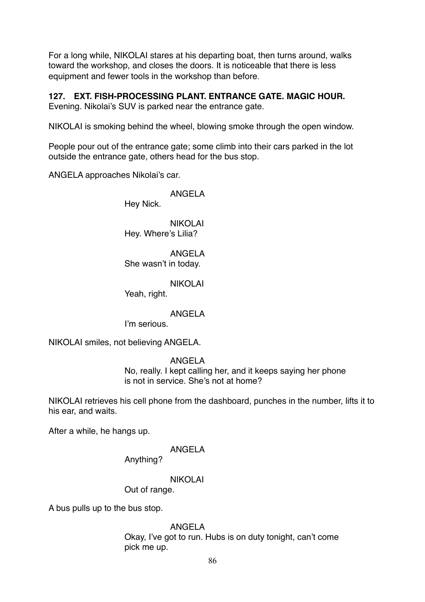For a long while, NIKOLAI stares at his departing boat, then turns around, walks toward the workshop, and closes the doors. It is noticeable that there is less equipment and fewer tools in the workshop than before.

# **127. EXT. FISH-PROCESSING PLANT. ENTRANCE GATE. MAGIC HOUR.**

Evening. Nikolai's SUV is parked near the entrance gate.

NIKOLAI is smoking behind the wheel, blowing smoke through the open window.

People pour out of the entrance gate; some climb into their cars parked in the lot outside the entrance gate, others head for the bus stop.

ANGELA approaches Nikolai's car.

ANGELA

Hey Nick.

NIKOLAI Hey. Where's Lilia?

ANGELA She wasn't in today.

NIKOLAI

Yeah, right.

ANGELA

I'm serious.

NIKOLAI smiles, not believing ANGELA.

ANGELA

No, really. I kept calling her, and it keeps saying her phone is not in service. She's not at home?

NIKOLAI retrieves his cell phone from the dashboard, punches in the number, lifts it to his ear, and waits.

After a while, he hangs up.

# ANGELA

Anything?

NIKOLAI

Out of range.

A bus pulls up to the bus stop.

ANGELA

Okay, I've got to run. Hubs is on duty tonight, can't come pick me up.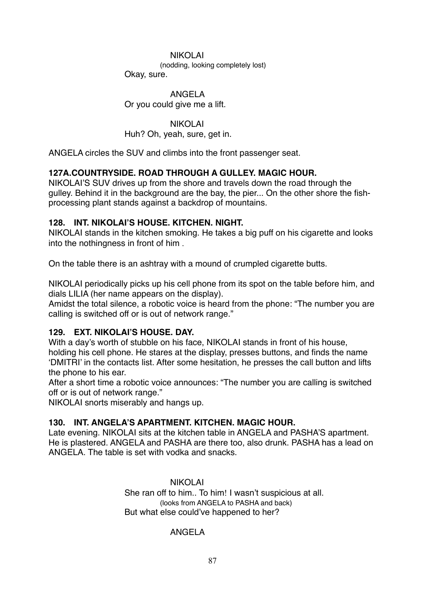#### NIKOLAI

(nodding, looking completely lost)

Okay, sure.

### ANGELA

Or you could give me a lift.

### NIKOLAI

Huh? Oh, yeah, sure, get in.

ANGELA circles the SUV and climbs into the front passenger seat.

# **127A.COUNTRYSIDE. ROAD THROUGH A GULLEY. MAGIC HOUR.**

NIKOLAI'S SUV drives up from the shore and travels down the road through the gulley. Behind it in the background are the bay, the pier... On the other shore the fishprocessing plant stands against a backdrop of mountains.

# **128. INT. NIKOLAI'S HOUSE. KITCHEN. NIGHT.**

NIKOLAI stands in the kitchen smoking. He takes a big puff on his cigarette and looks into the nothingness in front of him .

On the table there is an ashtray with a mound of crumpled cigarette butts.

NIKOLAI periodically picks up his cell phone from its spot on the table before him, and dials LILIA (her name appears on the display).

Amidst the total silence, a robotic voice is heard from the phone: "The number you are calling is switched off or is out of network range."

# **129. EXT. NIKOLAI'S HOUSE. DAY.**

With a day's worth of stubble on his face, NIKOLAI stands in front of his house, holding his cell phone. He stares at the display, presses buttons, and finds the name 'DMITRI' in the contacts list. After some hesitation, he presses the call button and lifts the phone to his ear.

After a short time a robotic voice announces: "The number you are calling is switched off or is out of network range."

NIKOLAI snorts miserably and hangs up.

# **130. INT. ANGELA'S APARTMENT. KITCHEN. MAGIC HOUR.**

Late evening. NIKOLAI sits at the kitchen table in ANGELA and PASHA'S apartment. He is plastered. ANGELA and PASHA are there too, also drunk. PASHA has a lead on ANGELA. The table is set with vodka and snacks.

> NIKOLAI She ran off to him.. To him! I wasn't suspicious at all. (looks from ANGELA to PASHA and back) But what else could've happened to her?

# ANGELA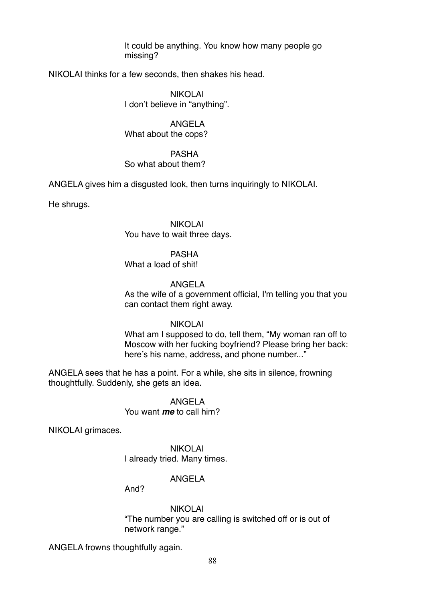It could be anything. You know how many people go missing?

NIKOLAI thinks for a few seconds, then shakes his head.

NIKOLAI I don't believe in "anything".

ANGELA What about the cops?

PASHA So what about them?

ANGELA gives him a disgusted look, then turns inquiringly to NIKOLAI.

He shrugs.

NIKOLAI You have to wait three days.

PASHA

What a load of shit!

### ANGELA

As the wife of a government official, I'm telling you that you can contact them right away.

NIKOLAI

What am I supposed to do, tell them, "My woman ran off to Moscow with her fucking boyfriend? Please bring her back: here's his name, address, and phone number..."

ANGELA sees that he has a point. For a while, she sits in silence, frowning thoughtfully. Suddenly, she gets an idea.

> ANGELA You want *me* to call him?

NIKOLAI grimaces.

NIKOLAI I already tried. Many times.

### ANGELA

And?

NIKOLAI

"The number you are calling is switched off or is out of network range."

ANGELA frowns thoughtfully again.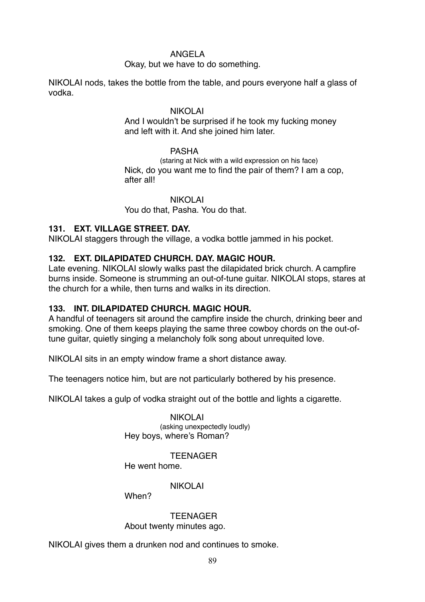### ANGELA

Okay, but we have to do something.

NIKOLAI nods, takes the bottle from the table, and pours everyone half a glass of vodka.

### NIKOLAI

And I wouldn't be surprised if he took my fucking money and left with it. And she joined him later.

#### PASHA

(staring at Nick with a wild expression on his face) Nick, do you want me to find the pair of them? I am a cop, after all!

NIKOLAI You do that, Pasha. You do that.

### **131. EXT. VILLAGE STREET. DAY.**

NIKOLAI staggers through the village, a vodka bottle jammed in his pocket.

### **132. EXT. DILAPIDATED CHURCH. DAY. MAGIC HOUR.**

Late evening. NIKOLAI slowly walks past the dilapidated brick church. A campfire burns inside. Someone is strumming an out-of-tune guitar. NIKOLAI stops, stares at the church for a while, then turns and walks in its direction.

### **133. INT. DILAPIDATED CHURCH. MAGIC HOUR.**

A handful of teenagers sit around the campfire inside the church, drinking beer and smoking. One of them keeps playing the same three cowboy chords on the out-oftune guitar, quietly singing a melancholy folk song about unrequited love.

NIKOLAI sits in an empty window frame a short distance away.

The teenagers notice him, but are not particularly bothered by his presence.

NIKOLAI takes a gulp of vodka straight out of the bottle and lights a cigarette.

NIKOLAI (asking unexpectedly loudly) Hey boys, where's Roman?

TEENAGER

He went home.

### NIKOLAI

When?

**TFFNAGFR** About twenty minutes ago.

NIKOLAI gives them a drunken nod and continues to smoke.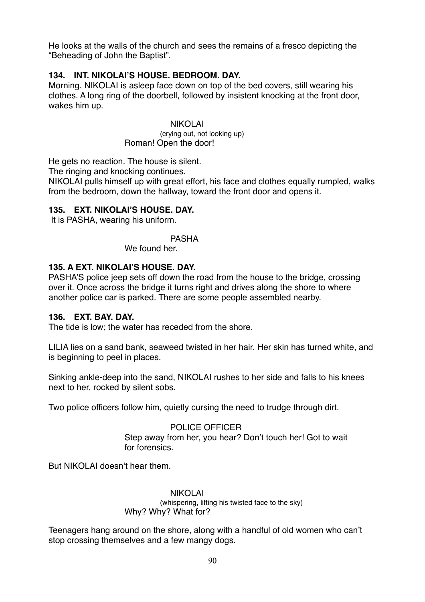He looks at the walls of the church and sees the remains of a fresco depicting the "Beheading of John the Baptist".

### **134. INT. NIKOLAI'S HOUSE. BEDROOM. DAY.**

Morning. NIKOLAI is asleep face down on top of the bed covers, still wearing his clothes. A long ring of the doorbell, followed by insistent knocking at the front door, wakes him up.

#### NIKOLAI

(crying out, not looking up) Roman! Open the door!

He gets no reaction. The house is silent.

The ringing and knocking continues.

NIKOLAI pulls himself up with great effort, his face and clothes equally rumpled, walks from the bedroom, down the hallway, toward the front door and opens it.

# **135. EXT. NIKOLAI'S HOUSE. DAY.**

It is PASHA, wearing his uniform.

PASHA We found her

### **135. A EXT. NIKOLAI'S HOUSE. DAY.**

PASHA'S police jeep sets off down the road from the house to the bridge, crossing over it. Once across the bridge it turns right and drives along the shore to where another police car is parked. There are some people assembled nearby.

### **136. EXT. BAY. DAY.**

The tide is low; the water has receded from the shore.

LILIA lies on a sand bank, seaweed twisted in her hair. Her skin has turned white, and is beginning to peel in places.

Sinking ankle-deep into the sand, NIKOLAI rushes to her side and falls to his knees next to her, rocked by silent sobs.

Two police officers follow him, quietly cursing the need to trudge through dirt.

### POLICE OFFICER

Step away from her, you hear? Don't touch her! Got to wait for forensics.

But NIKOLAI doesn't hear them.

# NIKOLAI

(whispering, lifting his twisted face to the sky) Why? Why? What for?

Teenagers hang around on the shore, along with a handful of old women who can't stop crossing themselves and a few mangy dogs.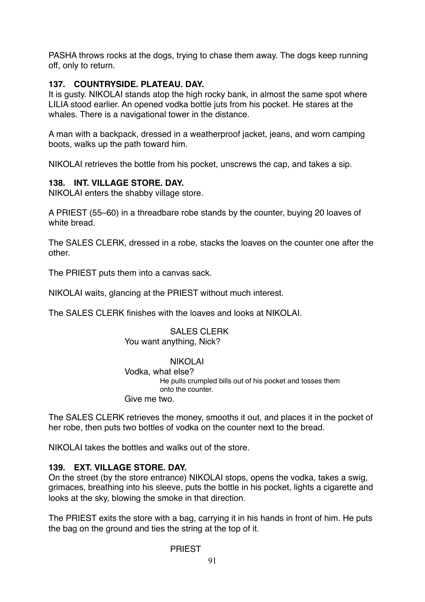PASHA throws rocks at the dogs, trying to chase them away. The dogs keep running off, only to return.

# **137. COUNTRYSIDE. PLATEAU. DAY.**

It is gusty. NIKOLAI stands atop the high rocky bank, in almost the same spot where LILIA stood earlier. An opened vodka bottle juts from his pocket. He stares at the whales. There is a navigational tower in the distance.

A man with a backpack, dressed in a weatherproof jacket, jeans, and worn camping boots, walks up the path toward him.

NIKOLAI retrieves the bottle from his pocket, unscrews the cap, and takes a sip.

# **138. INT. VILLAGE STORE. DAY.**

NIKOLAI enters the shabby village store.

A PRIEST (55–60) in a threadbare robe stands by the counter, buying 20 loaves of white bread.

The SALES CLERK, dressed in a robe, stacks the loaves on the counter one after the other.

The PRIEST puts them into a canvas sack.

NIKOLAI waits, glancing at the PRIEST without much interest.

The SALES CLERK finishes with the loaves and looks at NIKOLAI.

#### SALES CLERK You want anything, Nick?

NIKOLAI Vodka, what else? He pulls crumpled bills out of his pocket and tosses them onto the counter.

Give me two.

The SALES CLERK retrieves the money, smooths it out, and places it in the pocket of her robe, then puts two bottles of vodka on the counter next to the bread.

NIKOLAI takes the bottles and walks out of the store.

# **139. EXT. VILLAGE STORE. DAY.**

On the street (by the store entrance) NIKOLAI stops, opens the vodka, takes a swig, grimaces, breathing into his sleeve, puts the bottle in his pocket, lights a cigarette and looks at the sky, blowing the smoke in that direction.

The PRIEST exits the store with a bag, carrying it in his hands in front of him. He puts the bag on the ground and ties the string at the top of it.

### PRIEST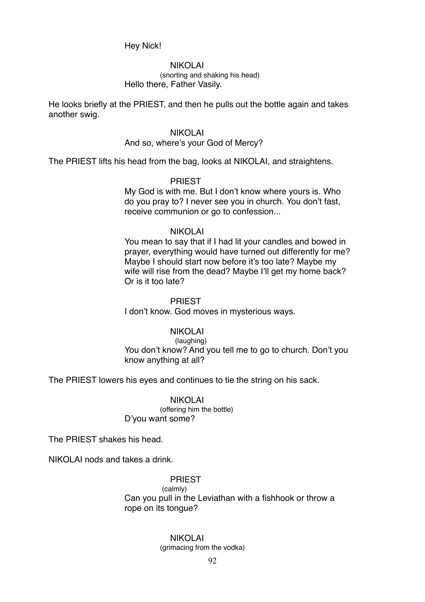Hey Nick!

NIKOLAI (snorting and shaking his head) Hello there, Father Vasily.

He looks briefly at the PRIEST, and then he pulls out the bottle again and takes another swig.

#### NIKOLAI

#### And so, where's your God of Mercy?

The PRIEST lifts his head from the bag, looks at NIKOLAI, and straightens.

#### PRIEST

My God is with me. But I don't know where yours is. Who do you pray to? I never see you in church. You don't fast, receive communion or go to confession...

#### NIKOLAI

You mean to say that if I had lit your candles and bowed in prayer, everything would have turned out differently for me? Maybe I should start now before it's too late? Maybe my wife will rise from the dead? Maybe I'll get my home back? Or is it too late?

#### PRIEST

I don't know. God moves in mysterious ways.

#### NIKOLAI

(laughing) You don't know? And you tell me to go to church. Don't you know anything at all?

The PRIEST lowers his eyes and continues to tie the string on his sack.

#### NIKOLAI (offering him the bottle) D'you want some?

The PRIEST shakes his head.

NIKOLAI nods and takes a drink.

### PRIEST

 (calmly) Can you pull in the Leviathan with a fishhook or throw a rope on its tongue?

#### NIKOLAI

(grimacing from the vodka)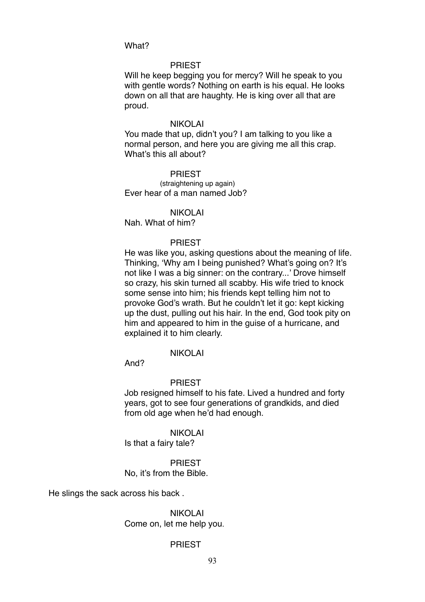What?

#### PRIEST

Will he keep begging you for mercy? Will he speak to you with gentle words? Nothing on earth is his equal. He looks down on all that are haughty. He is king over all that are proud.

#### NIKOLAI

You made that up, didn't you? I am talking to you like a normal person, and here you are giving me all this crap. What's this all about?

PRIEST (straightening up again) Ever hear of a man named Job?

NIKOLAI Nah. What of him?

#### PRIEST

He was like you, asking questions about the meaning of life. Thinking, 'Why am I being punished? What's going on? It's not like I was a big sinner: on the contrary...' Drove himself so crazy, his skin turned all scabby. His wife tried to knock some sense into him; his friends kept telling him not to provoke God's wrath. But he couldn't let it go: kept kicking up the dust, pulling out his hair. In the end, God took pity on him and appeared to him in the guise of a hurricane, and explained it to him clearly.

#### NIKOLAI

And?

#### PRIEST

Job resigned himself to his fate. Lived a hundred and forty years, got to see four generations of grandkids, and died from old age when he'd had enough.

NIKOLAI

Is that a fairy tale?

PRIEST No, it's from the Bible.

He slings the sack across his back .

NIKOLAI Come on, let me help you.

#### PRIEST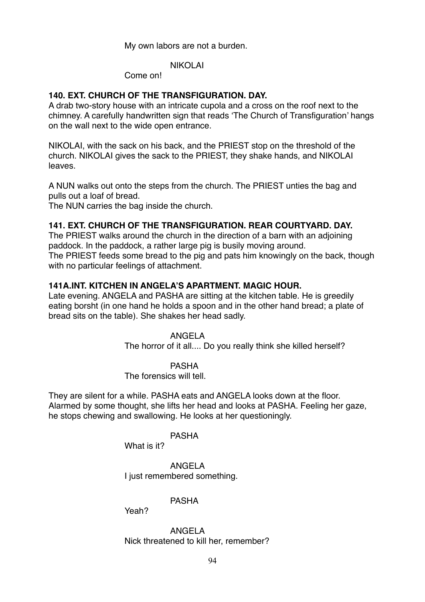My own labors are not a burden.

### NIKOLAI

Come on!

### **140. EXT. CHURCH OF THE TRANSFIGURATION. DAY.**

A drab two-story house with an intricate cupola and a cross on the roof next to the chimney. A carefully handwritten sign that reads 'The Church of Transfiguration' hangs on the wall next to the wide open entrance.

NIKOLAI, with the sack on his back, and the PRIEST stop on the threshold of the church. NIKOLAI gives the sack to the PRIEST, they shake hands, and NIKOLAI leaves.

A NUN walks out onto the steps from the church. The PRIEST unties the bag and pulls out a loaf of bread.

The NUN carries the bag inside the church.

### **141. EXT. CHURCH OF THE TRANSFIGURATION. REAR COURTYARD. DAY.**

The PRIEST walks around the church in the direction of a barn with an adjoining paddock. In the paddock, a rather large pig is busily moving around. The PRIEST feeds some bread to the pig and pats him knowingly on the back, though with no particular feelings of attachment.

### **141A.INT. KITCHEN IN ANGELA'S APARTMENT. MAGIC HOUR.**

Late evening. ANGELA and PASHA are sitting at the kitchen table. He is greedily eating borsht (in one hand he holds a spoon and in the other hand bread; a plate of bread sits on the table). She shakes her head sadly.

### ANGELA

The horror of it all.... Do you really think she killed herself?

#### PASHA

The forensics will tell.

They are silent for a while. PASHA eats and ANGELA looks down at the floor. Alarmed by some thought, she lifts her head and looks at PASHA. Feeling her gaze, he stops chewing and swallowing. He looks at her questioningly.

#### PASHA

What is it?

ANGELA I just remembered something.

### PASHA

Yeah?

ANGELA Nick threatened to kill her, remember?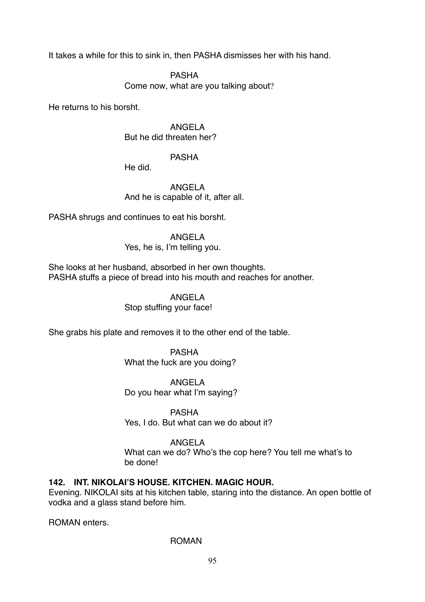It takes a while for this to sink in, then PASHA dismisses her with his hand.

PASHA

Come now, what are you talking about?

He returns to his borsht.

ANGELA But he did threaten her?

### PASHA

He did.

ANGELA And he is capable of it, after all.

PASHA shrugs and continues to eat his borsht.

ANGELA

Yes, he is, I'm telling you.

She looks at her husband, absorbed in her own thoughts. PASHA stuffs a piece of bread into his mouth and reaches for another.

### ANGELA

Stop stuffing your face!

She grabs his plate and removes it to the other end of the table.

PASHA What the fuck are you doing?

ANGELA

Do you hear what I'm saying?

PASHA

Yes, I do. But what can we do about it?

# ANGELA

What can we do? Who's the cop here? You tell me what's to be done!

# **142. INT. NIKOLAI'S HOUSE. KITCHEN. MAGIC HOUR.**

Evening. NIKOLAI sits at his kitchen table, staring into the distance. An open bottle of vodka and a glass stand before him.

ROMAN enters.

### ROMAN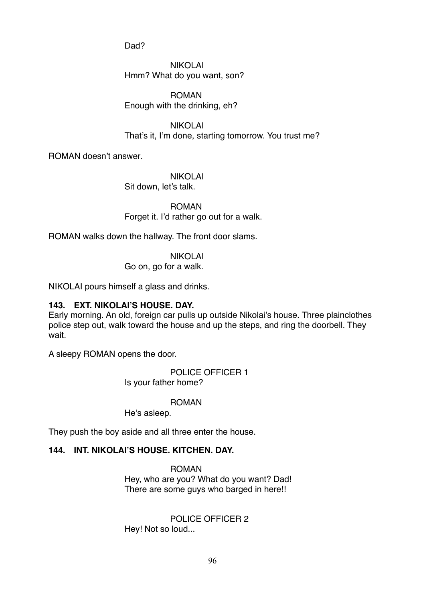Dad?

NIKOLAI Hmm? What do you want, son?

ROMAN Enough with the drinking, eh?

NIKOLAI That's it, I'm done, starting tomorrow. You trust me?

ROMAN doesn't answer.

NIKOLAI Sit down, let's talk.

ROMAN Forget it. I'd rather go out for a walk.

ROMAN walks down the hallway. The front door slams.

NIKOLAI

Go on, go for a walk.

NIKOLAI pours himself a glass and drinks.

# **143. EXT. NIKOLAI'S HOUSE. DAY.**

Early morning. An old, foreign car pulls up outside Nikolai's house. Three plainclothes police step out, walk toward the house and up the steps, and ring the doorbell. They wait.

A sleepy ROMAN opens the door.

POLICE OFFICER 1 Is your father home?

ROMAN

He's asleep.

They push the boy aside and all three enter the house.

# **144. INT. NIKOLAI'S HOUSE. KITCHEN. DAY.**

ROMAN Hey, who are you? What do you want? Dad! There are some guys who barged in here!!

POLICE OFFICER 2 Hey! Not so loud...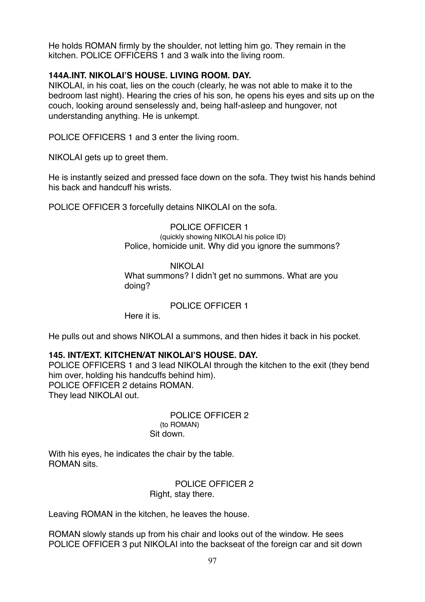He holds ROMAN firmly by the shoulder, not letting him go. They remain in the kitchen. POLICE OFFICERS 1 and 3 walk into the living room.

# **144А.INT. NIKOLAI'S HOUSE. LIVING ROOM. DAY.**

NIKOLAI, in his coat, lies on the couch (clearly, he was not able to make it to the bedroom last night). Hearing the cries of his son, he opens his eyes and sits up on the couch, looking around senselessly and, being half-asleep and hungover, not understanding anything. He is unkempt.

POLICE OFFICERS 1 and 3 enter the living room.

NIKOLAI gets up to greet them.

He is instantly seized and pressed face down on the sofa. They twist his hands behind his back and handcuff his wrists.

POLICE OFFICER 3 forcefully detains NIKOLAI on the sofa.

POLICE OFFICER 1 (quickly showing NIKOLAI his police ID) Police, homicide unit. Why did you ignore the summons?

### NIKOLAI What summons? I didn't get no summons. What are you doing?

### POLICE OFFICER 1

Here it is.

He pulls out and shows NIKOLAI a summons, and then hides it back in his pocket.

# **145. INT/EXT. KITCHEN/AT NIKOLAI'S HOUSE. DAY.**

POLICE OFFICERS 1 and 3 lead NIKOLAI through the kitchen to the exit (they bend him over, holding his handcuffs behind him). POLICE OFFICER 2 detains ROMAN. They lead NIKOLAI out.

> POLICE OFFICER 2 (to ROMAN) Sit down.

With his eyes, he indicates the chair by the table. ROMAN sits.

> POLICE OFFICER 2 Right, stay there.

Leaving ROMAN in the kitchen, he leaves the house.

ROMAN slowly stands up from his chair and looks out of the window. He sees POLICE OFFICER 3 put NIKOLAI into the backseat of the foreign car and sit down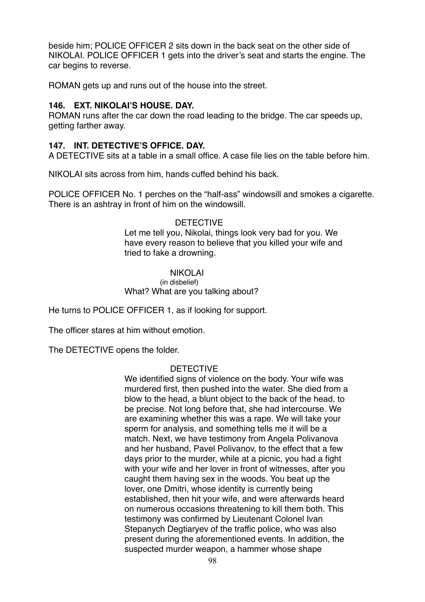beside him; POLICE OFFICER 2 sits down in the back seat on the other side of NIKOLAI. POLICE OFFICER 1 gets into the driver's seat and starts the engine. The car begins to reverse.

ROMAN gets up and runs out of the house into the street.

### **146. EXT. NIKOLAI'S HOUSE. DAY.**

ROMAN runs after the car down the road leading to the bridge. The car speeds up, getting farther away.

# **147. INT. DETECTIVE'S OFFICE. DAY.**

A DETECTIVE sits at a table in a small office. A case file lies on the table before him.

NIKOLAI sits across from him, hands cuffed behind his back.

POLICE OFFICER No. 1 perches on the "half-ass" windowsill and smokes a cigarette. There is an ashtray in front of him on the windowsill.

### DETECTIVE

Let me tell you, Nikolai, things look very bad for you. We have every reason to believe that you killed your wife and tried to fake a drowning.

### NIKOLAI

#### (in disbelief) What? What are you talking about?

He turns to POLICE OFFICER 1, as if looking for support.

The officer stares at him without emotion.

The DETECTIVE opens the folder.

# DETECTIVE

We identified signs of violence on the body. Your wife was murdered first, then pushed into the water. She died from a blow to the head, a blunt object to the back of the head, to be precise. Not long before that, she had intercourse. We are examining whether this was a rape. We will take your sperm for analysis, and something tells me it will be a match. Next, we have testimony from Angela Polivanova and her husband, Pavel Polivanov, to the effect that a few days prior to the murder, while at a picnic, you had a fight with your wife and her lover in front of witnesses, after you caught them having sex in the woods. You beat up the lover, one Dmitri, whose identity is currently being established, then hit your wife, and were afterwards heard on numerous occasions threatening to kill them both. This testimony was confirmed by Lieutenant Colonel Ivan Stepanych Degtiaryev of the traffic police, who was also present during the aforementioned events. In addition, the suspected murder weapon, a hammer whose shape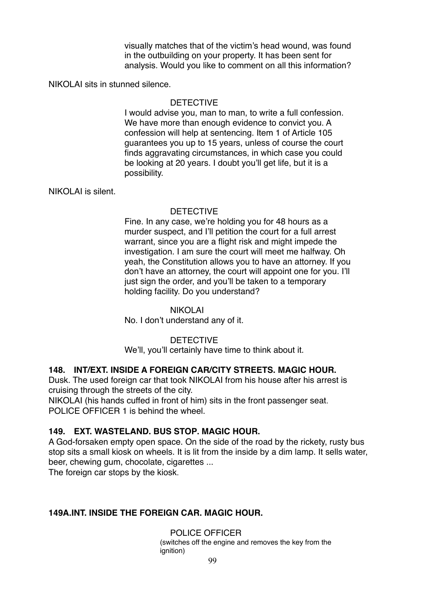visually matches that of the victim's head wound, was found in the outbuilding on your property. It has been sent for analysis. Would you like to comment on all this information?

NIKOLAI sits in stunned silence.

### **DETECTIVE**

I would advise you, man to man, to write a full confession. We have more than enough evidence to convict you. A confession will help at sentencing. Item 1 of Article 105 guarantees you up to 15 years, unless of course the court finds aggravating circumstances, in which case you could be looking at 20 years. I doubt you'll get life, but it is a possibility.

NIKOLAI is silent.

#### **DETECTIVE**

Fine. In any case, we're holding you for 48 hours as a murder suspect, and I'll petition the court for a full arrest warrant, since you are a flight risk and might impede the investigation. I am sure the court will meet me halfway. Oh yeah, the Constitution allows you to have an attorney. If you don't have an attorney, the court will appoint one for you. I'll just sign the order, and you'll be taken to a temporary holding facility. Do you understand?

#### NIKOLAI

No. I don't understand any of it.

### DETECTIVE

We'll, you'll certainly have time to think about it.

### **148. INT/EXT. INSIDE A FOREIGN CAR/CITY STREETS. MAGIC HOUR.**

Dusk. The used foreign car that took NIKOLAI from his house after his arrest is cruising through the streets of the city.

NIKOLAI (his hands cuffed in front of him) sits in the front passenger seat. POLICE OFFICER 1 is behind the wheel.

### **149. EXT. WASTELAND. BUS STOP. MAGIC HOUR.**

A God-forsaken empty open space. On the side of the road by the rickety, rusty bus stop sits a small kiosk on wheels. It is lit from the inside by a dim lamp. It sells water, beer, chewing gum, chocolate, cigarettes ...

The foreign car stops by the kiosk.

### **149А.INT. INSIDE THE FOREIGN CAR. MAGIC HOUR.**

POLICE OFFICER (switches off the engine and removes the key from the ignition)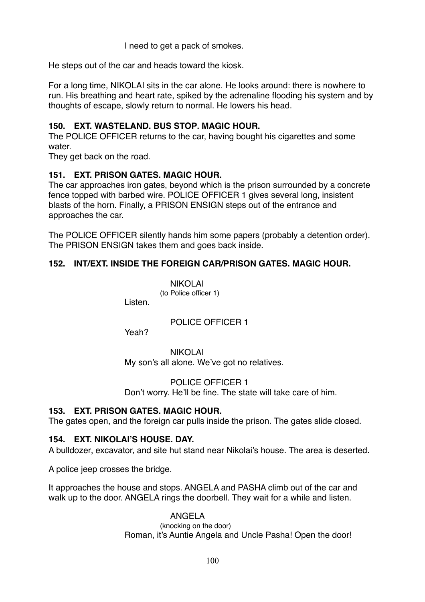I need to get a pack of smokes.

He steps out of the car and heads toward the kiosk.

For a long time, NIKOLAI sits in the car alone. He looks around: there is nowhere to run. His breathing and heart rate, spiked by the adrenaline flooding his system and by thoughts of escape, slowly return to normal. He lowers his head.

# **150. EXT. WASTELAND. BUS STOP. MAGIC HOUR.**

The POLICE OFFICER returns to the car, having bought his cigarettes and some water

They get back on the road.

### **151. EXT. PRISON GATES. MAGIC HOUR.**

The car approaches iron gates, beyond which is the prison surrounded by a concrete fence topped with barbed wire. POLICE OFFICER 1 gives several long, insistent blasts of the horn. Finally, a PRISON ENSIGN steps out of the entrance and approaches the car.

The POLICE OFFICER silently hands him some papers (probably a detention order). The PRISON ENSIGN takes them and goes back inside.

### **152. INT/EXT. INSIDE THE FOREIGN CAR/PRISON GATES. MAGIC HOUR.**

NIKOLAI (to Police officer 1)

Listen.

POLICE OFFICER 1

Yeah?

NIKOLAI My son's all alone. We've got no relatives.

POLICE OFFICER 1 Don't worry. He'll be fine. The state will take care of him.

# **153. EXT. PRISON GATES. MAGIC HOUR.**

The gates open, and the foreign car pulls inside the prison. The gates slide closed.

### **154. EXT. NIKOLAI'S HOUSE. DAY.**

A bulldozer, excavator, and site hut stand near Nikolai's house. The area is deserted.

A police jeep crosses the bridge.

It approaches the house and stops. ANGELA and PASHA climb out of the car and walk up to the door. ANGELA rings the doorbell. They wait for a while and listen.

> ANGELA (knocking on the door) Roman, it's Auntie Angela and Uncle Pasha! Open the door!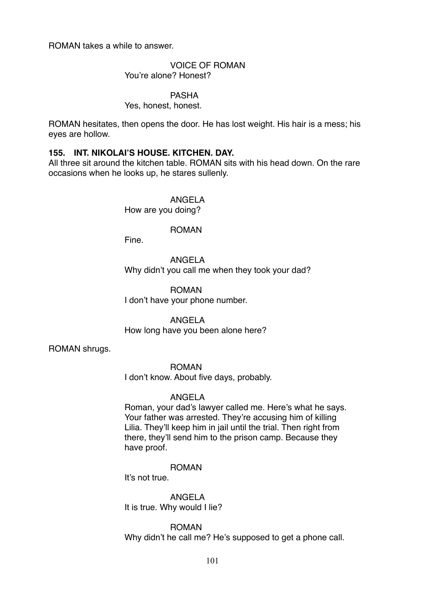ROMAN takes a while to answer.

VOICE OF ROMAN You're alone? Honest?

PASHA

Yes, honest, honest.

ROMAN hesitates, then opens the door. He has lost weight. His hair is a mess; his eyes are hollow.

### **155. INT. NIKOLAI'S HOUSE. KITCHEN. DAY.**

All three sit around the kitchen table. ROMAN sits with his head down. On the rare occasions when he looks up, he stares sullenly.

> ANGELA How are you doing?

> > ROMAN

Fine.

ANGELA Why didn't you call me when they took your dad?

ROMAN I don't have your phone number.

ANGELA How long have you been alone here?

ROMAN shrugs.

ROMAN I don't know. About five days, probably.

### ANGELA

Roman, your dad's lawyer called me. Here's what he says. Your father was arrested. They're accusing him of killing Lilia. They'll keep him in jail until the trial. Then right from there, they'll send him to the prison camp. Because they have proof.

ROMAN

It's not true.

ANGELA It is true. Why would I lie?

ROMAN Why didn't he call me? He's supposed to get a phone call.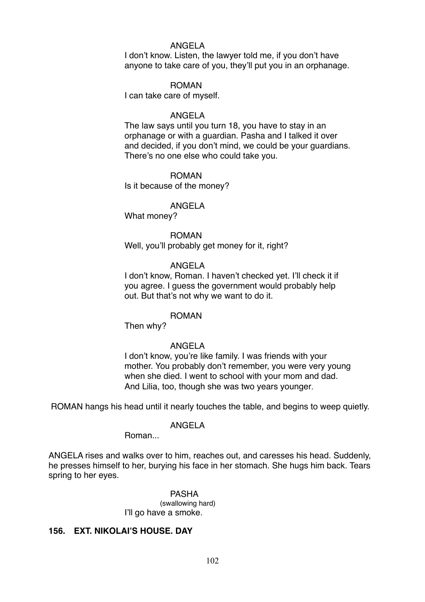#### ANGELA

I don't know. Listen, the lawyer told me, if you don't have anyone to take care of you, they'll put you in an orphanage.

#### ROMAN

I can take care of myself.

#### ANGELA

The law says until you turn 18, you have to stay in an orphanage or with a guardian. Pasha and I talked it over and decided, if you don't mind, we could be your guardians. There's no one else who could take you.

#### ROMAN

Is it because of the money?

#### ANGELA

What money?

### ROMAN

Well, you'll probably get money for it, right?

#### ANGELA

I don't know, Roman. I haven't checked yet. I'll check it if you agree. I guess the government would probably help out. But that's not why we want to do it.

#### ROMAN

Then why?

#### ANGELA

I don't know, you're like family. I was friends with your mother. You probably don't remember, you were very young when she died. I went to school with your mom and dad. And Lilia, too, though she was two years younger.

ROMAN hangs his head until it nearly touches the table, and begins to weep quietly.

#### ANGELA

Roman...

ANGELA rises and walks over to him, reaches out, and caresses his head. Suddenly, he presses himself to her, burying his face in her stomach. She hugs him back. Tears spring to her eyes.

> PASHA (swallowing hard) I'll go have a smoke.

### **156. EXT. NIKOLAI'S HOUSE. DAY**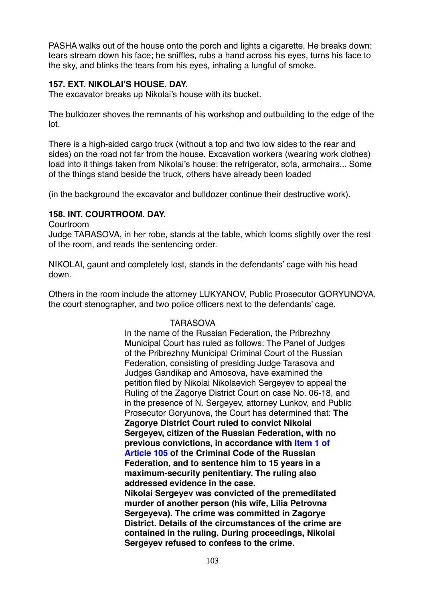PASHA walks out of the house onto the porch and lights a cigarette. He breaks down: tears stream down his face; he sniffles, rubs a hand across his eyes, turns his face to the sky, and blinks the tears from his eyes, inhaling a lungful of smoke.

# **157. EXT. NIKOLAI'S HOUSE. DAY.**

The excavator breaks up Nikolai's house with its bucket.

The bulldozer shoves the remnants of his workshop and outbuilding to the edge of the lot.

There is a high-sided cargo truck (without a top and two low sides to the rear and sides) on the road not far from the house. Excavation workers (wearing work clothes) load into it things taken from Nikolai's house: the refrigerator, sofa, armchairs... Some of the things stand beside the truck, others have already been loaded

(in the background the excavator and bulldozer continue their destructive work).

### **158. INT. COURTROOM. DAY.**

Courtroom

Judge TARASOVA, in her robe, stands at the table, which looms slightly over the rest of the room, and reads the sentencing order.

NIKOLAI, gaunt and completely lost, stands in the defendants' cage with his head down.

Others in the room include the attorney LUKYANOV, Public Prosecutor GORYUNOVA, the court stenographer, and two police officers next to the defendants' cage.

# TARASOVA

In the name of the Russian Federation, the Pribrezhny Municipal Court has ruled as follows: The Panel of Judges of the Pribrezhny Municipal Criminal Court of the Russian Federation, consisting of presiding Judge Tarasova and Judges Gandikap and Amosova, have examined the petition filed by Nikolai Nikolaevich Sergeyev to appeal the Ruling of the Zagorye District Court on case No. 06-18, and in the presence of N. Sergeyev, attorney Lunkov, and Public Prosecutor Goryunova, the Court has determined that: **The Zagorye District Court ruled to convict Nikolai Sergeyev, citizen of the Russian Federation, with no previous convictions, in accordance with Item 1 of Article 105 of the Criminal Code of the Russian Federation, and to sentence him to 15 years in a maximum-security penitentiary. The ruling also addressed evidence in the case. Nikolai Sergeyev was convicted of the premeditated murder of another person (his wife, Lilia Petrovna Sergeyeva). The crime was committed in Zagorye District. Details of the circumstances of the crime are contained in the ruling. During proceedings, Nikolai Sergeyev refused to confess to the crime.**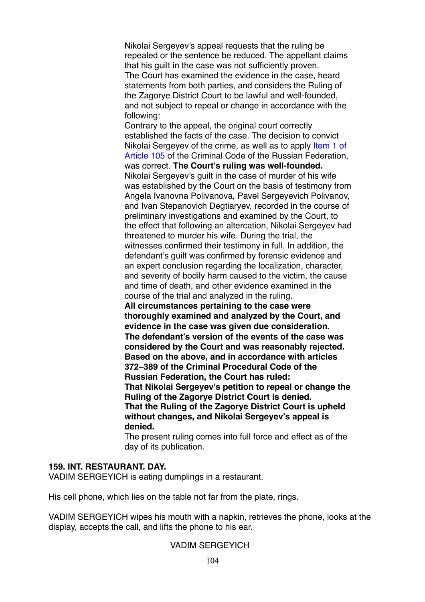Nikolai Sergeyev's appeal requests that the ruling be repealed or the sentence be reduced. The appellant claims that his guilt in the case was not sufficiently proven. The Court has examined the evidence in the case, heard statements from both parties, and considers the Ruling of the Zagorye District Court to be lawful and well-founded, and not subject to repeal or change in accordance with the following:

Contrary to the appeal, the original court correctly established the facts of the case. The decision to convict Nikolai Sergeyev of the crime, as well as to apply Item 1 of Article 105 of the Criminal Code of the Russian Federation, was correct. **The Court's ruling was well-founded.** Nikolai Sergeyev's guilt in the case of murder of his wife was established by the Court on the basis of testimony from Angela Ivanovna Polivanova, Pavel Sergeyevich Polivanov, and Ivan Stepanovich Degtiaryev, recorded in the course of preliminary investigations and examined by the Court, to the effect that following an altercation, Nikolai Sergeyev had threatened to murder his wife. During the trial, the witnesses confirmed their testimony in full. In addition, the defendant's guilt was confirmed by forensic evidence and an expert conclusion regarding the localization, character, and severity of bodily harm caused to the victim, the cause and time of death, and other evidence examined in the course of the trial and analyzed in the ruling. **All circumstances pertaining to the case were thoroughly examined and analyzed by the Court, and evidence in the case was given due consideration. The defendant's version of the events of the case was considered by the Court and was reasonably rejected. Based on the above, and in accordance with articles 372–389 of the Criminal Procedural Code of the Russian Federation, the Court has ruled: That Nikolai Sergeyev's petition to repeal or change the Ruling of the Zagorye District Court is denied. That the Ruling of the Zagorye District Court is upheld without changes, and Nikolai Sergeyev's appeal is denied.**

The present ruling comes into full force and effect as of the day of its publication.

#### **159. INT. RESTAURANT. DAY.**

VADIM SERGEYICH is eating dumplings in a restaurant.

His cell phone, which lies on the table not far from the plate, rings.

VADIM SERGEYICH wipes his mouth with a napkin, retrieves the phone, looks at the display, accepts the call, and lifts the phone to his ear.

# VADIM SERGEYICH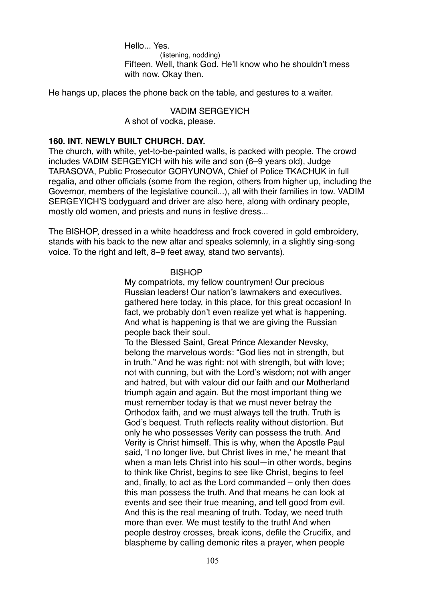Hello... Yes. (listening, nodding) Fifteen. Well, thank God. He'll know who he shouldn't mess with now. Okay then.

He hangs up, places the phone back on the table, and gestures to a waiter.

### VADIM SERGEYICH

A shot of vodka, please.

#### **160. INT. NEWLY BUILT CHURCH. DAY.**

The church, with white, yet-to-be-painted walls, is packed with people. The crowd includes VADIM SERGEYICH with his wife and son (6–9 years old), Judge TARASOVA, Public Prosecutor GORYUNOVA, Chief of Police TKACHUK in full regalia, and other officials (some from the region, others from higher up, including the Governor, members of the legislative council...), all with their families in tow. VADIM SERGEYICH'S bodyguard and driver are also here, along with ordinary people, mostly old women, and priests and nuns in festive dress...

The BISHOP, dressed in a white headdress and frock covered in gold embroidery, stands with his back to the new altar and speaks solemnly, in a slightly sing-song voice. To the right and left, 8–9 feet away, stand two servants).

#### **BISHOP**

My compatriots, my fellow countrymen! Our precious Russian leaders! Our nation's lawmakers and executives, gathered here today, in this place, for this great occasion! In fact, we probably don't even realize yet what is happening. And what is happening is that we are giving the Russian people back their soul.

To the Blessed Saint, Great Prince Alexander Nevsky, belong the marvelous words: "God lies not in strength, but in truth." And he was right: not with strength, but with love; not with cunning, but with the Lord's wisdom; not with anger and hatred, but with valour did our faith and our Motherland triumph again and again. But the most important thing we must remember today is that we must never betray the Orthodox faith, and we must always tell the truth. Truth is God's bequest. Truth reflects reality without distortion. But only he who possesses Verity can possess the truth. And Verity is Christ himself. This is why, when the Apostle Paul said, 'I no longer live, but Christ lives in me,' he meant that when a man lets Christ into his soul—in other words, begins to think like Christ, begins to see like Christ, begins to feel and, finally, to act as the Lord commanded – only then does this man possess the truth. And that means he can look at events and see their true meaning, and tell good from evil. And this is the real meaning of truth. Today, we need truth more than ever. We must testify to the truth! And when people destroy crosses, break icons, defile the Crucifix, and blaspheme by calling demonic rites a prayer, when people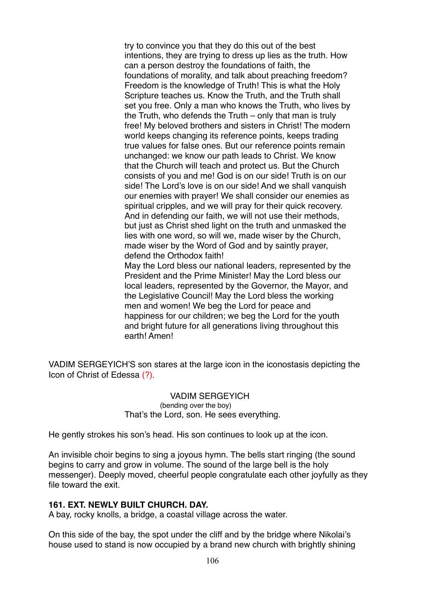try to convince you that they do this out of the best intentions, they are trying to dress up lies as the truth. How can a person destroy the foundations of faith, the foundations of morality, and talk about preaching freedom? Freedom is the knowledge of Truth! This is what the Holy Scripture teaches us. Know the Truth, and the Truth shall set you free. Only a man who knows the Truth, who lives by the Truth, who defends the Truth – only that man is truly free! My beloved brothers and sisters in Christ! The modern world keeps changing its reference points, keeps trading true values for false ones. But our reference points remain unchanged: we know our path leads to Christ. We know that the Church will teach and protect us. But the Church consists of you and me! God is on our side! Truth is on our side! The Lord's love is on our side! And we shall vanquish our enemies with prayer! We shall consider our enemies as spiritual cripples, and we will pray for their quick recovery. And in defending our faith, we will not use their methods, but just as Christ shed light on the truth and unmasked the lies with one word, so will we, made wiser by the Church, made wiser by the Word of God and by saintly prayer, defend the Orthodox faith!

May the Lord bless our national leaders, represented by the President and the Prime Minister! May the Lord bless our local leaders, represented by the Governor, the Mayor, and the Legislative Council! May the Lord bless the working men and women! We beg the Lord for peace and happiness for our children; we beg the Lord for the youth and bright future for all generations living throughout this earth! Amen!

VADIM SERGEYICH'S son stares at the large icon in the iconostasis depicting the Icon of Christ of Edessa (?).

> VADIM SERGEYICH (bending over the boy) That's the Lord, son. He sees everything.

He gently strokes his son's head. His son continues to look up at the icon.

An invisible choir begins to sing a joyous hymn. The bells start ringing (the sound begins to carry and grow in volume. The sound of the large bell is the holy messenger). Deeply moved, cheerful people congratulate each other joyfully as they file toward the exit.

### **161. EXT. NEWLY BUILT CHURCH. DAY.**

A bay, rocky knolls, a bridge, a coastal village across the water.

On this side of the bay, the spot under the cliff and by the bridge where Nikolai's house used to stand is now occupied by a brand new church with brightly shining